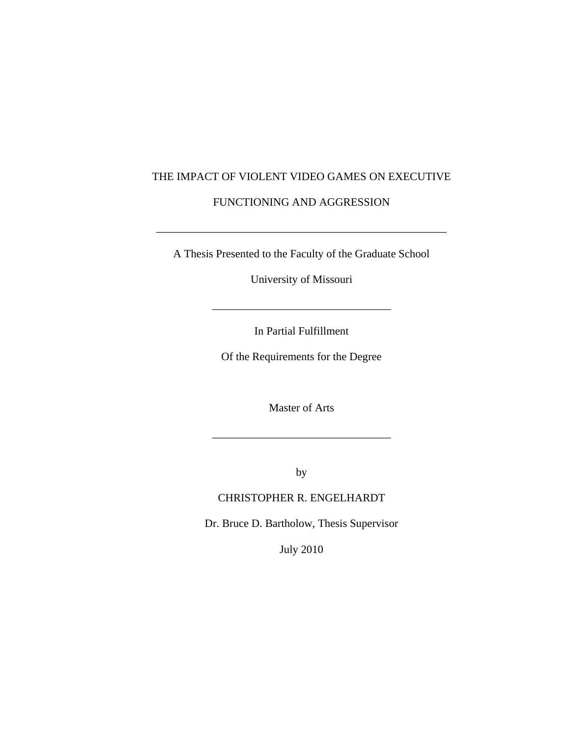## THE IMPACT OF VIOLENT VIDEO GAMES ON EXECUTIVE

## FUNCTIONING AND AGGRESSION

A Thesis Presented to the Faculty of the Graduate School

\_\_\_\_\_\_\_\_\_\_\_\_\_\_\_\_\_\_\_\_\_\_\_\_\_\_\_\_\_\_\_\_\_\_\_\_\_\_\_\_\_\_\_\_\_\_\_\_\_\_\_\_

University of Missouri

 $\overline{\phantom{a}}$  ,  $\overline{\phantom{a}}$  ,  $\overline{\phantom{a}}$  ,  $\overline{\phantom{a}}$  ,  $\overline{\phantom{a}}$  ,  $\overline{\phantom{a}}$  ,  $\overline{\phantom{a}}$  ,  $\overline{\phantom{a}}$  ,  $\overline{\phantom{a}}$  ,  $\overline{\phantom{a}}$  ,  $\overline{\phantom{a}}$  ,  $\overline{\phantom{a}}$  ,  $\overline{\phantom{a}}$  ,  $\overline{\phantom{a}}$  ,  $\overline{\phantom{a}}$  ,  $\overline{\phantom{a}}$ 

In Partial Fulfillment

Of the Requirements for the Degree

Master of Arts

\_\_\_\_\_\_\_\_\_\_\_\_\_\_\_\_\_\_\_\_\_\_\_\_\_\_\_\_\_\_\_\_

by

## CHRISTOPHER R. ENGELHARDT

Dr. Bruce D. Bartholow, Thesis Supervisor

July 2010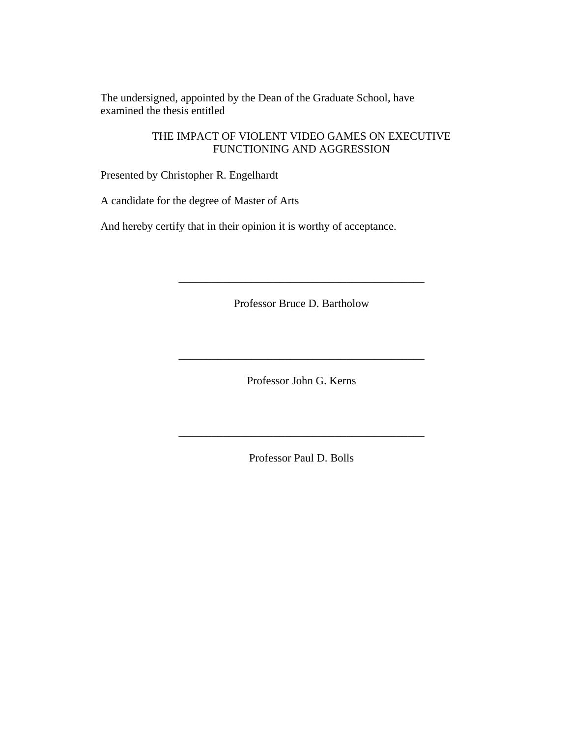The undersigned, appointed by the Dean of the Graduate School, have examined the thesis entitled

> THE IMPACT OF VIOLENT VIDEO GAMES ON EXECUTIVE FUNCTIONING AND AGGRESSION

Presented by Christopher R. Engelhardt

A candidate for the degree of Master of Arts

And hereby certify that in their opinion it is worthy of acceptance.

Professor Bruce D. Bartholow

\_\_\_\_\_\_\_\_\_\_\_\_\_\_\_\_\_\_\_\_\_\_\_\_\_\_\_\_\_\_\_\_\_\_\_\_\_\_\_\_\_\_\_\_

Professor John G. Kerns

\_\_\_\_\_\_\_\_\_\_\_\_\_\_\_\_\_\_\_\_\_\_\_\_\_\_\_\_\_\_\_\_\_\_\_\_\_\_\_\_\_\_\_\_

Professor Paul D. Bolls

\_\_\_\_\_\_\_\_\_\_\_\_\_\_\_\_\_\_\_\_\_\_\_\_\_\_\_\_\_\_\_\_\_\_\_\_\_\_\_\_\_\_\_\_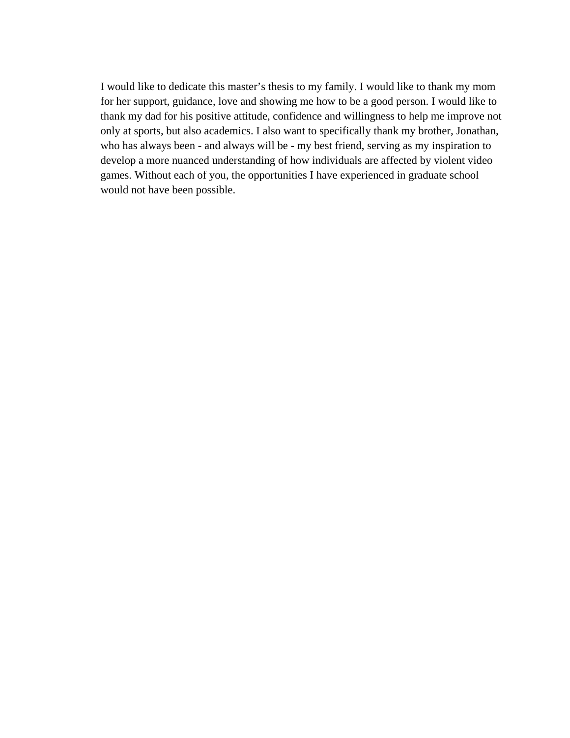I would like to dedicate this master's thesis to my family. I would like to thank my mom for her support, guidance, love and showing me how to be a good person. I would like to thank my dad for his positive attitude, confidence and willingness to help me improve not only at sports, but also academics. I also want to specifically thank my brother, Jonathan, who has always been - and always will be - my best friend, serving as my inspiration to develop a more nuanced understanding of how individuals are affected by violent video games. Without each of you, the opportunities I have experienced in graduate school would not have been possible.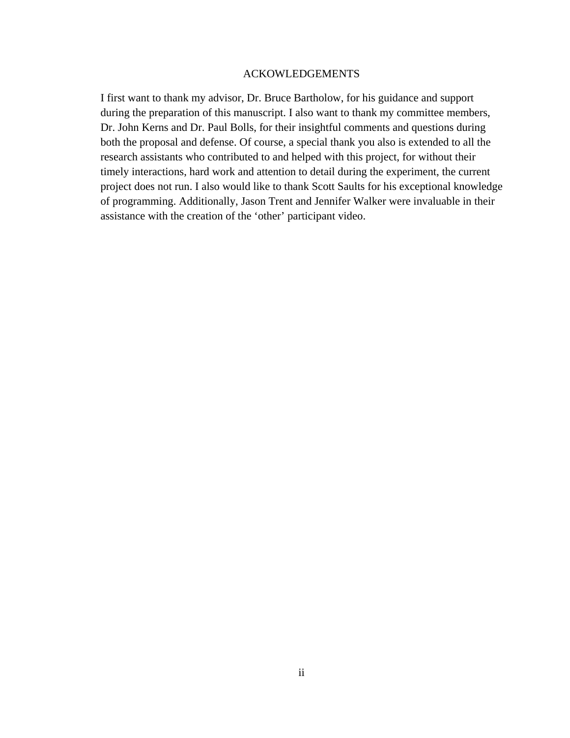#### ACKOWLEDGEMENTS

I first want to thank my advisor, Dr. Bruce Bartholow, for his guidance and support during the preparation of this manuscript. I also want to thank my committee members, Dr. John Kerns and Dr. Paul Bolls, for their insightful comments and questions during both the proposal and defense. Of course, a special thank you also is extended to all the research assistants who contributed to and helped with this project, for without their timely interactions, hard work and attention to detail during the experiment, the current project does not run. I also would like to thank Scott Saults for his exceptional knowledge of programming. Additionally, Jason Trent and Jennifer Walker were invaluable in their assistance with the creation of the 'other' participant video.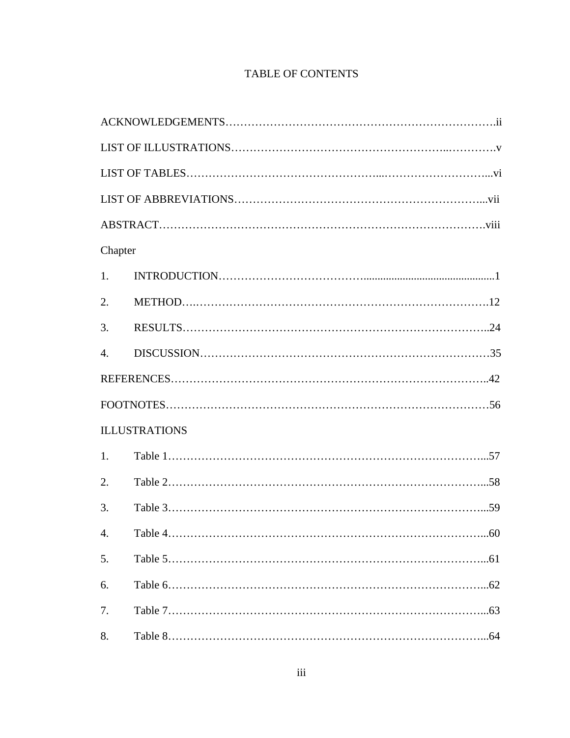# TABLE OF CONTENTS

| Chapter          |                      |  |  |  |
|------------------|----------------------|--|--|--|
| 1.               |                      |  |  |  |
| 2.               |                      |  |  |  |
| 3.               |                      |  |  |  |
| $\overline{4}$ . |                      |  |  |  |
|                  |                      |  |  |  |
|                  | $\text{FOOTNOT}$     |  |  |  |
|                  | <b>ILLUSTRATIONS</b> |  |  |  |
| 1.               |                      |  |  |  |
| 2.               |                      |  |  |  |
| 3.               |                      |  |  |  |
| $\overline{4}$   | 60                   |  |  |  |
| 5.               |                      |  |  |  |
| 6.               |                      |  |  |  |
| 7.               |                      |  |  |  |
| 8.               |                      |  |  |  |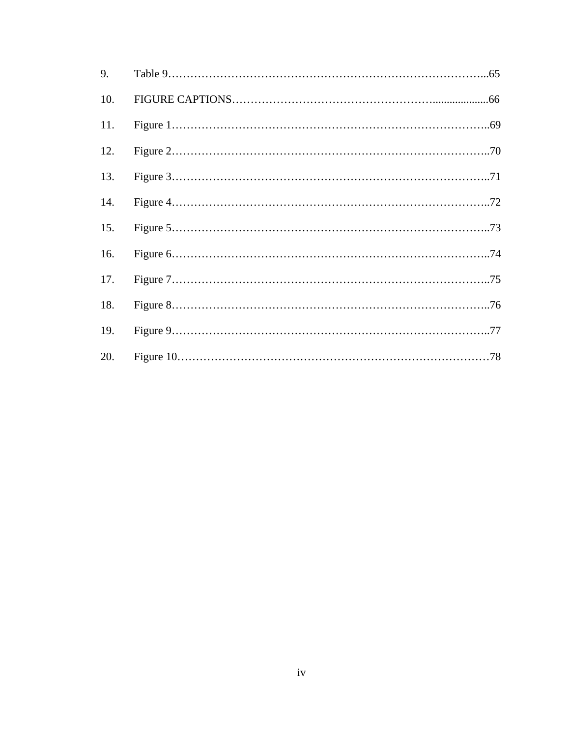| 9.  |  |
|-----|--|
| 10. |  |
|     |  |
| 12. |  |
| 13. |  |
| 14. |  |
| 15. |  |
| 16. |  |
| 17. |  |
| 18. |  |
| 19. |  |
| 20. |  |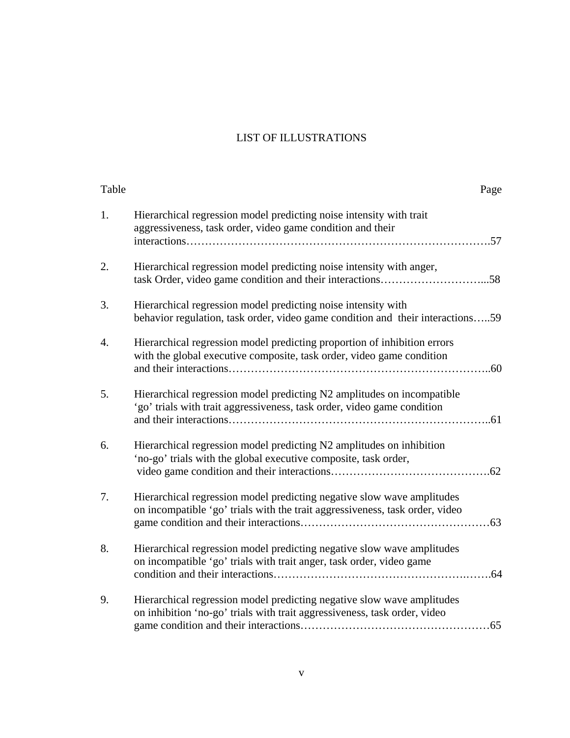# LIST OF ILLUSTRATIONS

| Table            | Page                                                                                                                                                   |
|------------------|--------------------------------------------------------------------------------------------------------------------------------------------------------|
| 1.               | Hierarchical regression model predicting noise intensity with trait<br>aggressiveness, task order, video game condition and their                      |
| 2.               | Hierarchical regression model predicting noise intensity with anger,                                                                                   |
| 3.               | Hierarchical regression model predicting noise intensity with<br>behavior regulation, task order, video game condition and their interactions59        |
| $\overline{4}$ . | Hierarchical regression model predicting proportion of inhibition errors<br>with the global executive composite, task order, video game condition      |
| 5.               | Hierarchical regression model predicting N2 amplitudes on incompatible<br>'go' trials with trait aggressiveness, task order, video game condition      |
| 6.               | Hierarchical regression model predicting N2 amplitudes on inhibition<br>'no-go' trials with the global executive composite, task order,                |
| 7.               | Hierarchical regression model predicting negative slow wave amplitudes<br>on incompatible 'go' trials with the trait aggressiveness, task order, video |
| 8.               | Hierarchical regression model predicting negative slow wave amplitudes<br>on incompatible 'go' trials with trait anger, task order, video game         |
| 9.               | Hierarchical regression model predicting negative slow wave amplitudes<br>on inhibition 'no-go' trials with trait aggressiveness, task order, video    |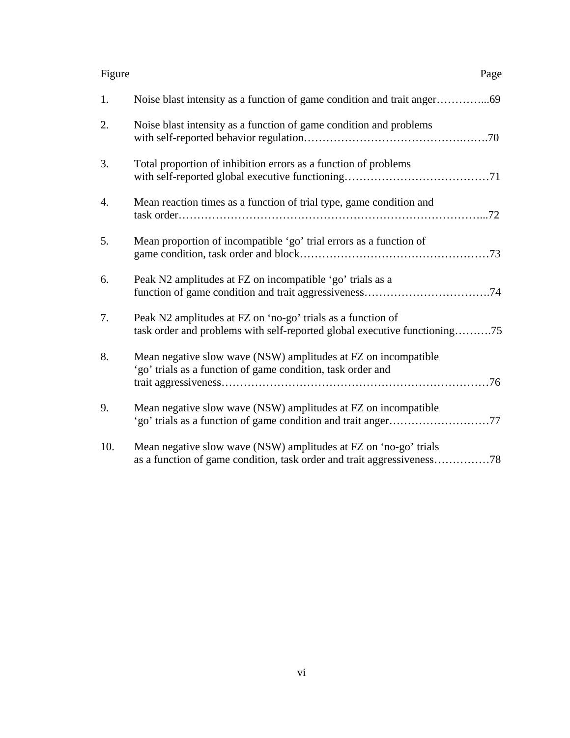| Figure | Page                                                                                                                                     |
|--------|------------------------------------------------------------------------------------------------------------------------------------------|
| 1.     |                                                                                                                                          |
| 2.     | Noise blast intensity as a function of game condition and problems                                                                       |
| 3.     | Total proportion of inhibition errors as a function of problems                                                                          |
| 4.     | Mean reaction times as a function of trial type, game condition and                                                                      |
| 5.     | Mean proportion of incompatible 'go' trial errors as a function of                                                                       |
| 6.     | Peak N2 amplitudes at FZ on incompatible 'go' trials as a                                                                                |
| 7.     | Peak N2 amplitudes at FZ on 'no-go' trials as a function of<br>task order and problems with self-reported global executive functioning75 |
| 8.     | Mean negative slow wave (NSW) amplitudes at FZ on incompatible<br>'go' trials as a function of game condition, task order and            |
| 9.     | Mean negative slow wave (NSW) amplitudes at FZ on incompatible                                                                           |
| 10.    | Mean negative slow wave (NSW) amplitudes at FZ on 'no-go' trials                                                                         |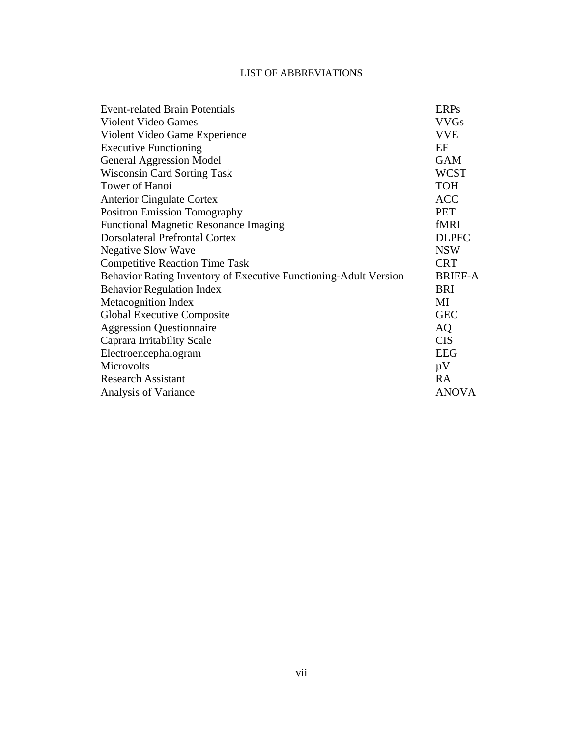### LIST OF ABBREVIATIONS

| <b>Event-related Brain Potentials</b>                            | <b>ERPs</b>    |  |
|------------------------------------------------------------------|----------------|--|
| <b>Violent Video Games</b>                                       |                |  |
| Violent Video Game Experience                                    | <b>VVE</b>     |  |
| <b>Executive Functioning</b>                                     | EF             |  |
| <b>General Aggression Model</b>                                  | <b>GAM</b>     |  |
| <b>Wisconsin Card Sorting Task</b>                               | <b>WCST</b>    |  |
| Tower of Hanoi                                                   | <b>TOH</b>     |  |
| <b>Anterior Cingulate Cortex</b>                                 | <b>ACC</b>     |  |
| <b>Positron Emission Tomography</b>                              | <b>PET</b>     |  |
| <b>Functional Magnetic Resonance Imaging</b>                     | fMRI           |  |
| <b>Dorsolateral Prefrontal Cortex</b>                            | <b>DLPFC</b>   |  |
| <b>Negative Slow Wave</b>                                        | <b>NSW</b>     |  |
| <b>Competitive Reaction Time Task</b>                            | <b>CRT</b>     |  |
| Behavior Rating Inventory of Executive Functioning-Adult Version | <b>BRIEF-A</b> |  |
| <b>Behavior Regulation Index</b>                                 | <b>BRI</b>     |  |
| <b>Metacognition Index</b>                                       | MI             |  |
| Global Executive Composite                                       | <b>GEC</b>     |  |
| <b>Aggression Questionnaire</b>                                  | <b>AQ</b>      |  |
| Caprara Irritability Scale                                       | <b>CIS</b>     |  |
| Electroencephalogram                                             | <b>EEG</b>     |  |
| Microvolts                                                       | $\mu$ V        |  |
| <b>Research Assistant</b>                                        | <b>RA</b>      |  |
| Analysis of Variance                                             | <b>ANOVA</b>   |  |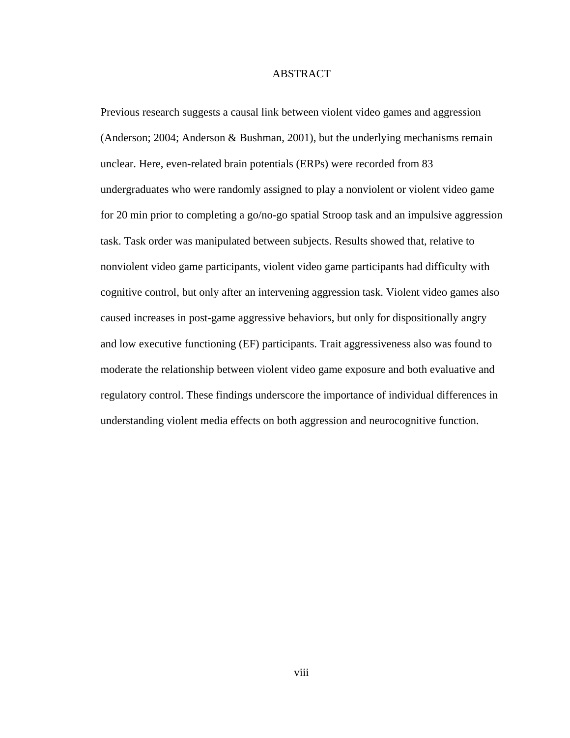#### ABSTRACT

Previous research suggests a causal link between violent video games and aggression (Anderson; 2004; Anderson & Bushman, 2001), but the underlying mechanisms remain unclear. Here, even-related brain potentials (ERPs) were recorded from 83 undergraduates who were randomly assigned to play a nonviolent or violent video game for 20 min prior to completing a go/no-go spatial Stroop task and an impulsive aggression task. Task order was manipulated between subjects. Results showed that, relative to nonviolent video game participants, violent video game participants had difficulty with cognitive control, but only after an intervening aggression task. Violent video games also caused increases in post-game aggressive behaviors, but only for dispositionally angry and low executive functioning (EF) participants. Trait aggressiveness also was found to moderate the relationship between violent video game exposure and both evaluative and regulatory control. These findings underscore the importance of individual differences in understanding violent media effects on both aggression and neurocognitive function.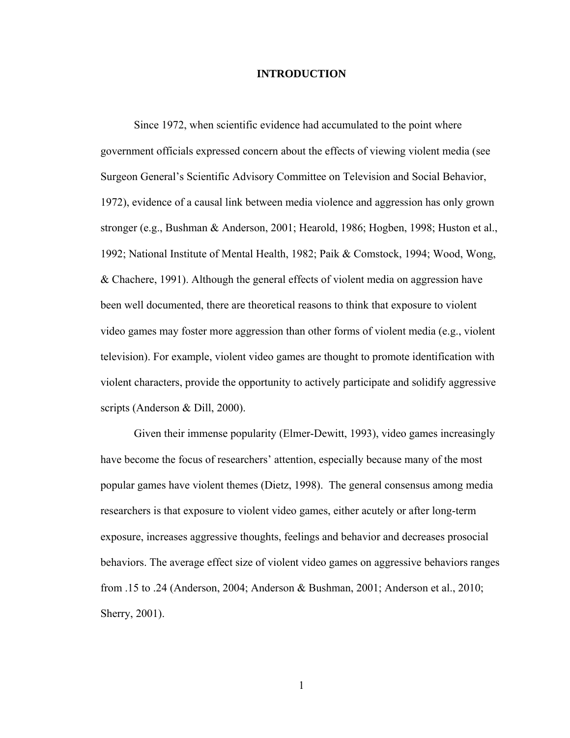#### **INTRODUCTION**

 Since 1972, when scientific evidence had accumulated to the point where government officials expressed concern about the effects of viewing violent media (see Surgeon General's Scientific Advisory Committee on Television and Social Behavior, 1972), evidence of a causal link between media violence and aggression has only grown stronger (e.g., Bushman & Anderson, 2001; Hearold, 1986; Hogben, 1998; Huston et al., 1992; National Institute of Mental Health, 1982; Paik & Comstock, 1994; Wood, Wong, & Chachere, 1991). Although the general effects of violent media on aggression have been well documented, there are theoretical reasons to think that exposure to violent video games may foster more aggression than other forms of violent media (e.g., violent television). For example, violent video games are thought to promote identification with violent characters, provide the opportunity to actively participate and solidify aggressive scripts (Anderson & Dill, 2000).

Given their immense popularity (Elmer-Dewitt, 1993), video games increasingly have become the focus of researchers' attention, especially because many of the most popular games have violent themes (Dietz, 1998). The general consensus among media researchers is that exposure to violent video games, either acutely or after long-term exposure, increases aggressive thoughts, feelings and behavior and decreases prosocial behaviors. The average effect size of violent video games on aggressive behaviors ranges from .15 to .24 (Anderson, 2004; Anderson & Bushman, 2001; Anderson et al., 2010; Sherry, 2001).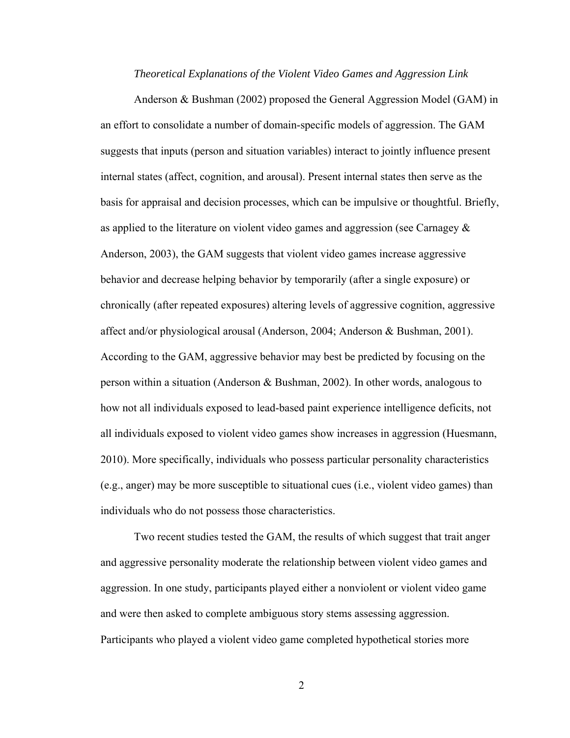#### *Theoretical Explanations of the Violent Video Games and Aggression Link*

Anderson & Bushman (2002) proposed the General Aggression Model (GAM) in an effort to consolidate a number of domain-specific models of aggression. The GAM suggests that inputs (person and situation variables) interact to jointly influence present internal states (affect, cognition, and arousal). Present internal states then serve as the basis for appraisal and decision processes, which can be impulsive or thoughtful. Briefly, as applied to the literature on violent video games and aggression (see Carnagey & Anderson, 2003), the GAM suggests that violent video games increase aggressive behavior and decrease helping behavior by temporarily (after a single exposure) or chronically (after repeated exposures) altering levels of aggressive cognition, aggressive affect and/or physiological arousal (Anderson, 2004; Anderson & Bushman, 2001). According to the GAM, aggressive behavior may best be predicted by focusing on the person within a situation (Anderson & Bushman, 2002). In other words, analogous to how not all individuals exposed to lead-based paint experience intelligence deficits, not all individuals exposed to violent video games show increases in aggression (Huesmann, 2010). More specifically, individuals who possess particular personality characteristics (e.g., anger) may be more susceptible to situational cues (i.e., violent video games) than individuals who do not possess those characteristics.

Two recent studies tested the GAM, the results of which suggest that trait anger and aggressive personality moderate the relationship between violent video games and aggression. In one study, participants played either a nonviolent or violent video game and were then asked to complete ambiguous story stems assessing aggression. Participants who played a violent video game completed hypothetical stories more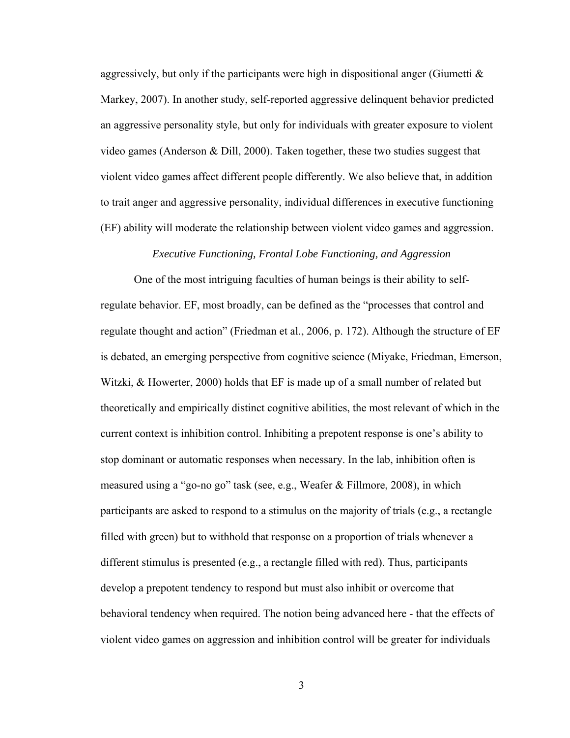aggressively, but only if the participants were high in dispositional anger (Giumetti  $\&$ Markey, 2007). In another study, self-reported aggressive delinquent behavior predicted an aggressive personality style, but only for individuals with greater exposure to violent video games (Anderson & Dill, 2000). Taken together, these two studies suggest that violent video games affect different people differently. We also believe that, in addition to trait anger and aggressive personality, individual differences in executive functioning (EF) ability will moderate the relationship between violent video games and aggression.

#### *Executive Functioning, Frontal Lobe Functioning, and Aggression*

One of the most intriguing faculties of human beings is their ability to selfregulate behavior. EF, most broadly, can be defined as the "processes that control and regulate thought and action" (Friedman et al., 2006, p. 172). Although the structure of EF is debated, an emerging perspective from cognitive science (Miyake, Friedman, Emerson, Witzki, & Howerter, 2000) holds that EF is made up of a small number of related but theoretically and empirically distinct cognitive abilities, the most relevant of which in the current context is inhibition control. Inhibiting a prepotent response is one's ability to stop dominant or automatic responses when necessary. In the lab, inhibition often is measured using a "go-no go" task (see, e.g., Weafer & Fillmore, 2008), in which participants are asked to respond to a stimulus on the majority of trials (e.g., a rectangle filled with green) but to withhold that response on a proportion of trials whenever a different stimulus is presented (e.g., a rectangle filled with red). Thus, participants develop a prepotent tendency to respond but must also inhibit or overcome that behavioral tendency when required. The notion being advanced here - that the effects of violent video games on aggression and inhibition control will be greater for individuals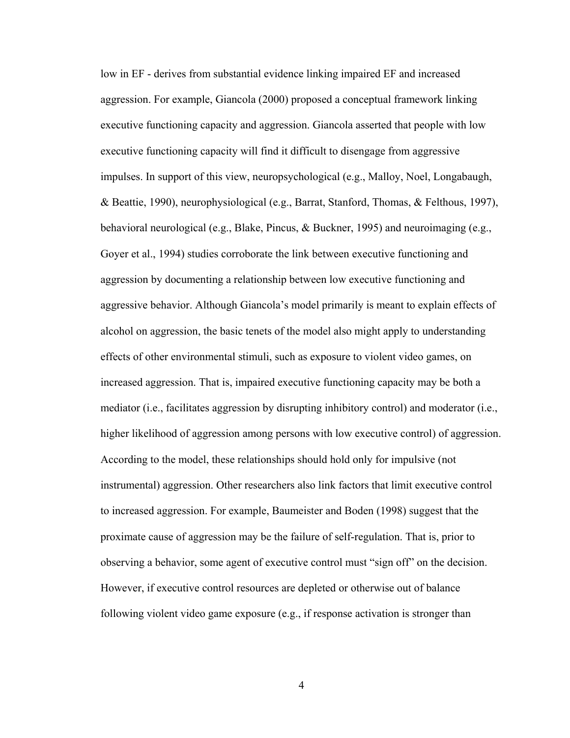low in EF - derives from substantial evidence linking impaired EF and increased aggression. For example, Giancola (2000) proposed a conceptual framework linking executive functioning capacity and aggression. Giancola asserted that people with low executive functioning capacity will find it difficult to disengage from aggressive impulses. In support of this view, neuropsychological (e.g., Malloy, Noel, Longabaugh, & Beattie, 1990), neurophysiological (e.g., Barrat, Stanford, Thomas, & Felthous, 1997), behavioral neurological (e.g., Blake, Pincus, & Buckner, 1995) and neuroimaging (e.g., Goyer et al., 1994) studies corroborate the link between executive functioning and aggression by documenting a relationship between low executive functioning and aggressive behavior. Although Giancola's model primarily is meant to explain effects of alcohol on aggression, the basic tenets of the model also might apply to understanding effects of other environmental stimuli, such as exposure to violent video games, on increased aggression. That is, impaired executive functioning capacity may be both a mediator (i.e., facilitates aggression by disrupting inhibitory control) and moderator (i.e., higher likelihood of aggression among persons with low executive control) of aggression. According to the model, these relationships should hold only for impulsive (not instrumental) aggression. Other researchers also link factors that limit executive control to increased aggression. For example, Baumeister and Boden (1998) suggest that the proximate cause of aggression may be the failure of self-regulation. That is, prior to observing a behavior, some agent of executive control must "sign off" on the decision. However, if executive control resources are depleted or otherwise out of balance following violent video game exposure (e.g., if response activation is stronger than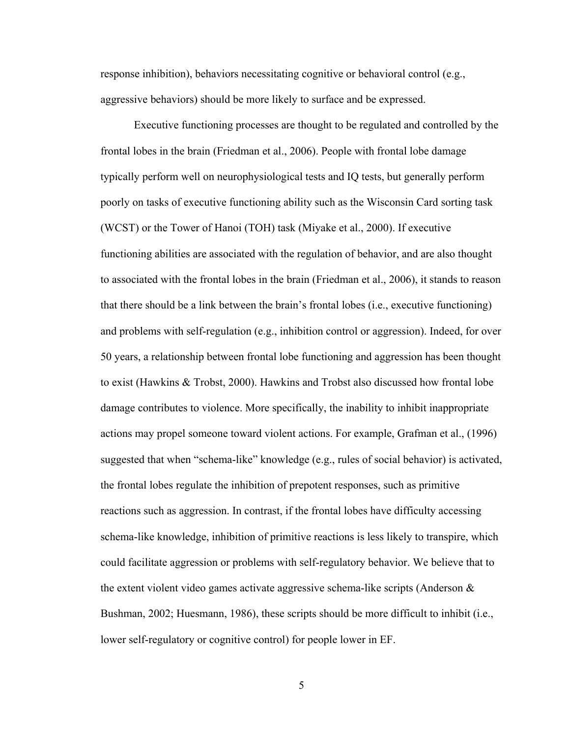response inhibition), behaviors necessitating cognitive or behavioral control (e.g., aggressive behaviors) should be more likely to surface and be expressed.

Executive functioning processes are thought to be regulated and controlled by the frontal lobes in the brain (Friedman et al., 2006). People with frontal lobe damage typically perform well on neurophysiological tests and IQ tests, but generally perform poorly on tasks of executive functioning ability such as the Wisconsin Card sorting task (WCST) or the Tower of Hanoi (TOH) task (Miyake et al., 2000). If executive functioning abilities are associated with the regulation of behavior, and are also thought to associated with the frontal lobes in the brain (Friedman et al., 2006), it stands to reason that there should be a link between the brain's frontal lobes (i.e., executive functioning) and problems with self-regulation (e.g., inhibition control or aggression). Indeed, for over 50 years, a relationship between frontal lobe functioning and aggression has been thought to exist (Hawkins & Trobst, 2000). Hawkins and Trobst also discussed how frontal lobe damage contributes to violence. More specifically, the inability to inhibit inappropriate actions may propel someone toward violent actions. For example, Grafman et al., (1996) suggested that when "schema-like" knowledge (e.g., rules of social behavior) is activated, the frontal lobes regulate the inhibition of prepotent responses, such as primitive reactions such as aggression. In contrast, if the frontal lobes have difficulty accessing schema-like knowledge, inhibition of primitive reactions is less likely to transpire, which could facilitate aggression or problems with self-regulatory behavior. We believe that to the extent violent video games activate aggressive schema-like scripts (Anderson  $\&$ Bushman, 2002; Huesmann, 1986), these scripts should be more difficult to inhibit (i.e., lower self-regulatory or cognitive control) for people lower in EF.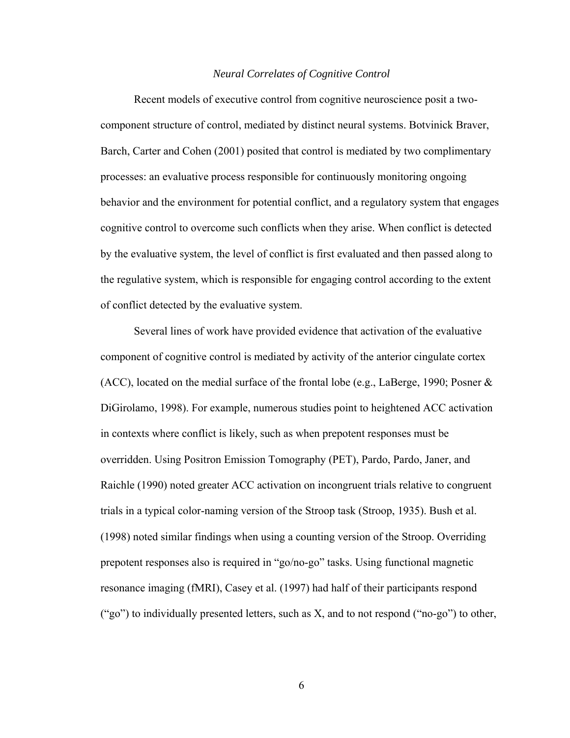#### *Neural Correlates of Cognitive Control*

 Recent models of executive control from cognitive neuroscience posit a twocomponent structure of control, mediated by distinct neural systems. Botvinick Braver, Barch, Carter and Cohen (2001) posited that control is mediated by two complimentary processes: an evaluative process responsible for continuously monitoring ongoing behavior and the environment for potential conflict, and a regulatory system that engages cognitive control to overcome such conflicts when they arise. When conflict is detected by the evaluative system, the level of conflict is first evaluated and then passed along to the regulative system, which is responsible for engaging control according to the extent of conflict detected by the evaluative system.

 Several lines of work have provided evidence that activation of the evaluative component of cognitive control is mediated by activity of the anterior cingulate cortex (ACC), located on the medial surface of the frontal lobe (e.g., LaBerge, 1990; Posner & DiGirolamo, 1998). For example, numerous studies point to heightened ACC activation in contexts where conflict is likely, such as when prepotent responses must be overridden. Using Positron Emission Tomography (PET), Pardo, Pardo, Janer, and Raichle (1990) noted greater ACC activation on incongruent trials relative to congruent trials in a typical color-naming version of the Stroop task (Stroop, 1935). Bush et al. (1998) noted similar findings when using a counting version of the Stroop. Overriding prepotent responses also is required in "go/no-go" tasks. Using functional magnetic resonance imaging (fMRI), Casey et al. (1997) had half of their participants respond ("go") to individually presented letters, such as  $X$ , and to not respond ("no-go") to other,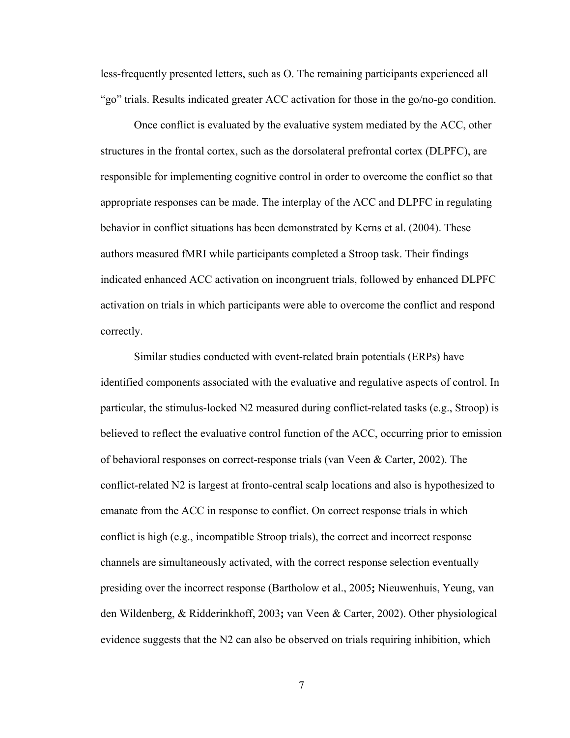less-frequently presented letters, such as O. The remaining participants experienced all "go" trials. Results indicated greater ACC activation for those in the go/no-go condition.

 Once conflict is evaluated by the evaluative system mediated by the ACC, other structures in the frontal cortex, such as the dorsolateral prefrontal cortex (DLPFC), are responsible for implementing cognitive control in order to overcome the conflict so that appropriate responses can be made. The interplay of the ACC and DLPFC in regulating behavior in conflict situations has been demonstrated by Kerns et al. (2004). These authors measured fMRI while participants completed a Stroop task. Their findings indicated enhanced ACC activation on incongruent trials, followed by enhanced DLPFC activation on trials in which participants were able to overcome the conflict and respond correctly.

 Similar studies conducted with event-related brain potentials (ERPs) have identified components associated with the evaluative and regulative aspects of control. In particular, the stimulus-locked N2 measured during conflict-related tasks (e.g., Stroop) is believed to reflect the evaluative control function of the ACC, occurring prior to emission of behavioral responses on correct-response trials (van Veen & Carter, 2002). The conflict-related N2 is largest at fronto-central scalp locations and also is hypothesized to emanate from the ACC in response to conflict. On correct response trials in which conflict is high (e.g., incompatible Stroop trials), the correct and incorrect response channels are simultaneously activated, with the correct response selection eventually presiding over the incorrect response (Bartholow et al., 2005**;** Nieuwenhuis, Yeung, van den Wildenberg, & Ridderinkhoff, 2003**;** van Veen & Carter, 2002). Other physiological evidence suggests that the N2 can also be observed on trials requiring inhibition, which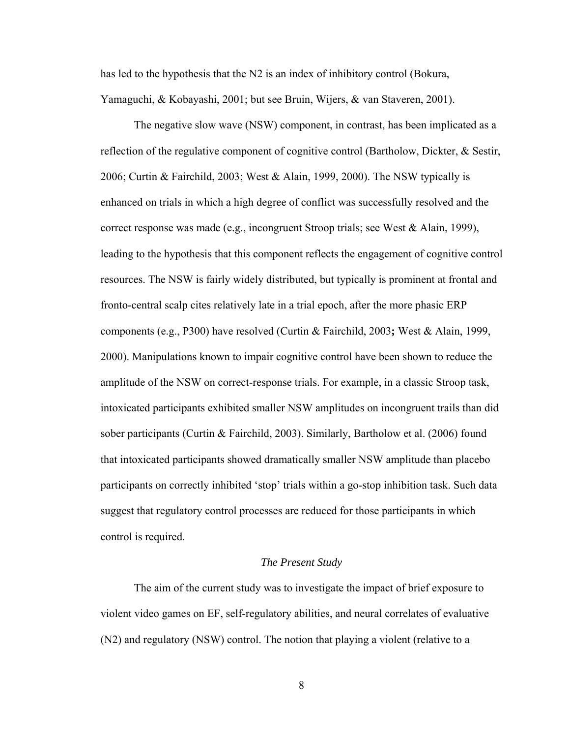has led to the hypothesis that the N2 is an index of inhibitory control (Bokura, Yamaguchi, & Kobayashi, 2001; but see Bruin, Wijers, & van Staveren, 2001).

 The negative slow wave (NSW) component, in contrast, has been implicated as a reflection of the regulative component of cognitive control (Bartholow, Dickter, & Sestir, 2006; Curtin & Fairchild, 2003; West & Alain, 1999, 2000). The NSW typically is enhanced on trials in which a high degree of conflict was successfully resolved and the correct response was made (e.g., incongruent Stroop trials; see West & Alain, 1999), leading to the hypothesis that this component reflects the engagement of cognitive control resources. The NSW is fairly widely distributed, but typically is prominent at frontal and fronto-central scalp cites relatively late in a trial epoch, after the more phasic ERP components (e.g., P300) have resolved (Curtin & Fairchild, 2003**;** West & Alain, 1999, 2000). Manipulations known to impair cognitive control have been shown to reduce the amplitude of the NSW on correct-response trials. For example, in a classic Stroop task, intoxicated participants exhibited smaller NSW amplitudes on incongruent trails than did sober participants (Curtin & Fairchild, 2003). Similarly, Bartholow et al. (2006) found that intoxicated participants showed dramatically smaller NSW amplitude than placebo participants on correctly inhibited 'stop' trials within a go-stop inhibition task. Such data suggest that regulatory control processes are reduced for those participants in which control is required.

#### *The Present Study*

The aim of the current study was to investigate the impact of brief exposure to violent video games on EF, self-regulatory abilities, and neural correlates of evaluative (N2) and regulatory (NSW) control. The notion that playing a violent (relative to a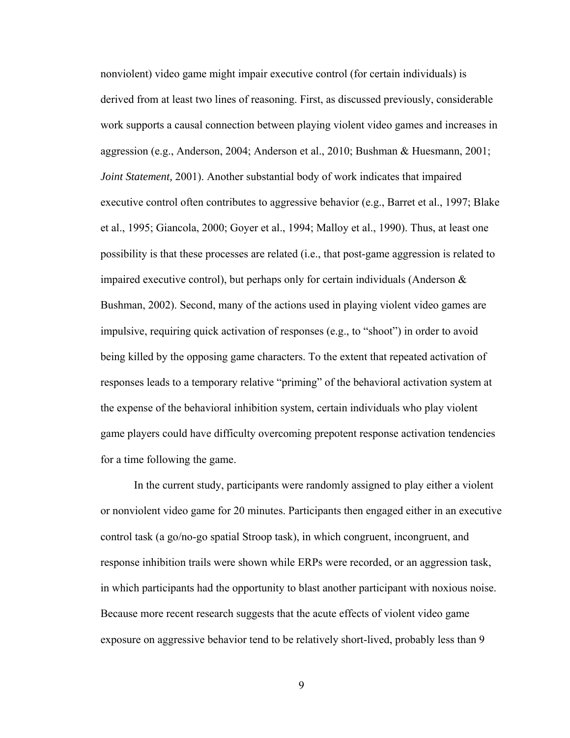nonviolent) video game might impair executive control (for certain individuals) is derived from at least two lines of reasoning. First, as discussed previously, considerable work supports a causal connection between playing violent video games and increases in aggression (e.g., Anderson, 2004; Anderson et al., 2010; Bushman & Huesmann, 2001; *Joint Statement,* 2001). Another substantial body of work indicates that impaired executive control often contributes to aggressive behavior (e.g., Barret et al., 1997; Blake et al., 1995; Giancola, 2000; Goyer et al., 1994; Malloy et al., 1990). Thus, at least one possibility is that these processes are related (i.e., that post-game aggression is related to impaired executive control), but perhaps only for certain individuals (Anderson  $\&$ Bushman, 2002). Second, many of the actions used in playing violent video games are impulsive, requiring quick activation of responses (e.g., to "shoot") in order to avoid being killed by the opposing game characters. To the extent that repeated activation of responses leads to a temporary relative "priming" of the behavioral activation system at the expense of the behavioral inhibition system, certain individuals who play violent game players could have difficulty overcoming prepotent response activation tendencies for a time following the game.

 In the current study, participants were randomly assigned to play either a violent or nonviolent video game for 20 minutes. Participants then engaged either in an executive control task (a go/no-go spatial Stroop task), in which congruent, incongruent, and response inhibition trails were shown while ERPs were recorded, or an aggression task, in which participants had the opportunity to blast another participant with noxious noise. Because more recent research suggests that the acute effects of violent video game exposure on aggressive behavior tend to be relatively short-lived, probably less than 9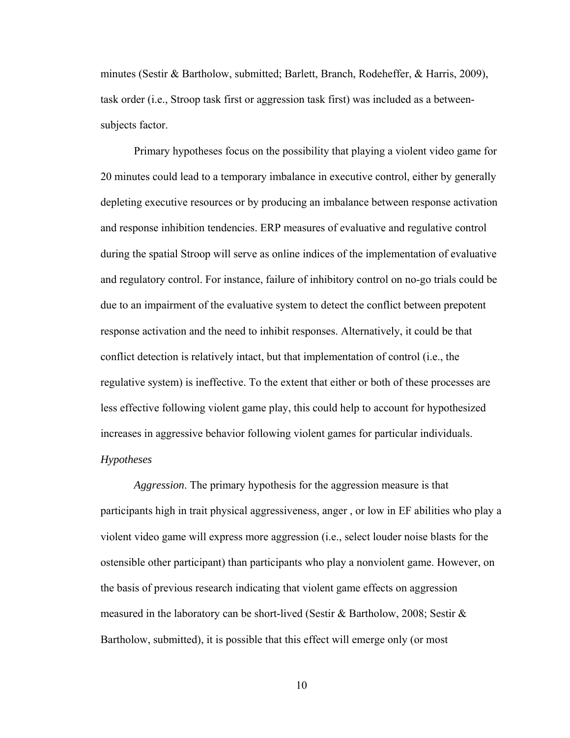minutes (Sestir & Bartholow, submitted; Barlett, Branch, Rodeheffer, & Harris, 2009), task order (i.e., Stroop task first or aggression task first) was included as a betweensubjects factor.

Primary hypotheses focus on the possibility that playing a violent video game for 20 minutes could lead to a temporary imbalance in executive control, either by generally depleting executive resources or by producing an imbalance between response activation and response inhibition tendencies. ERP measures of evaluative and regulative control during the spatial Stroop will serve as online indices of the implementation of evaluative and regulatory control. For instance, failure of inhibitory control on no-go trials could be due to an impairment of the evaluative system to detect the conflict between prepotent response activation and the need to inhibit responses. Alternatively, it could be that conflict detection is relatively intact, but that implementation of control (i.e., the regulative system) is ineffective. To the extent that either or both of these processes are less effective following violent game play, this could help to account for hypothesized increases in aggressive behavior following violent games for particular individuals.

### *Hypotheses*

*Aggression*. The primary hypothesis for the aggression measure is that participants high in trait physical aggressiveness, anger , or low in EF abilities who play a violent video game will express more aggression (i.e., select louder noise blasts for the ostensible other participant) than participants who play a nonviolent game. However, on the basis of previous research indicating that violent game effects on aggression measured in the laboratory can be short-lived (Sestir & Bartholow, 2008; Sestir & Bartholow, submitted), it is possible that this effect will emerge only (or most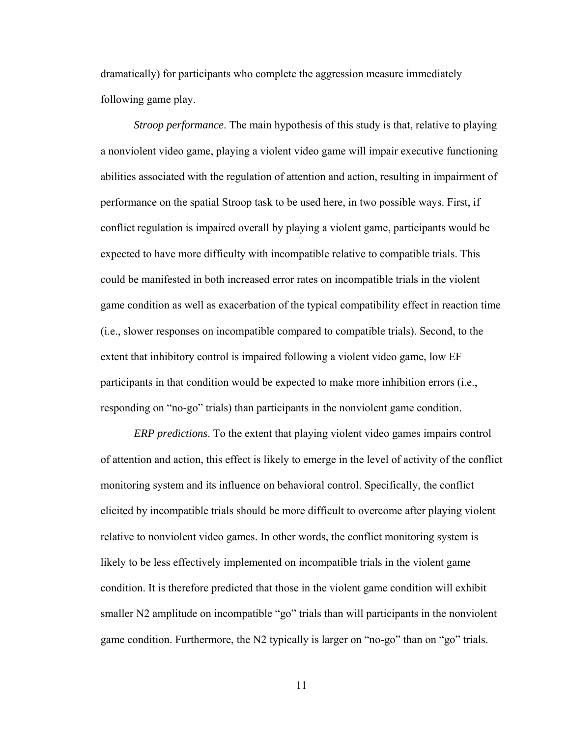dramatically) for participants who complete the aggression measure immediately following game play.

*Stroop performance*. The main hypothesis of this study is that, relative to playing a nonviolent video game, playing a violent video game will impair executive functioning abilities associated with the regulation of attention and action, resulting in impairment of performance on the spatial Stroop task to be used here, in two possible ways. First, if conflict regulation is impaired overall by playing a violent game, participants would be expected to have more difficulty with incompatible relative to compatible trials. This could be manifested in both increased error rates on incompatible trials in the violent game condition as well as exacerbation of the typical compatibility effect in reaction time (i.e., slower responses on incompatible compared to compatible trials). Second, to the extent that inhibitory control is impaired following a violent video game, low EF participants in that condition would be expected to make more inhibition errors (i.e., responding on "no-go" trials) than participants in the nonviolent game condition.

*ERP predictions*. To the extent that playing violent video games impairs control of attention and action, this effect is likely to emerge in the level of activity of the conflict monitoring system and its influence on behavioral control. Specifically, the conflict elicited by incompatible trials should be more difficult to overcome after playing violent relative to nonviolent video games. In other words, the conflict monitoring system is likely to be less effectively implemented on incompatible trials in the violent game condition. It is therefore predicted that those in the violent game condition will exhibit smaller N2 amplitude on incompatible "go" trials than will participants in the nonviolent game condition. Furthermore, the N2 typically is larger on "no-go" than on "go" trials.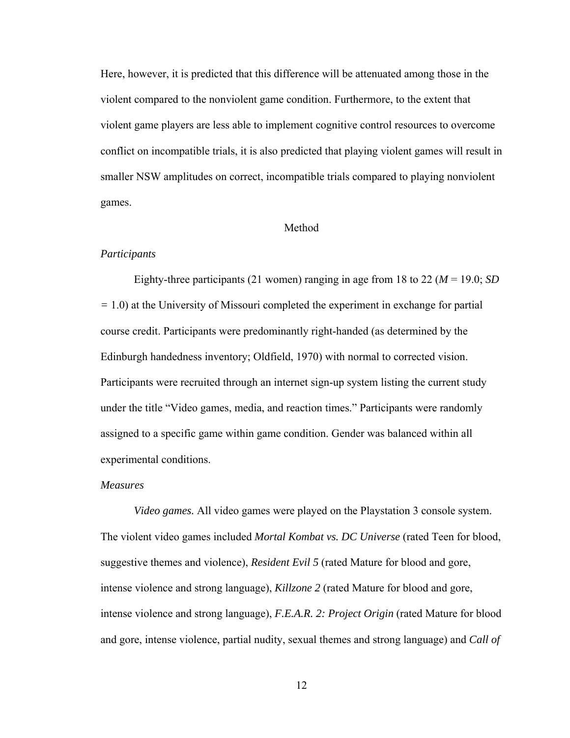Here, however, it is predicted that this difference will be attenuated among those in the violent compared to the nonviolent game condition. Furthermore, to the extent that violent game players are less able to implement cognitive control resources to overcome conflict on incompatible trials, it is also predicted that playing violent games will result in smaller NSW amplitudes on correct, incompatible trials compared to playing nonviolent games.

#### Method

#### *Participants*

 Eighty-three participants (21 women) ranging in age from 18 to 22 (*M* = 19.0; *SD =* 1.0) at the University of Missouri completed the experiment in exchange for partial course credit. Participants were predominantly right-handed (as determined by the Edinburgh handedness inventory; Oldfield, 1970) with normal to corrected vision. Participants were recruited through an internet sign-up system listing the current study under the title "Video games, media, and reaction times." Participants were randomly assigned to a specific game within game condition. Gender was balanced within all experimental conditions.

#### *Measures*

*Video games.* All video games were played on the Playstation 3 console system. The violent video games included *Mortal Kombat vs. DC Universe* (rated Teen for blood, suggestive themes and violence), *Resident Evil 5* (rated Mature for blood and gore, intense violence and strong language), *Killzone 2* (rated Mature for blood and gore, intense violence and strong language), *F.E.A.R. 2: Project Origin* (rated Mature for blood and gore, intense violence, partial nudity, sexual themes and strong language) and *Call of*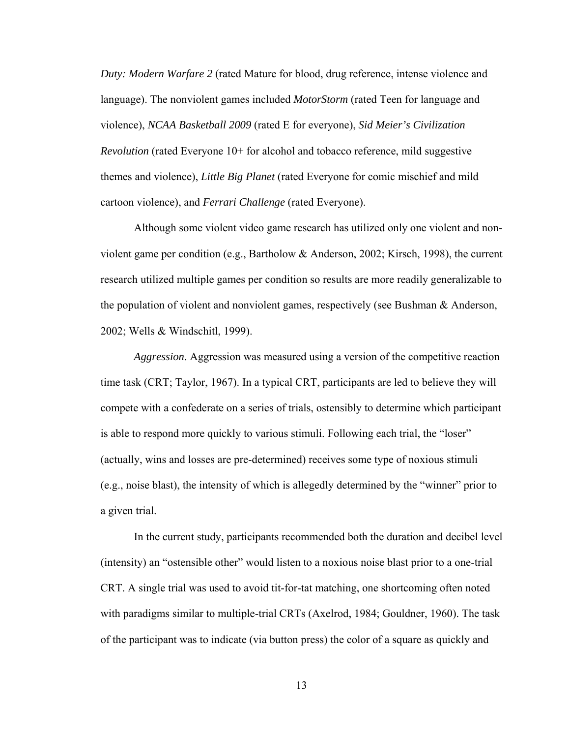*Duty: Modern Warfare 2* (rated Mature for blood, drug reference, intense violence and language). The nonviolent games included *MotorStorm* (rated Teen for language and violence), *NCAA Basketball 2009* (rated E for everyone), *Sid Meier's Civilization Revolution* (rated Everyone 10+ for alcohol and tobacco reference, mild suggestive themes and violence), *Little Big Planet* (rated Everyone for comic mischief and mild cartoon violence), and *Ferrari Challenge* (rated Everyone).

Although some violent video game research has utilized only one violent and nonviolent game per condition (e.g., Bartholow & Anderson, 2002; Kirsch, 1998), the current research utilized multiple games per condition so results are more readily generalizable to the population of violent and nonviolent games, respectively (see Bushman & Anderson, 2002; Wells & Windschitl, 1999).

*Aggression*. Aggression was measured using a version of the competitive reaction time task (CRT; Taylor, 1967). In a typical CRT, participants are led to believe they will compete with a confederate on a series of trials, ostensibly to determine which participant is able to respond more quickly to various stimuli. Following each trial, the "loser" (actually, wins and losses are pre-determined) receives some type of noxious stimuli (e.g., noise blast), the intensity of which is allegedly determined by the "winner" prior to a given trial.

In the current study, participants recommended both the duration and decibel level (intensity) an "ostensible other" would listen to a noxious noise blast prior to a one-trial CRT. A single trial was used to avoid tit-for-tat matching, one shortcoming often noted with paradigms similar to multiple-trial CRTs (Axelrod, 1984; Gouldner, 1960). The task of the participant was to indicate (via button press) the color of a square as quickly and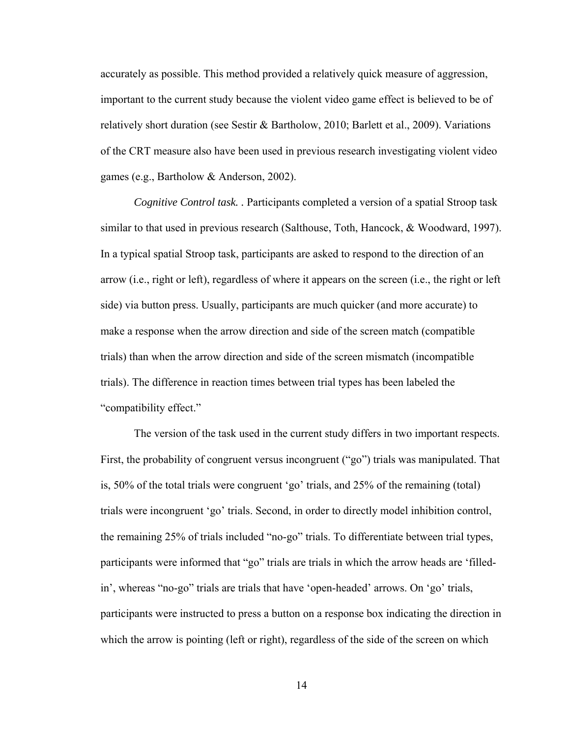accurately as possible. This method provided a relatively quick measure of aggression, important to the current study because the violent video game effect is believed to be of relatively short duration (see Sestir & Bartholow, 2010; Barlett et al., 2009). Variations of the CRT measure also have been used in previous research investigating violent video games (e.g., Bartholow & Anderson, 2002).

*Cognitive Control task. .* Participants completed a version of a spatial Stroop task similar to that used in previous research (Salthouse, Toth, Hancock, & Woodward, 1997). In a typical spatial Stroop task, participants are asked to respond to the direction of an arrow (i.e., right or left), regardless of where it appears on the screen (i.e., the right or left side) via button press. Usually, participants are much quicker (and more accurate) to make a response when the arrow direction and side of the screen match (compatible trials) than when the arrow direction and side of the screen mismatch (incompatible trials). The difference in reaction times between trial types has been labeled the "compatibility effect."

The version of the task used in the current study differs in two important respects. First, the probability of congruent versus incongruent ("go") trials was manipulated. That is, 50% of the total trials were congruent 'go' trials, and 25% of the remaining (total) trials were incongruent 'go' trials. Second, in order to directly model inhibition control, the remaining 25% of trials included "no-go" trials. To differentiate between trial types, participants were informed that "go" trials are trials in which the arrow heads are 'filledin', whereas "no-go" trials are trials that have 'open-headed' arrows. On 'go' trials, participants were instructed to press a button on a response box indicating the direction in which the arrow is pointing (left or right), regardless of the side of the screen on which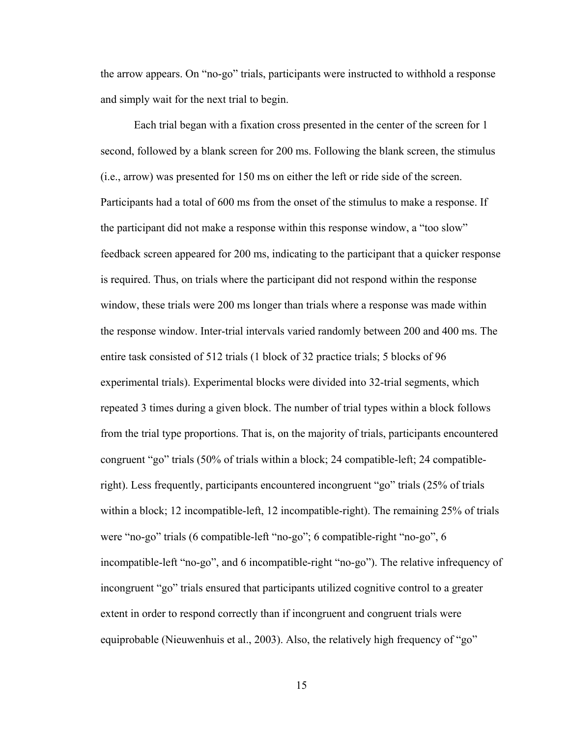the arrow appears. On "no-go" trials, participants were instructed to withhold a response and simply wait for the next trial to begin.

 Each trial began with a fixation cross presented in the center of the screen for 1 second, followed by a blank screen for 200 ms. Following the blank screen, the stimulus (i.e., arrow) was presented for 150 ms on either the left or ride side of the screen. Participants had a total of 600 ms from the onset of the stimulus to make a response. If the participant did not make a response within this response window, a "too slow" feedback screen appeared for 200 ms, indicating to the participant that a quicker response is required. Thus, on trials where the participant did not respond within the response window, these trials were 200 ms longer than trials where a response was made within the response window. Inter-trial intervals varied randomly between 200 and 400 ms. The entire task consisted of 512 trials (1 block of 32 practice trials; 5 blocks of 96 experimental trials). Experimental blocks were divided into 32-trial segments, which repeated 3 times during a given block. The number of trial types within a block follows from the trial type proportions. That is, on the majority of trials, participants encountered congruent "go" trials (50% of trials within a block; 24 compatible-left; 24 compatibleright). Less frequently, participants encountered incongruent "go" trials (25% of trials within a block; 12 incompatible-left, 12 incompatible-right). The remaining 25% of trials were "no-go" trials (6 compatible-left "no-go"; 6 compatible-right "no-go", 6 incompatible-left "no-go", and 6 incompatible-right "no-go"). The relative infrequency of incongruent "go" trials ensured that participants utilized cognitive control to a greater extent in order to respond correctly than if incongruent and congruent trials were equiprobable (Nieuwenhuis et al., 2003). Also, the relatively high frequency of "go"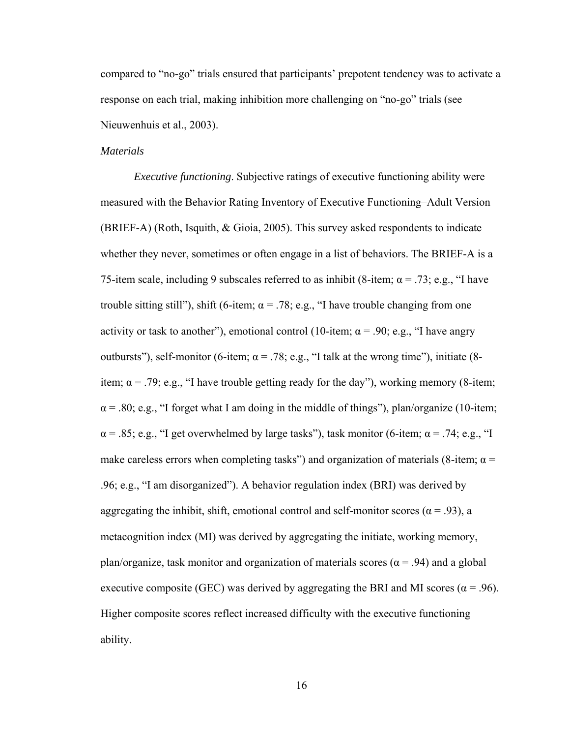compared to "no-go" trials ensured that participants' prepotent tendency was to activate a response on each trial, making inhibition more challenging on "no-go" trials (see Nieuwenhuis et al., 2003).

### *Materials*

 *Executive functioning*. Subjective ratings of executive functioning ability were measured with the Behavior Rating Inventory of Executive Functioning–Adult Version (BRIEF-A) (Roth, Isquith, & Gioia, 2005). This survey asked respondents to indicate whether they never, sometimes or often engage in a list of behaviors. The BRIEF-A is a 75-item scale, including 9 subscales referred to as inhibit (8-item;  $\alpha$  = .73; e.g., "I have trouble sitting still"), shift (6-item;  $\alpha = .78$ ; e.g., "I have trouble changing from one activity or task to another"), emotional control (10-item;  $\alpha$  = .90; e.g., "I have angry outbursts"), self-monitor (6-item;  $\alpha = .78$ ; e.g., "I talk at the wrong time"), initiate (8item;  $\alpha$  = .79; e.g., "I have trouble getting ready for the day"), working memory (8-item;  $\alpha$  = .80; e.g., "I forget what I am doing in the middle of things"), plan/organize (10-item;  $\alpha$  = .85; e.g., "I get overwhelmed by large tasks"), task monitor (6-item;  $\alpha$  = .74; e.g., "I make careless errors when completing tasks") and organization of materials (8-item;  $\alpha$  = .96; e.g., "I am disorganized"). A behavior regulation index (BRI) was derived by aggregating the inhibit, shift, emotional control and self-monitor scores ( $\alpha$  = .93), a metacognition index (MI) was derived by aggregating the initiate, working memory, plan/organize, task monitor and organization of materials scores ( $\alpha$  = .94) and a global executive composite (GEC) was derived by aggregating the BRI and MI scores ( $\alpha$  = .96). Higher composite scores reflect increased difficulty with the executive functioning ability.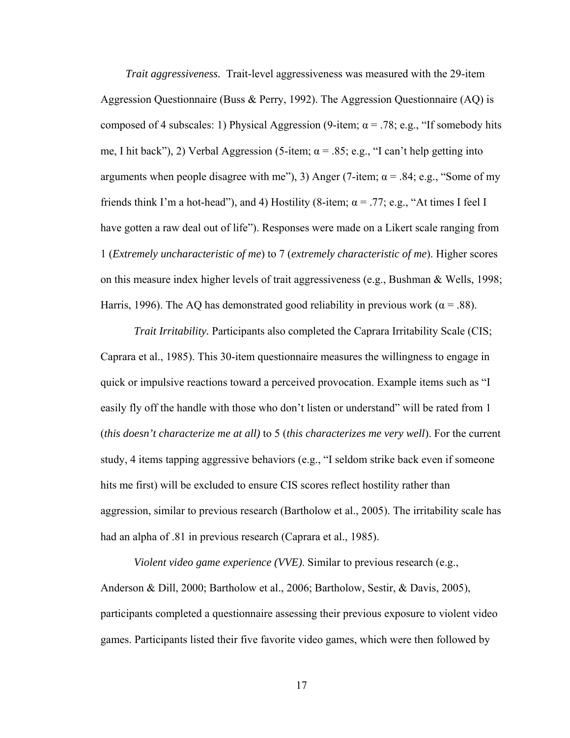*Trait aggressiveness.* Trait-level aggressiveness was measured with the 29-item Aggression Questionnaire (Buss & Perry, 1992). The Aggression Questionnaire (AQ) is composed of 4 subscales: 1) Physical Aggression (9-item;  $\alpha$  = .78; e.g., "If somebody hits me, I hit back"), 2) Verbal Aggression (5-item;  $\alpha$  = .85; e.g., "I can't help getting into arguments when people disagree with me"), 3) Anger (7-item;  $\alpha$  = .84; e.g., "Some of my friends think I'm a hot-head"), and 4) Hostility (8-item;  $\alpha = .77$ ; e.g., "At times I feel I have gotten a raw deal out of life"). Responses were made on a Likert scale ranging from 1 (*Extremely uncharacteristic of me*) to 7 (*extremely characteristic of me*). Higher scores on this measure index higher levels of trait aggressiveness (e.g., Bushman & Wells, 1998; Harris, 1996). The AQ has demonstrated good reliability in previous work ( $\alpha$  = .88).

*Trait Irritability.* Participants also completed the Caprara Irritability Scale (CIS; Caprara et al., 1985). This 30-item questionnaire measures the willingness to engage in quick or impulsive reactions toward a perceived provocation. Example items such as "I easily fly off the handle with those who don't listen or understand" will be rated from 1 (*this doesn't characterize me at all)* to 5 (*this characterizes me very well*). For the current study, 4 items tapping aggressive behaviors (e.g., "I seldom strike back even if someone hits me first) will be excluded to ensure CIS scores reflect hostility rather than aggression, similar to previous research (Bartholow et al., 2005). The irritability scale has had an alpha of .81 in previous research (Caprara et al., 1985).

*Violent video game experience (VVE)*. Similar to previous research (e.g., Anderson & Dill, 2000; Bartholow et al., 2006; Bartholow, Sestir, & Davis, 2005), participants completed a questionnaire assessing their previous exposure to violent video games. Participants listed their five favorite video games, which were then followed by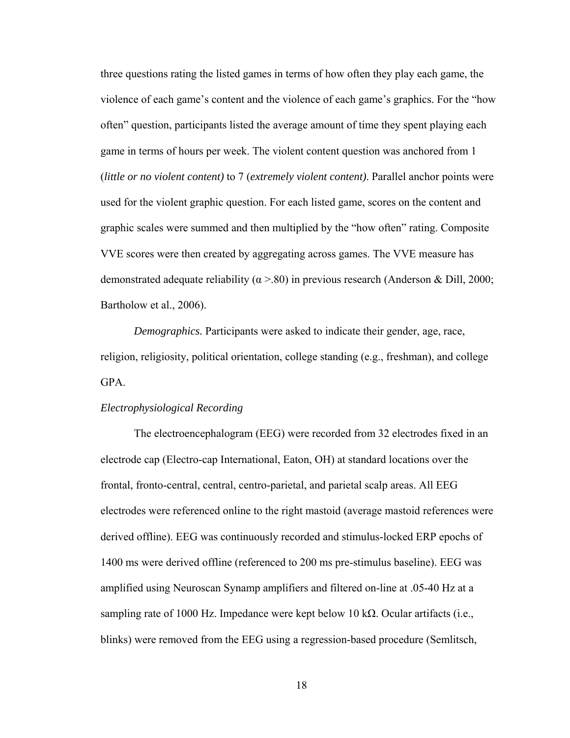three questions rating the listed games in terms of how often they play each game, the violence of each game's content and the violence of each game's graphics. For the "how often" question, participants listed the average amount of time they spent playing each game in terms of hours per week. The violent content question was anchored from 1 (*little or no violent content)* to 7 (*extremely violent content)*. Parallel anchor points were used for the violent graphic question. For each listed game, scores on the content and graphic scales were summed and then multiplied by the "how often" rating. Composite VVE scores were then created by aggregating across games. The VVE measure has demonstrated adequate reliability ( $\alpha$  >.80) in previous research (Anderson & Dill, 2000; Bartholow et al., 2006).

*Demographics.* Participants were asked to indicate their gender, age, race, religion, religiosity, political orientation, college standing (e.g., freshman), and college GPA.

#### *Electrophysiological Recording*

 The electroencephalogram (EEG) were recorded from 32 electrodes fixed in an electrode cap (Electro-cap International, Eaton, OH) at standard locations over the frontal, fronto-central, central, centro-parietal, and parietal scalp areas. All EEG electrodes were referenced online to the right mastoid (average mastoid references were derived offline). EEG was continuously recorded and stimulus-locked ERP epochs of 1400 ms were derived offline (referenced to 200 ms pre-stimulus baseline). EEG was amplified using Neuroscan Synamp amplifiers and filtered on-line at .05-40 Hz at a sampling rate of 1000 Hz. Impedance were kept below 10 kΩ. Ocular artifacts (i.e., blinks) were removed from the EEG using a regression-based procedure (Semlitsch,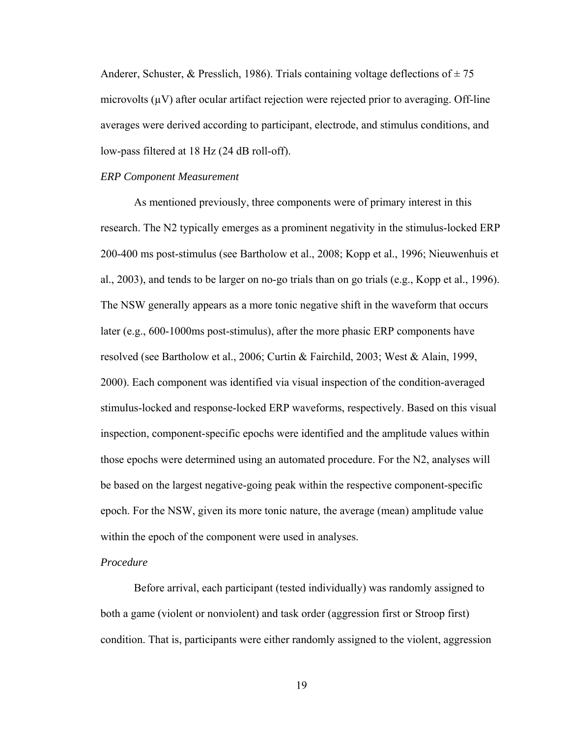Anderer, Schuster, & Presslich, 1986). Trials containing voltage deflections of  $\pm 75$ microvolts  $(\mu V)$  after ocular artifact rejection were rejected prior to averaging. Off-line averages were derived according to participant, electrode, and stimulus conditions, and low-pass filtered at 18 Hz (24 dB roll-off).

#### *ERP Component Measurement*

 As mentioned previously, three components were of primary interest in this research. The N2 typically emerges as a prominent negativity in the stimulus-locked ERP 200-400 ms post-stimulus (see Bartholow et al., 2008; Kopp et al., 1996; Nieuwenhuis et al., 2003), and tends to be larger on no-go trials than on go trials (e.g., Kopp et al., 1996). The NSW generally appears as a more tonic negative shift in the waveform that occurs later (e.g., 600-1000ms post-stimulus), after the more phasic ERP components have resolved (see Bartholow et al., 2006; Curtin & Fairchild, 2003; West & Alain, 1999, 2000). Each component was identified via visual inspection of the condition-averaged stimulus-locked and response-locked ERP waveforms, respectively. Based on this visual inspection, component-specific epochs were identified and the amplitude values within those epochs were determined using an automated procedure. For the N2, analyses will be based on the largest negative-going peak within the respective component-specific epoch. For the NSW, given its more tonic nature, the average (mean) amplitude value within the epoch of the component were used in analyses.

### *Procedure*

Before arrival, each participant (tested individually) was randomly assigned to both a game (violent or nonviolent) and task order (aggression first or Stroop first) condition. That is, participants were either randomly assigned to the violent, aggression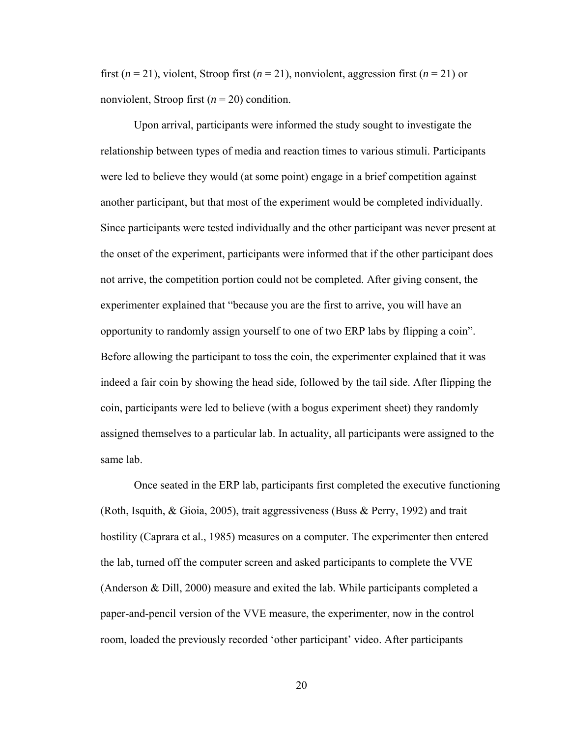first  $(n = 21)$ , violent, Stroop first  $(n = 21)$ , nonviolent, aggression first  $(n = 21)$  or nonviolent, Stroop first (*n* = 20) condition.

Upon arrival, participants were informed the study sought to investigate the relationship between types of media and reaction times to various stimuli. Participants were led to believe they would (at some point) engage in a brief competition against another participant, but that most of the experiment would be completed individually. Since participants were tested individually and the other participant was never present at the onset of the experiment, participants were informed that if the other participant does not arrive, the competition portion could not be completed. After giving consent, the experimenter explained that "because you are the first to arrive, you will have an opportunity to randomly assign yourself to one of two ERP labs by flipping a coin". Before allowing the participant to toss the coin, the experimenter explained that it was indeed a fair coin by showing the head side, followed by the tail side. After flipping the coin, participants were led to believe (with a bogus experiment sheet) they randomly assigned themselves to a particular lab. In actuality, all participants were assigned to the same lab.

Once seated in the ERP lab, participants first completed the executive functioning (Roth, Isquith, & Gioia, 2005), trait aggressiveness (Buss & Perry, 1992) and trait hostility (Caprara et al., 1985) measures on a computer. The experimenter then entered the lab, turned off the computer screen and asked participants to complete the VVE (Anderson & Dill, 2000) measure and exited the lab. While participants completed a paper-and-pencil version of the VVE measure, the experimenter, now in the control room, loaded the previously recorded 'other participant' video. After participants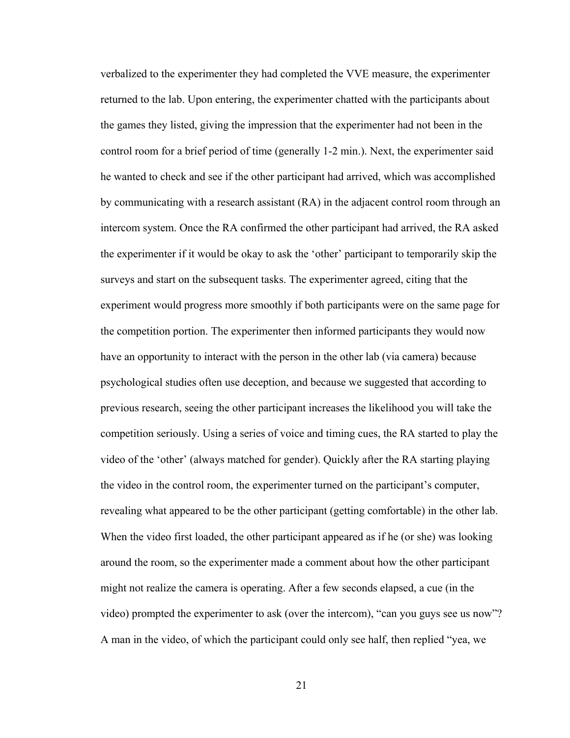verbalized to the experimenter they had completed the VVE measure, the experimenter returned to the lab. Upon entering, the experimenter chatted with the participants about the games they listed, giving the impression that the experimenter had not been in the control room for a brief period of time (generally 1-2 min.). Next, the experimenter said he wanted to check and see if the other participant had arrived, which was accomplished by communicating with a research assistant (RA) in the adjacent control room through an intercom system. Once the RA confirmed the other participant had arrived, the RA asked the experimenter if it would be okay to ask the 'other' participant to temporarily skip the surveys and start on the subsequent tasks. The experimenter agreed, citing that the experiment would progress more smoothly if both participants were on the same page for the competition portion. The experimenter then informed participants they would now have an opportunity to interact with the person in the other lab (via camera) because psychological studies often use deception, and because we suggested that according to previous research, seeing the other participant increases the likelihood you will take the competition seriously. Using a series of voice and timing cues, the RA started to play the video of the 'other' (always matched for gender). Quickly after the RA starting playing the video in the control room, the experimenter turned on the participant's computer, revealing what appeared to be the other participant (getting comfortable) in the other lab. When the video first loaded, the other participant appeared as if he (or she) was looking around the room, so the experimenter made a comment about how the other participant might not realize the camera is operating. After a few seconds elapsed, a cue (in the video) prompted the experimenter to ask (over the intercom), "can you guys see us now"? A man in the video, of which the participant could only see half, then replied "yea, we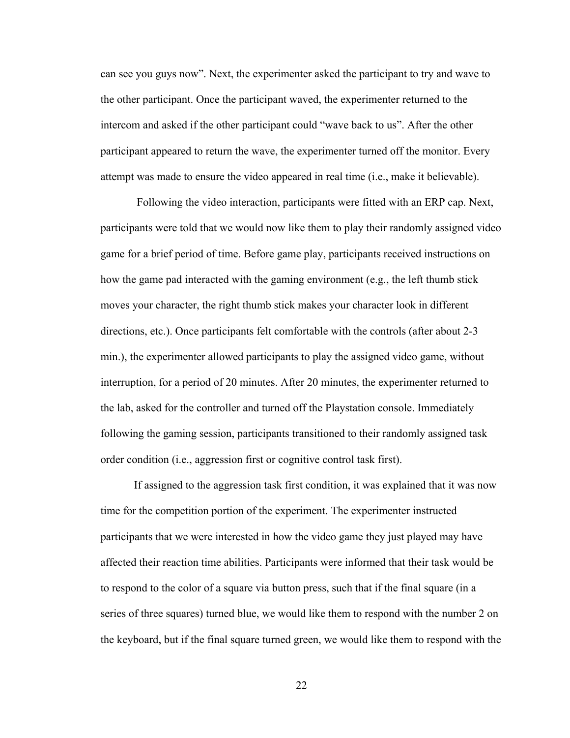can see you guys now". Next, the experimenter asked the participant to try and wave to the other participant. Once the participant waved, the experimenter returned to the intercom and asked if the other participant could "wave back to us". After the other participant appeared to return the wave, the experimenter turned off the monitor. Every attempt was made to ensure the video appeared in real time (i.e., make it believable).

 Following the video interaction, participants were fitted with an ERP cap. Next, participants were told that we would now like them to play their randomly assigned video game for a brief period of time. Before game play, participants received instructions on how the game pad interacted with the gaming environment (e.g., the left thumb stick moves your character, the right thumb stick makes your character look in different directions, etc.). Once participants felt comfortable with the controls (after about 2-3 min.), the experimenter allowed participants to play the assigned video game, without interruption, for a period of 20 minutes. After 20 minutes, the experimenter returned to the lab, asked for the controller and turned off the Playstation console. Immediately following the gaming session, participants transitioned to their randomly assigned task order condition (i.e., aggression first or cognitive control task first).

 If assigned to the aggression task first condition, it was explained that it was now time for the competition portion of the experiment. The experimenter instructed participants that we were interested in how the video game they just played may have affected their reaction time abilities. Participants were informed that their task would be to respond to the color of a square via button press, such that if the final square (in a series of three squares) turned blue, we would like them to respond with the number 2 on the keyboard, but if the final square turned green, we would like them to respond with the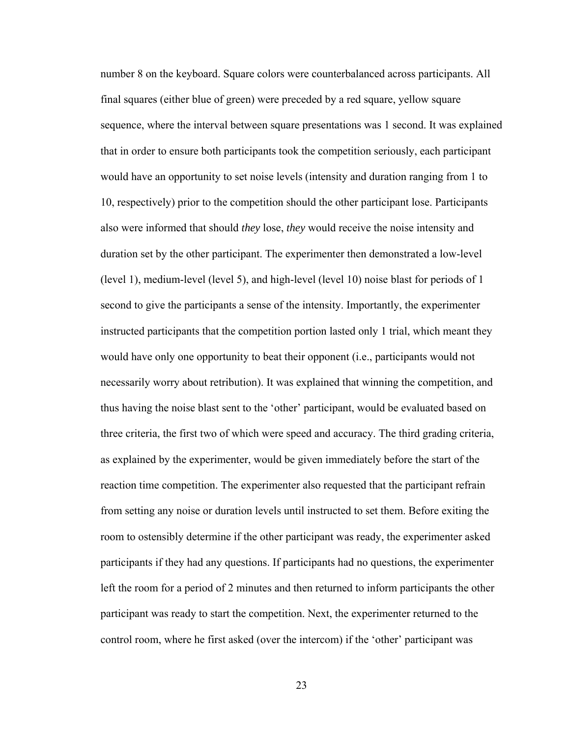number 8 on the keyboard. Square colors were counterbalanced across participants. All final squares (either blue of green) were preceded by a red square, yellow square sequence, where the interval between square presentations was 1 second. It was explained that in order to ensure both participants took the competition seriously, each participant would have an opportunity to set noise levels (intensity and duration ranging from 1 to 10, respectively) prior to the competition should the other participant lose. Participants also were informed that should *they* lose, *they* would receive the noise intensity and duration set by the other participant. The experimenter then demonstrated a low-level (level 1), medium-level (level 5), and high-level (level 10) noise blast for periods of 1 second to give the participants a sense of the intensity. Importantly, the experimenter instructed participants that the competition portion lasted only 1 trial, which meant they would have only one opportunity to beat their opponent (i.e., participants would not necessarily worry about retribution). It was explained that winning the competition, and thus having the noise blast sent to the 'other' participant, would be evaluated based on three criteria, the first two of which were speed and accuracy. The third grading criteria, as explained by the experimenter, would be given immediately before the start of the reaction time competition. The experimenter also requested that the participant refrain from setting any noise or duration levels until instructed to set them. Before exiting the room to ostensibly determine if the other participant was ready, the experimenter asked participants if they had any questions. If participants had no questions, the experimenter left the room for a period of 2 minutes and then returned to inform participants the other participant was ready to start the competition. Next, the experimenter returned to the control room, where he first asked (over the intercom) if the 'other' participant was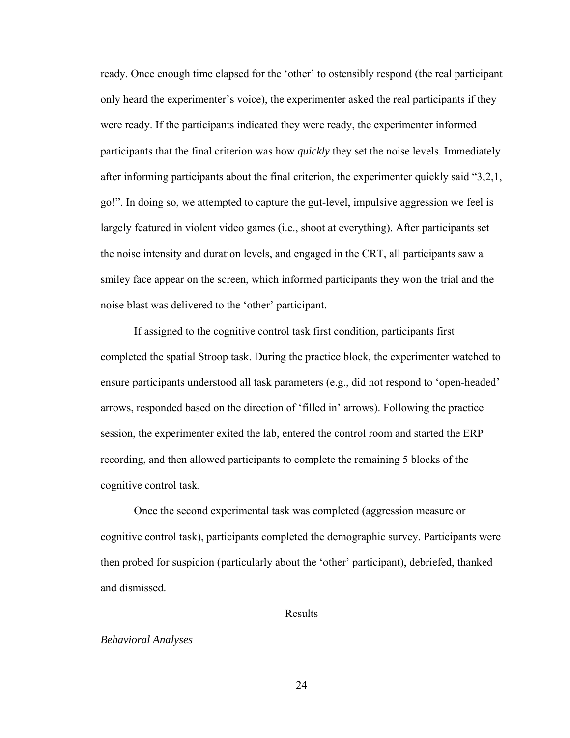ready. Once enough time elapsed for the 'other' to ostensibly respond (the real participant only heard the experimenter's voice), the experimenter asked the real participants if they were ready. If the participants indicated they were ready, the experimenter informed participants that the final criterion was how *quickly* they set the noise levels. Immediately after informing participants about the final criterion, the experimenter quickly said "3,2,1, go!". In doing so, we attempted to capture the gut-level, impulsive aggression we feel is largely featured in violent video games (i.e., shoot at everything). After participants set the noise intensity and duration levels, and engaged in the CRT, all participants saw a smiley face appear on the screen, which informed participants they won the trial and the noise blast was delivered to the 'other' participant.

 If assigned to the cognitive control task first condition, participants first completed the spatial Stroop task. During the practice block, the experimenter watched to ensure participants understood all task parameters (e.g., did not respond to 'open-headed' arrows, responded based on the direction of 'filled in' arrows). Following the practice session, the experimenter exited the lab, entered the control room and started the ERP recording, and then allowed participants to complete the remaining 5 blocks of the cognitive control task.

Once the second experimental task was completed (aggression measure or cognitive control task), participants completed the demographic survey. Participants were then probed for suspicion (particularly about the 'other' participant), debriefed, thanked and dismissed.

#### Results

#### *Behavioral Analyses*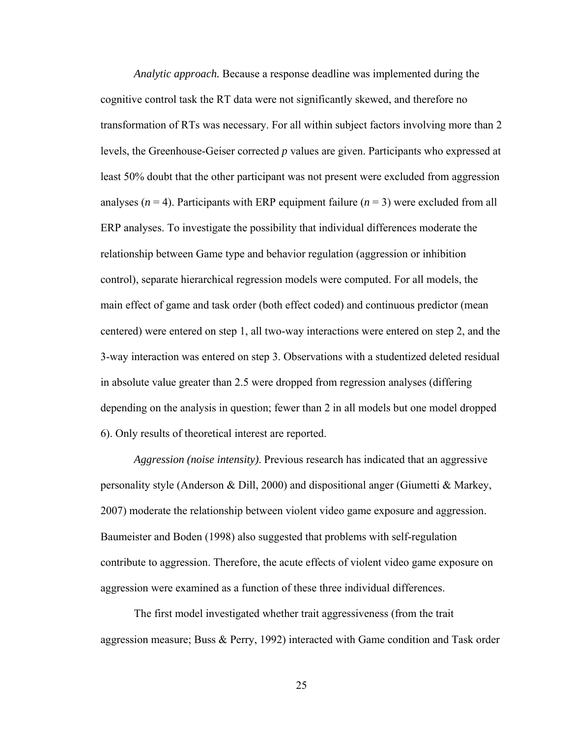*Analytic approach.* Because a response deadline was implemented during the cognitive control task the RT data were not significantly skewed, and therefore no transformation of RTs was necessary. For all within subject factors involving more than 2 levels, the Greenhouse-Geiser corrected *p* values are given. Participants who expressed at least 50% doubt that the other participant was not present were excluded from aggression analyses  $(n = 4)$ . Participants with ERP equipment failure  $(n = 3)$  were excluded from all ERP analyses. To investigate the possibility that individual differences moderate the relationship between Game type and behavior regulation (aggression or inhibition control), separate hierarchical regression models were computed. For all models, the main effect of game and task order (both effect coded) and continuous predictor (mean centered) were entered on step 1, all two-way interactions were entered on step 2, and the 3-way interaction was entered on step 3. Observations with a studentized deleted residual in absolute value greater than 2.5 were dropped from regression analyses (differing depending on the analysis in question; fewer than 2 in all models but one model dropped 6). Only results of theoretical interest are reported.

*Aggression (noise intensity)*. Previous research has indicated that an aggressive personality style (Anderson & Dill, 2000) and dispositional anger (Giumetti & Markey, 2007) moderate the relationship between violent video game exposure and aggression. Baumeister and Boden (1998) also suggested that problems with self-regulation contribute to aggression. Therefore, the acute effects of violent video game exposure on aggression were examined as a function of these three individual differences.

The first model investigated whether trait aggressiveness (from the trait aggression measure; Buss & Perry, 1992) interacted with Game condition and Task order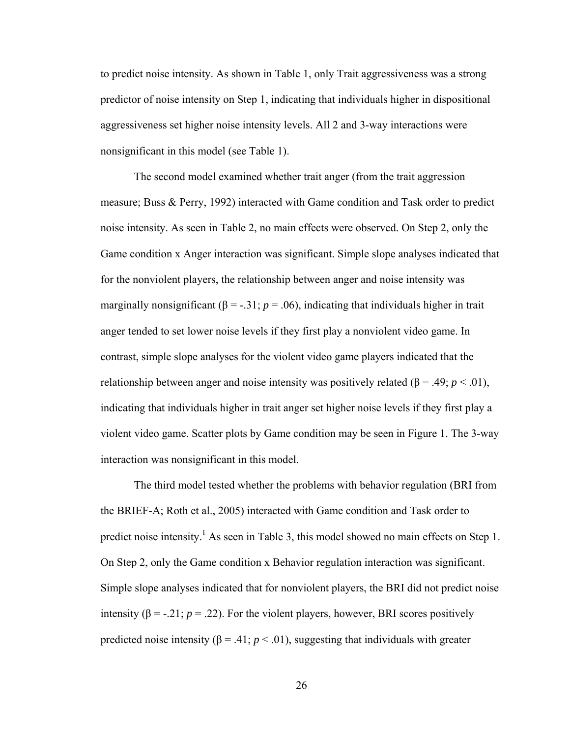to predict noise intensity. As shown in Table 1, only Trait aggressiveness was a strong predictor of noise intensity on Step 1, indicating that individuals higher in dispositional aggressiveness set higher noise intensity levels. All 2 and 3-way interactions were nonsignificant in this model (see Table 1).

The second model examined whether trait anger (from the trait aggression measure; Buss & Perry, 1992) interacted with Game condition and Task order to predict noise intensity. As seen in Table 2, no main effects were observed. On Step 2, only the Game condition x Anger interaction was significant. Simple slope analyses indicated that for the nonviolent players, the relationship between anger and noise intensity was marginally nonsignificant ( $\beta$  = -.31; *p* = .06), indicating that individuals higher in trait anger tended to set lower noise levels if they first play a nonviolent video game. In contrast, simple slope analyses for the violent video game players indicated that the relationship between anger and noise intensity was positively related ( $\beta$  = .49; *p* < .01), indicating that individuals higher in trait anger set higher noise levels if they first play a violent video game. Scatter plots by Game condition may be seen in Figure 1. The 3-way interaction was nonsignificant in this model.

The third model tested whether the problems with behavior regulation (BRI from the BRIEF-A; Roth et al., 2005) interacted with Game condition and Task order to predict noise intensity.<sup>1</sup> As seen in Table 3, this model showed no main effects on Step 1. On Step 2, only the Game condition x Behavior regulation interaction was significant. Simple slope analyses indicated that for nonviolent players, the BRI did not predict noise intensity ( $\beta$  = -.21; *p* = .22). For the violent players, however, BRI scores positively predicted noise intensity ( $\beta$  = .41;  $p$  < .01), suggesting that individuals with greater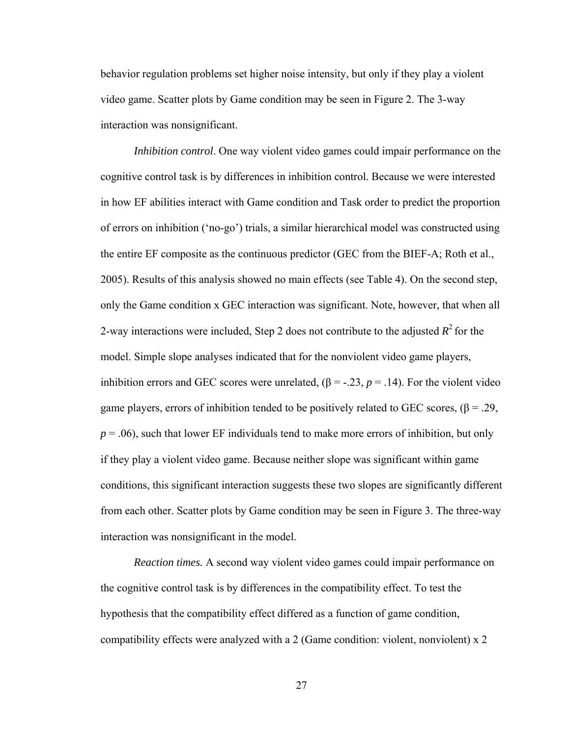behavior regulation problems set higher noise intensity, but only if they play a violent video game. Scatter plots by Game condition may be seen in Figure 2. The 3-way interaction was nonsignificant.

*Inhibition control*. One way violent video games could impair performance on the cognitive control task is by differences in inhibition control. Because we were interested in how EF abilities interact with Game condition and Task order to predict the proportion of errors on inhibition ('no-go') trials, a similar hierarchical model was constructed using the entire EF composite as the continuous predictor (GEC from the BIEF-A; Roth et al., 2005). Results of this analysis showed no main effects (see Table 4). On the second step, only the Game condition x GEC interaction was significant. Note, however, that when all 2-way interactions were included, Step 2 does not contribute to the adjusted  $R^2$  for the model. Simple slope analyses indicated that for the nonviolent video game players, inhibition errors and GEC scores were unrelated,  $(\beta = -0.23, p = 0.14)$ . For the violent video game players, errors of inhibition tended to be positively related to GEC scores,  $(\beta = .29, )$  $p = 0.06$ , such that lower EF individuals tend to make more errors of inhibition, but only if they play a violent video game. Because neither slope was significant within game conditions, this significant interaction suggests these two slopes are significantly different from each other. Scatter plots by Game condition may be seen in Figure 3. The three-way interaction was nonsignificant in the model.

*Reaction times.* A second way violent video games could impair performance on the cognitive control task is by differences in the compatibility effect. To test the hypothesis that the compatibility effect differed as a function of game condition, compatibility effects were analyzed with a 2 (Game condition: violent, nonviolent) x 2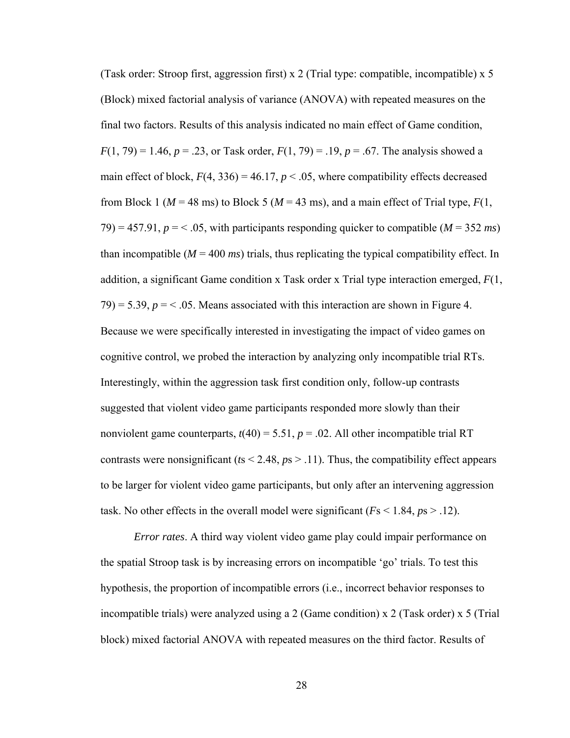(Task order: Stroop first, aggression first) x 2 (Trial type: compatible, incompatible) x 5 (Block) mixed factorial analysis of variance (ANOVA) with repeated measures on the final two factors. Results of this analysis indicated no main effect of Game condition,  $F(1, 79) = 1.46$ ,  $p = .23$ , or Task order,  $F(1, 79) = .19$ ,  $p = .67$ . The analysis showed a main effect of block,  $F(4, 336) = 46.17$ ,  $p < .05$ , where compatibility effects decreased from Block 1 ( $M = 48$  ms) to Block 5 ( $M = 43$  ms), and a main effect of Trial type,  $F(1)$ , 79) = 457.91,  $p = 0.65$ , with participants responding quicker to compatible ( $M = 352$  ms) than incompatible  $(M = 400 \text{ ms})$  trials, thus replicating the typical compatibility effect. In addition, a significant Game condition x Task order x Trial type interaction emerged, *F*(1,  $79$ ) = 5.39,  $p = 5.39$ ,  $\le 0.05$ . Means associated with this interaction are shown in Figure 4. Because we were specifically interested in investigating the impact of video games on cognitive control, we probed the interaction by analyzing only incompatible trial RTs. Interestingly, within the aggression task first condition only, follow-up contrasts suggested that violent video game participants responded more slowly than their nonviolent game counterparts,  $t(40) = 5.51$ ,  $p = .02$ . All other incompatible trial RT contrasts were nonsignificant ( $ts < 2.48$ ,  $ps > .11$ ). Thus, the compatibility effect appears to be larger for violent video game participants, but only after an intervening aggression task. No other effects in the overall model were significant  $(Fs < 1.84, ps > .12)$ .

*Error rates*. A third way violent video game play could impair performance on the spatial Stroop task is by increasing errors on incompatible 'go' trials. To test this hypothesis, the proportion of incompatible errors (i.e., incorrect behavior responses to incompatible trials) were analyzed using a 2 (Game condition) x 2 (Task order) x 5 (Trial block) mixed factorial ANOVA with repeated measures on the third factor. Results of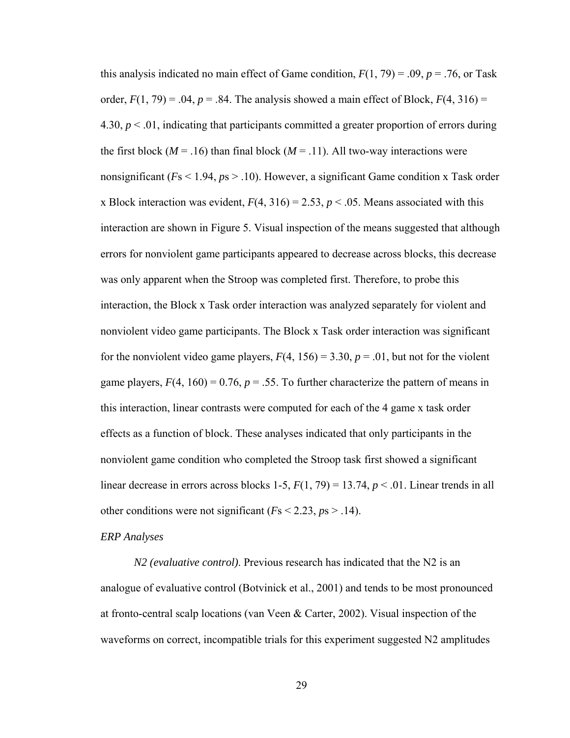this analysis indicated no main effect of Game condition,  $F(1, 79) = .09$ ,  $p = .76$ , or Task order,  $F(1, 79) = .04$ ,  $p = .84$ . The analysis showed a main effect of Block,  $F(4, 316) =$ 4.30, *p* < .01, indicating that participants committed a greater proportion of errors during the first block ( $M = .16$ ) than final block ( $M = .11$ ). All two-way interactions were nonsignificant (*F*s < 1.94, *p*s > .10). However, a significant Game condition x Task order x Block interaction was evident,  $F(4, 316) = 2.53$ ,  $p < .05$ . Means associated with this interaction are shown in Figure 5. Visual inspection of the means suggested that although errors for nonviolent game participants appeared to decrease across blocks, this decrease was only apparent when the Stroop was completed first. Therefore, to probe this interaction, the Block x Task order interaction was analyzed separately for violent and nonviolent video game participants. The Block x Task order interaction was significant for the nonviolent video game players,  $F(4, 156) = 3.30$ ,  $p = .01$ , but not for the violent game players,  $F(4, 160) = 0.76$ ,  $p = .55$ . To further characterize the pattern of means in this interaction, linear contrasts were computed for each of the 4 game x task order effects as a function of block. These analyses indicated that only participants in the nonviolent game condition who completed the Stroop task first showed a significant linear decrease in errors across blocks 1-5,  $F(1, 79) = 13.74$ ,  $p < .01$ . Linear trends in all other conditions were not significant  $(Fs < 2.23, ps > .14)$ .

#### *ERP Analyses*

 *N2 (evaluative control)*. Previous research has indicated that the N2 is an analogue of evaluative control (Botvinick et al., 2001) and tends to be most pronounced at fronto-central scalp locations (van Veen & Carter, 2002). Visual inspection of the waveforms on correct, incompatible trials for this experiment suggested N2 amplitudes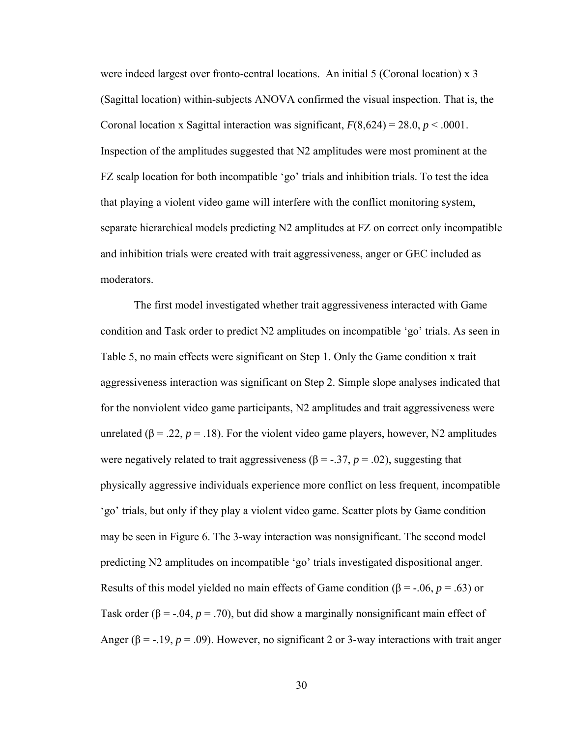were indeed largest over fronto-central locations. An initial 5 (Coronal location) x 3 (Sagittal location) within-subjects ANOVA confirmed the visual inspection. That is, the Coronal location x Sagittal interaction was significant,  $F(8,624) = 28.0, p < .0001$ . Inspection of the amplitudes suggested that N2 amplitudes were most prominent at the FZ scalp location for both incompatible 'go' trials and inhibition trials. To test the idea that playing a violent video game will interfere with the conflict monitoring system, separate hierarchical models predicting N2 amplitudes at FZ on correct only incompatible and inhibition trials were created with trait aggressiveness, anger or GEC included as moderators.

The first model investigated whether trait aggressiveness interacted with Game condition and Task order to predict N2 amplitudes on incompatible 'go' trials. As seen in Table 5, no main effects were significant on Step 1. Only the Game condition x trait aggressiveness interaction was significant on Step 2. Simple slope analyses indicated that for the nonviolent video game participants, N2 amplitudes and trait aggressiveness were unrelated ( $\beta$  = .22,  $p$  = .18). For the violent video game players, however, N2 amplitudes were negatively related to trait aggressiveness ( $\beta$  = -.37, *p* = .02), suggesting that physically aggressive individuals experience more conflict on less frequent, incompatible 'go' trials, but only if they play a violent video game. Scatter plots by Game condition may be seen in Figure 6. The 3-way interaction was nonsignificant. The second model predicting N2 amplitudes on incompatible 'go' trials investigated dispositional anger. Results of this model yielded no main effects of Game condition ( $\beta$  = -.06, *p* = .63) or Task order ( $\beta$  = -.04,  $p$  = .70), but did show a marginally nonsignificant main effect of Anger ( $\beta$  = -.19,  $p$  = .09). However, no significant 2 or 3-way interactions with trait anger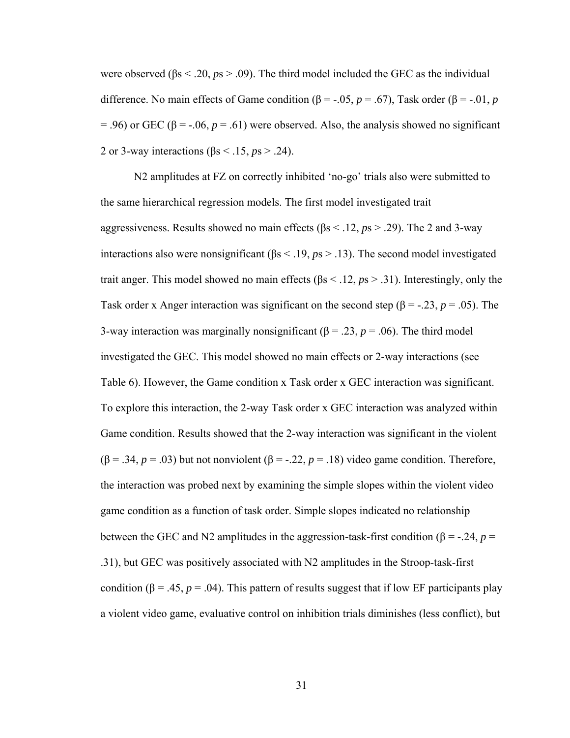were observed (βs < .20, *p*s > .09). The third model included the GEC as the individual difference. No main effects of Game condition ( $\beta$  = -.05, *p* = .67), Task order ( $\beta$  = -.01, *p*  $= .96$ ) or GEC ( $\beta = -.06$ ,  $p = .61$ ) were observed. Also, the analysis showed no significant 2 or 3-way interactions (βs < .15, *p*s > .24).

N2 amplitudes at FZ on correctly inhibited 'no-go' trials also were submitted to the same hierarchical regression models. The first model investigated trait aggressiveness. Results showed no main effects (βs < .12, *p*s > .29). The 2 and 3-way interactions also were nonsignificant (βs < .19, *p*s > .13). The second model investigated trait anger. This model showed no main effects (βs < .12, *p*s > .31). Interestingly, only the Task order x Anger interaction was significant on the second step ( $\beta$  = -.23, *p* = .05). The 3-way interaction was marginally nonsignificant ( $\beta$  = .23,  $p$  = .06). The third model investigated the GEC. This model showed no main effects or 2-way interactions (see Table 6). However, the Game condition x Task order x GEC interaction was significant. To explore this interaction, the 2-way Task order x GEC interaction was analyzed within Game condition. Results showed that the 2-way interaction was significant in the violent  $(\beta = .34, p = .03)$  but not nonviolent  $(\beta = .22, p = .18)$  video game condition. Therefore, the interaction was probed next by examining the simple slopes within the violent video game condition as a function of task order. Simple slopes indicated no relationship between the GEC and N2 amplitudes in the aggression-task-first condition ( $\beta$  = -.24, *p* = .31), but GEC was positively associated with N2 amplitudes in the Stroop-task-first condition ( $\beta = .45$ ,  $p = .04$ ). This pattern of results suggest that if low EF participants play a violent video game, evaluative control on inhibition trials diminishes (less conflict), but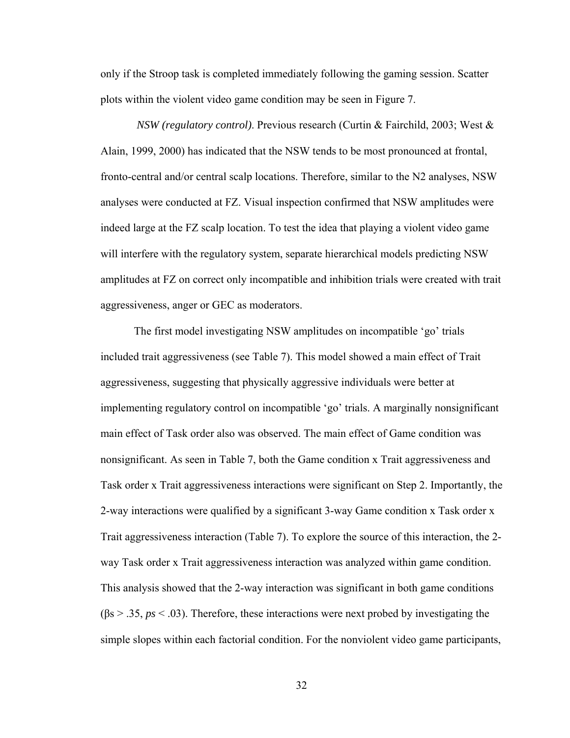only if the Stroop task is completed immediately following the gaming session. Scatter plots within the violent video game condition may be seen in Figure 7.

*NSW (regulatory control)*. Previous research (Curtin & Fairchild, 2003; West & Alain, 1999, 2000) has indicated that the NSW tends to be most pronounced at frontal, fronto-central and/or central scalp locations. Therefore, similar to the N2 analyses, NSW analyses were conducted at FZ. Visual inspection confirmed that NSW amplitudes were indeed large at the FZ scalp location. To test the idea that playing a violent video game will interfere with the regulatory system, separate hierarchical models predicting NSW amplitudes at FZ on correct only incompatible and inhibition trials were created with trait aggressiveness, anger or GEC as moderators.

The first model investigating NSW amplitudes on incompatible 'go' trials included trait aggressiveness (see Table 7). This model showed a main effect of Trait aggressiveness, suggesting that physically aggressive individuals were better at implementing regulatory control on incompatible 'go' trials. A marginally nonsignificant main effect of Task order also was observed. The main effect of Game condition was nonsignificant. As seen in Table 7, both the Game condition x Trait aggressiveness and Task order x Trait aggressiveness interactions were significant on Step 2. Importantly, the 2-way interactions were qualified by a significant 3-way Game condition x Task order x Trait aggressiveness interaction (Table 7). To explore the source of this interaction, the 2 way Task order x Trait aggressiveness interaction was analyzed within game condition. This analysis showed that the 2-way interaction was significant in both game conditions (βs > .35, *ps* < .03). Therefore, these interactions were next probed by investigating the simple slopes within each factorial condition. For the nonviolent video game participants,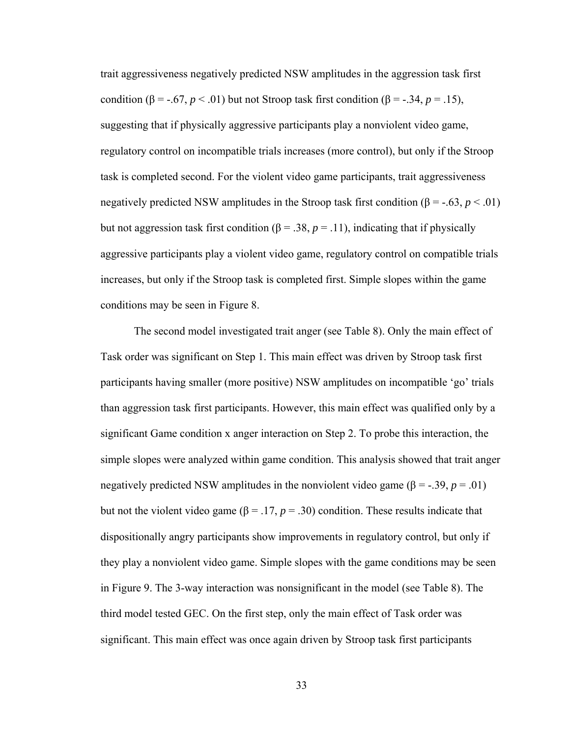trait aggressiveness negatively predicted NSW amplitudes in the aggression task first condition ( $\beta$  = -.67,  $p < .01$ ) but not Stroop task first condition ( $\beta$  = -.34,  $p = .15$ ), suggesting that if physically aggressive participants play a nonviolent video game, regulatory control on incompatible trials increases (more control), but only if the Stroop task is completed second. For the violent video game participants, trait aggressiveness negatively predicted NSW amplitudes in the Stroop task first condition  $(\beta = -0.63, p < 0.01)$ but not aggression task first condition (β = .38,  $p = .11$ ), indicating that if physically aggressive participants play a violent video game, regulatory control on compatible trials increases, but only if the Stroop task is completed first. Simple slopes within the game conditions may be seen in Figure 8.

The second model investigated trait anger (see Table 8). Only the main effect of Task order was significant on Step 1. This main effect was driven by Stroop task first participants having smaller (more positive) NSW amplitudes on incompatible 'go' trials than aggression task first participants. However, this main effect was qualified only by a significant Game condition x anger interaction on Step 2. To probe this interaction, the simple slopes were analyzed within game condition. This analysis showed that trait anger negatively predicted NSW amplitudes in the nonviolent video game ( $\beta$  = -.39, *p* = .01) but not the violent video game (β = .17,  $p = .30$ ) condition. These results indicate that dispositionally angry participants show improvements in regulatory control, but only if they play a nonviolent video game. Simple slopes with the game conditions may be seen in Figure 9. The 3-way interaction was nonsignificant in the model (see Table 8). The third model tested GEC. On the first step, only the main effect of Task order was significant. This main effect was once again driven by Stroop task first participants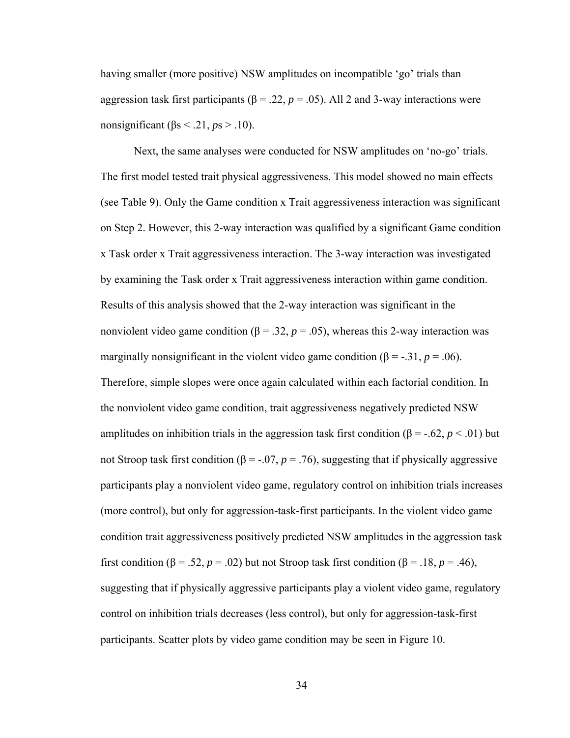having smaller (more positive) NSW amplitudes on incompatible 'go' trials than aggression task first participants ( $β = .22$ ,  $p = .05$ ). All 2 and 3-way interactions were nonsignificant ( $\beta$ s < .21, *p*s > .10).

Next, the same analyses were conducted for NSW amplitudes on 'no-go' trials. The first model tested trait physical aggressiveness. This model showed no main effects (see Table 9). Only the Game condition x Trait aggressiveness interaction was significant on Step 2. However, this 2-way interaction was qualified by a significant Game condition x Task order x Trait aggressiveness interaction. The 3-way interaction was investigated by examining the Task order x Trait aggressiveness interaction within game condition. Results of this analysis showed that the 2-way interaction was significant in the nonviolent video game condition ( $\beta$  = .32,  $p$  = .05), whereas this 2-way interaction was marginally nonsignificant in the violent video game condition ( $\beta$  = -.31, *p* = .06). Therefore, simple slopes were once again calculated within each factorial condition. In the nonviolent video game condition, trait aggressiveness negatively predicted NSW amplitudes on inhibition trials in the aggression task first condition ( $\beta$  = -.62, *p* < .01) but not Stroop task first condition (β = -.07,  $p = .76$ ), suggesting that if physically aggressive participants play a nonviolent video game, regulatory control on inhibition trials increases (more control), but only for aggression-task-first participants. In the violent video game condition trait aggressiveness positively predicted NSW amplitudes in the aggression task first condition ( $\beta$  = .52, *p* = .02) but not Stroop task first condition ( $\beta$  = .18, *p* = .46), suggesting that if physically aggressive participants play a violent video game, regulatory control on inhibition trials decreases (less control), but only for aggression-task-first participants. Scatter plots by video game condition may be seen in Figure 10.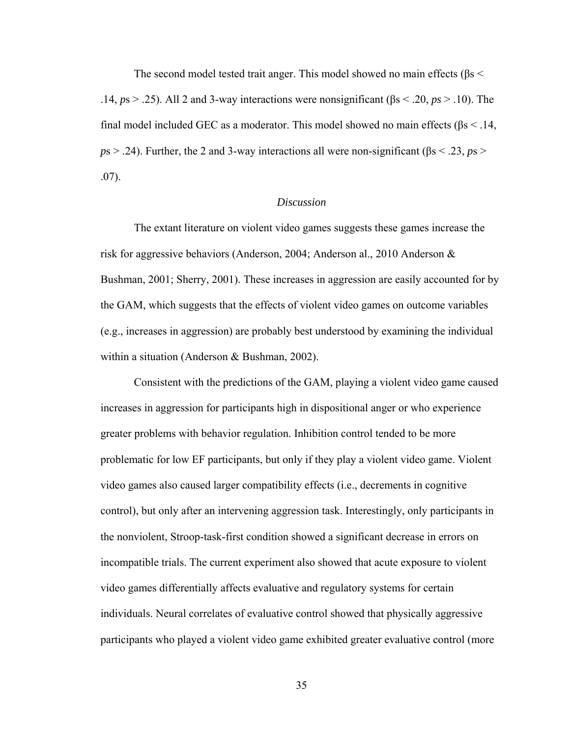The second model tested trait anger. This model showed no main effects ( $\beta$ s < .14, *p*s > .25). All 2 and 3-way interactions were nonsignificant (βs < .20, *ps* > .10). The final model included GEC as a moderator. This model showed no main effects ( $\beta s < 0.14$ , *p*s > .24). Further, the 2 and 3-way interactions all were non-significant (βs < .23, *p*s > .07).

## *Discussion*

The extant literature on violent video games suggests these games increase the risk for aggressive behaviors (Anderson, 2004; Anderson al., 2010 Anderson & Bushman, 2001; Sherry, 2001). These increases in aggression are easily accounted for by the GAM, which suggests that the effects of violent video games on outcome variables (e.g., increases in aggression) are probably best understood by examining the individual within a situation (Anderson & Bushman, 2002).

Consistent with the predictions of the GAM, playing a violent video game caused increases in aggression for participants high in dispositional anger or who experience greater problems with behavior regulation. Inhibition control tended to be more problematic for low EF participants, but only if they play a violent video game. Violent video games also caused larger compatibility effects (i.e., decrements in cognitive control), but only after an intervening aggression task. Interestingly, only participants in the nonviolent, Stroop-task-first condition showed a significant decrease in errors on incompatible trials. The current experiment also showed that acute exposure to violent video games differentially affects evaluative and regulatory systems for certain individuals. Neural correlates of evaluative control showed that physically aggressive participants who played a violent video game exhibited greater evaluative control (more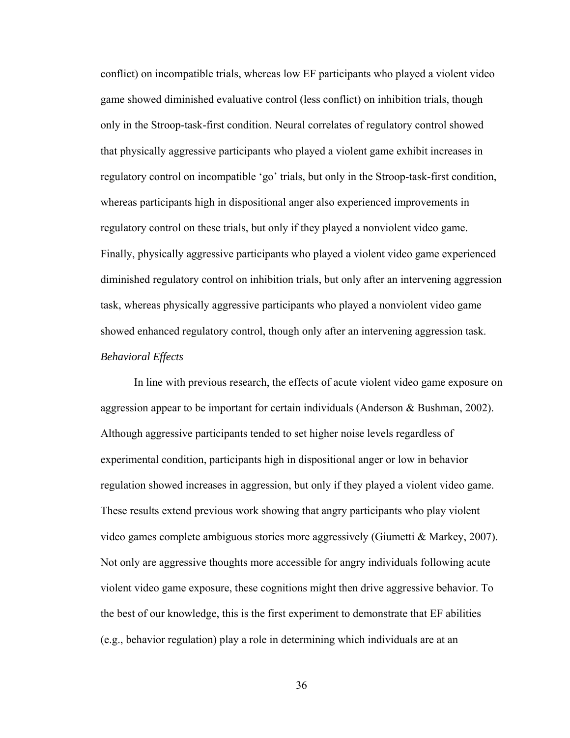conflict) on incompatible trials, whereas low EF participants who played a violent video game showed diminished evaluative control (less conflict) on inhibition trials, though only in the Stroop-task-first condition. Neural correlates of regulatory control showed that physically aggressive participants who played a violent game exhibit increases in regulatory control on incompatible 'go' trials, but only in the Stroop-task-first condition, whereas participants high in dispositional anger also experienced improvements in regulatory control on these trials, but only if they played a nonviolent video game. Finally, physically aggressive participants who played a violent video game experienced diminished regulatory control on inhibition trials, but only after an intervening aggression task, whereas physically aggressive participants who played a nonviolent video game showed enhanced regulatory control, though only after an intervening aggression task. *Behavioral Effects*

 In line with previous research, the effects of acute violent video game exposure on aggression appear to be important for certain individuals (Anderson & Bushman, 2002). Although aggressive participants tended to set higher noise levels regardless of experimental condition, participants high in dispositional anger or low in behavior regulation showed increases in aggression, but only if they played a violent video game. These results extend previous work showing that angry participants who play violent video games complete ambiguous stories more aggressively (Giumetti & Markey, 2007). Not only are aggressive thoughts more accessible for angry individuals following acute violent video game exposure, these cognitions might then drive aggressive behavior. To the best of our knowledge, this is the first experiment to demonstrate that EF abilities (e.g., behavior regulation) play a role in determining which individuals are at an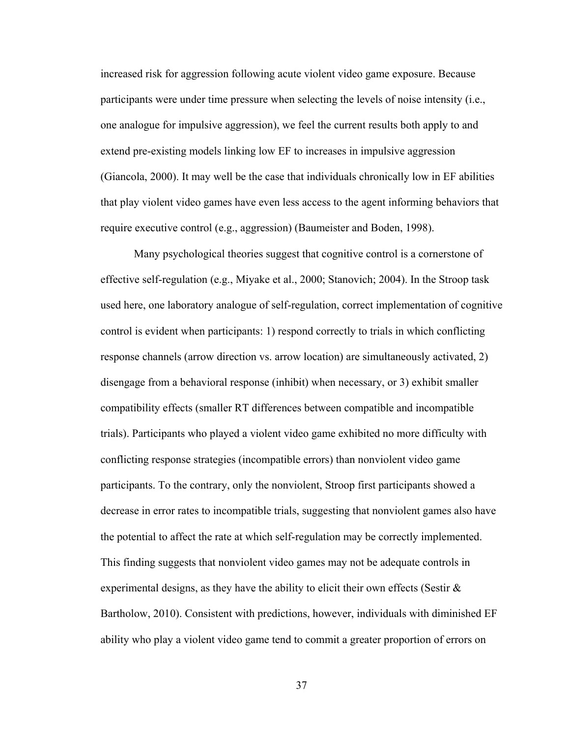increased risk for aggression following acute violent video game exposure. Because participants were under time pressure when selecting the levels of noise intensity (i.e., one analogue for impulsive aggression), we feel the current results both apply to and extend pre-existing models linking low EF to increases in impulsive aggression (Giancola, 2000). It may well be the case that individuals chronically low in EF abilities that play violent video games have even less access to the agent informing behaviors that require executive control (e.g., aggression) (Baumeister and Boden, 1998).

Many psychological theories suggest that cognitive control is a cornerstone of effective self-regulation (e.g., Miyake et al., 2000; Stanovich; 2004). In the Stroop task used here, one laboratory analogue of self-regulation, correct implementation of cognitive control is evident when participants: 1) respond correctly to trials in which conflicting response channels (arrow direction vs. arrow location) are simultaneously activated, 2) disengage from a behavioral response (inhibit) when necessary, or 3) exhibit smaller compatibility effects (smaller RT differences between compatible and incompatible trials). Participants who played a violent video game exhibited no more difficulty with conflicting response strategies (incompatible errors) than nonviolent video game participants. To the contrary, only the nonviolent, Stroop first participants showed a decrease in error rates to incompatible trials, suggesting that nonviolent games also have the potential to affect the rate at which self-regulation may be correctly implemented. This finding suggests that nonviolent video games may not be adequate controls in experimental designs, as they have the ability to elicit their own effects (Sestir  $\&$ Bartholow, 2010). Consistent with predictions, however, individuals with diminished EF ability who play a violent video game tend to commit a greater proportion of errors on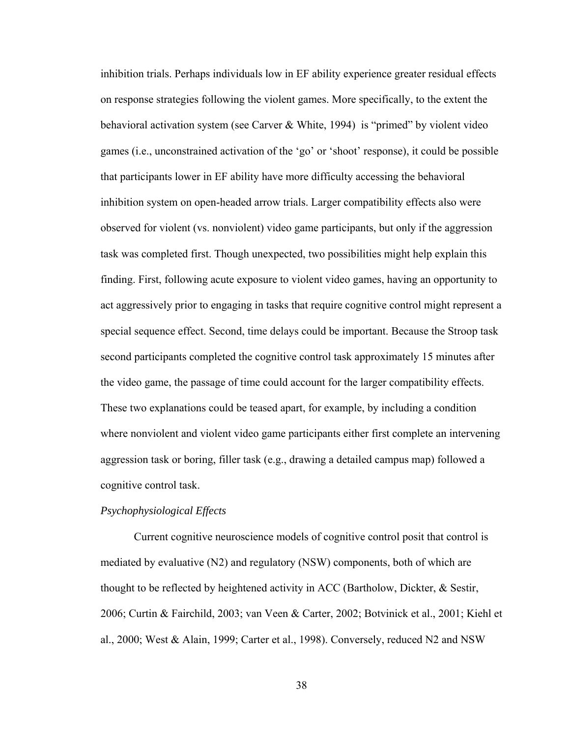inhibition trials. Perhaps individuals low in EF ability experience greater residual effects on response strategies following the violent games. More specifically, to the extent the behavioral activation system (see Carver & White, 1994) is "primed" by violent video games (i.e., unconstrained activation of the 'go' or 'shoot' response), it could be possible that participants lower in EF ability have more difficulty accessing the behavioral inhibition system on open-headed arrow trials. Larger compatibility effects also were observed for violent (vs. nonviolent) video game participants, but only if the aggression task was completed first. Though unexpected, two possibilities might help explain this finding. First, following acute exposure to violent video games, having an opportunity to act aggressively prior to engaging in tasks that require cognitive control might represent a special sequence effect. Second, time delays could be important. Because the Stroop task second participants completed the cognitive control task approximately 15 minutes after the video game, the passage of time could account for the larger compatibility effects. These two explanations could be teased apart, for example, by including a condition where nonviolent and violent video game participants either first complete an intervening aggression task or boring, filler task (e.g., drawing a detailed campus map) followed a cognitive control task.

## *Psychophysiological Effects*

 Current cognitive neuroscience models of cognitive control posit that control is mediated by evaluative (N2) and regulatory (NSW) components, both of which are thought to be reflected by heightened activity in ACC (Bartholow, Dickter, & Sestir, 2006; Curtin & Fairchild, 2003; van Veen & Carter, 2002; Botvinick et al., 2001; Kiehl et al., 2000; West & Alain, 1999; Carter et al., 1998). Conversely, reduced N2 and NSW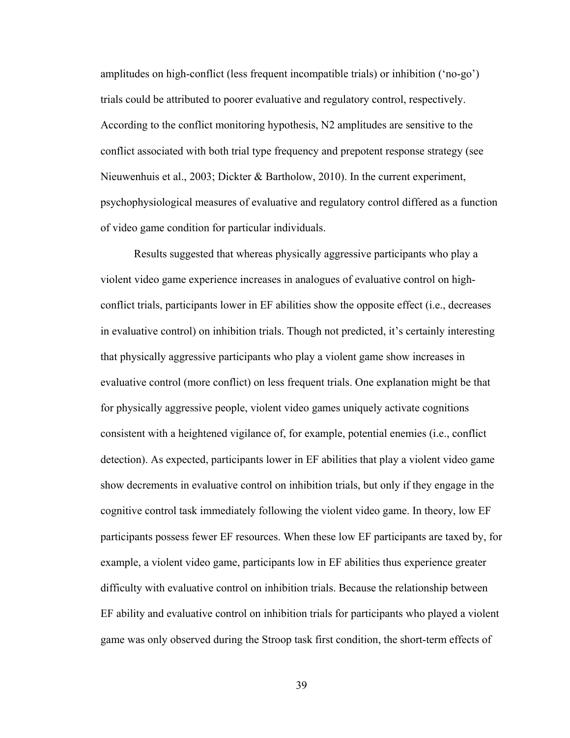amplitudes on high-conflict (less frequent incompatible trials) or inhibition ('no-go') trials could be attributed to poorer evaluative and regulatory control, respectively. According to the conflict monitoring hypothesis, N2 amplitudes are sensitive to the conflict associated with both trial type frequency and prepotent response strategy (see Nieuwenhuis et al., 2003; Dickter & Bartholow, 2010). In the current experiment, psychophysiological measures of evaluative and regulatory control differed as a function of video game condition for particular individuals.

Results suggested that whereas physically aggressive participants who play a violent video game experience increases in analogues of evaluative control on highconflict trials, participants lower in EF abilities show the opposite effect (i.e., decreases in evaluative control) on inhibition trials. Though not predicted, it's certainly interesting that physically aggressive participants who play a violent game show increases in evaluative control (more conflict) on less frequent trials. One explanation might be that for physically aggressive people, violent video games uniquely activate cognitions consistent with a heightened vigilance of, for example, potential enemies (i.e., conflict detection). As expected, participants lower in EF abilities that play a violent video game show decrements in evaluative control on inhibition trials, but only if they engage in the cognitive control task immediately following the violent video game. In theory, low EF participants possess fewer EF resources. When these low EF participants are taxed by, for example, a violent video game, participants low in EF abilities thus experience greater difficulty with evaluative control on inhibition trials. Because the relationship between EF ability and evaluative control on inhibition trials for participants who played a violent game was only observed during the Stroop task first condition, the short-term effects of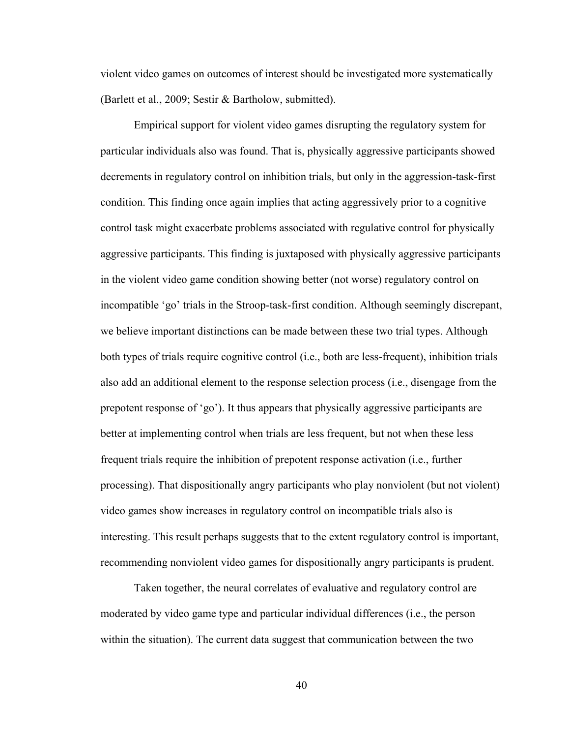violent video games on outcomes of interest should be investigated more systematically (Barlett et al., 2009; Sestir & Bartholow, submitted).

Empirical support for violent video games disrupting the regulatory system for particular individuals also was found. That is, physically aggressive participants showed decrements in regulatory control on inhibition trials, but only in the aggression-task-first condition. This finding once again implies that acting aggressively prior to a cognitive control task might exacerbate problems associated with regulative control for physically aggressive participants. This finding is juxtaposed with physically aggressive participants in the violent video game condition showing better (not worse) regulatory control on incompatible 'go' trials in the Stroop-task-first condition. Although seemingly discrepant, we believe important distinctions can be made between these two trial types. Although both types of trials require cognitive control (i.e., both are less-frequent), inhibition trials also add an additional element to the response selection process (i.e., disengage from the prepotent response of 'go'). It thus appears that physically aggressive participants are better at implementing control when trials are less frequent, but not when these less frequent trials require the inhibition of prepotent response activation (i.e., further processing). That dispositionally angry participants who play nonviolent (but not violent) video games show increases in regulatory control on incompatible trials also is interesting. This result perhaps suggests that to the extent regulatory control is important, recommending nonviolent video games for dispositionally angry participants is prudent.

Taken together, the neural correlates of evaluative and regulatory control are moderated by video game type and particular individual differences (i.e., the person within the situation). The current data suggest that communication between the two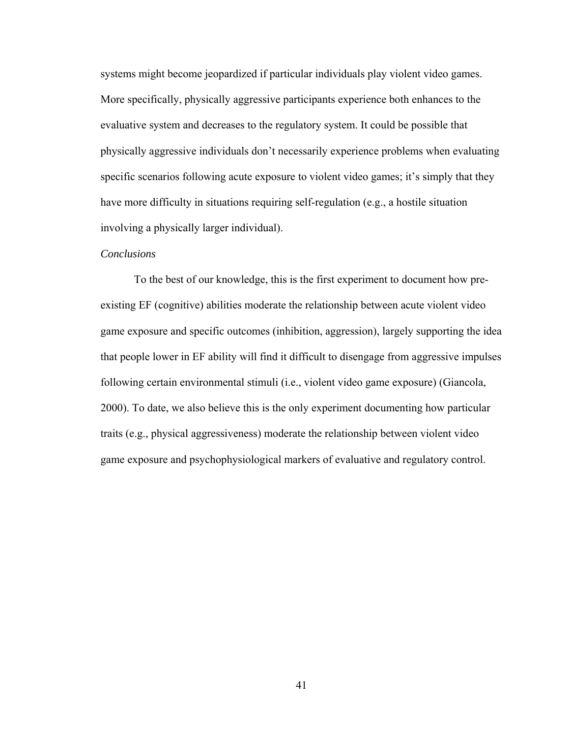systems might become jeopardized if particular individuals play violent video games. More specifically, physically aggressive participants experience both enhances to the evaluative system and decreases to the regulatory system. It could be possible that physically aggressive individuals don't necessarily experience problems when evaluating specific scenarios following acute exposure to violent video games; it's simply that they have more difficulty in situations requiring self-regulation (e.g., a hostile situation involving a physically larger individual).

### *Conclusions*

To the best of our knowledge, this is the first experiment to document how preexisting EF (cognitive) abilities moderate the relationship between acute violent video game exposure and specific outcomes (inhibition, aggression), largely supporting the idea that people lower in EF ability will find it difficult to disengage from aggressive impulses following certain environmental stimuli (i.e., violent video game exposure) (Giancola, 2000). To date, we also believe this is the only experiment documenting how particular traits (e.g., physical aggressiveness) moderate the relationship between violent video game exposure and psychophysiological markers of evaluative and regulatory control.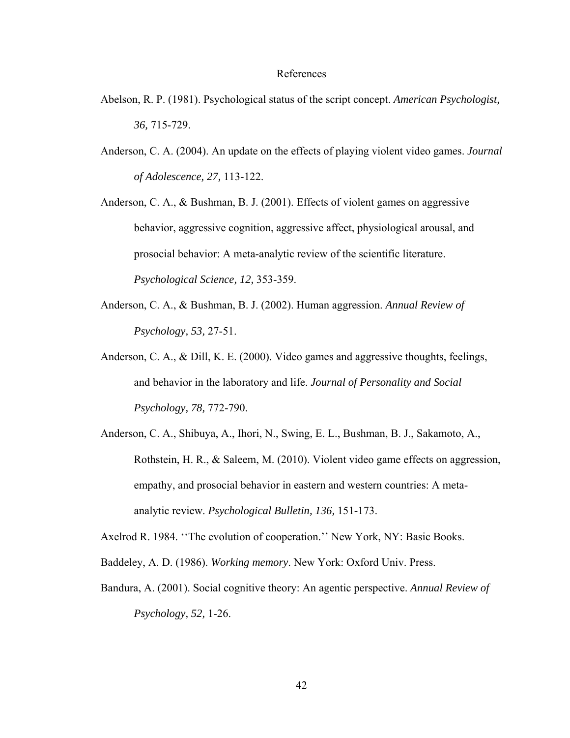#### References

- Abelson, R. P. (1981). Psychological status of the script concept. *American Psychologist, 36,* 715-729.
- Anderson, C. A. (2004). An update on the effects of playing violent video games. *Journal of Adolescence, 27,* 113-122.
- Anderson, C. A., & Bushman, B. J. (2001). Effects of violent games on aggressive behavior, aggressive cognition, aggressive affect, physiological arousal, and prosocial behavior: A meta-analytic review of the scientific literature. *Psychological Science, 12,* 353-359.
- Anderson, C. A., & Bushman, B. J. (2002). Human aggression. *Annual Review of Psychology, 53,* 27-51.
- Anderson, C. A., & Dill, K. E. (2000). Video games and aggressive thoughts, feelings, and behavior in the laboratory and life. *Journal of Personality and Social Psychology, 78,* 772-790.
- Anderson, C. A., Shibuya, A., Ihori, N., Swing, E. L., Bushman, B. J., Sakamoto, A., Rothstein, H. R., & Saleem, M. (2010). Violent video game effects on aggression, empathy, and prosocial behavior in eastern and western countries: A metaanalytic review. *Psychological Bulletin, 136,* 151-173.
- Axelrod R. 1984. ''The evolution of cooperation.'' New York, NY: Basic Books.
- Baddeley, A. D. (1986). *Working memory*. New York: Oxford Univ. Press.
- Bandura, A. (2001). Social cognitive theory: An agentic perspective. *Annual Review of Psychology, 52,* 1-26.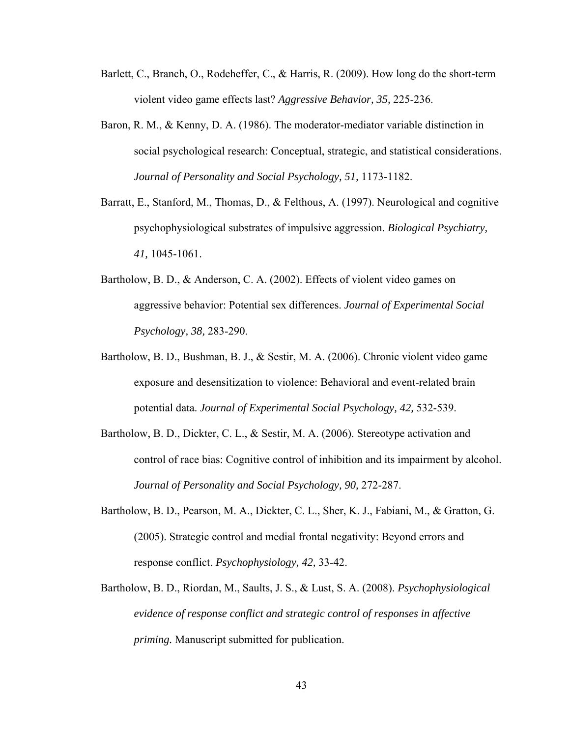- Barlett, C., Branch, O., Rodeheffer, C., & Harris, R. (2009). How long do the short-term violent video game effects last? *Aggressive Behavior, 35,* 225-236.
- Baron, R. M., & Kenny, D. A. (1986). The moderator-mediator variable distinction in social psychological research: Conceptual, strategic, and statistical considerations. *Journal of Personality and Social Psychology, 51,* 1173-1182.
- Barratt, E., Stanford, M., Thomas, D., & Felthous, A. (1997). Neurological and cognitive psychophysiological substrates of impulsive aggression. *Biological Psychiatry, 41,* 1045-1061.
- Bartholow, B. D., & Anderson, C. A. (2002). Effects of violent video games on aggressive behavior: Potential sex differences. *Journal of Experimental Social Psychology, 38,* 283-290.
- Bartholow, B. D., Bushman, B. J., & Sestir, M. A. (2006). Chronic violent video game exposure and desensitization to violence: Behavioral and event-related brain potential data. *Journal of Experimental Social Psychology, 42,* 532-539.
- Bartholow, B. D., Dickter, C. L., & Sestir, M. A. (2006). Stereotype activation and control of race bias: Cognitive control of inhibition and its impairment by alcohol. *Journal of Personality and Social Psychology, 90,* 272-287.
- Bartholow, B. D., Pearson, M. A., Dickter, C. L., Sher, K. J., Fabiani, M., & Gratton, G. (2005). Strategic control and medial frontal negativity: Beyond errors and response conflict. *Psychophysiology, 42,* 33-42.
- Bartholow, B. D., Riordan, M., Saults, J. S., & Lust, S. A. (2008). *Psychophysiological evidence of response conflict and strategic control of responses in affective priming.* Manuscript submitted for publication.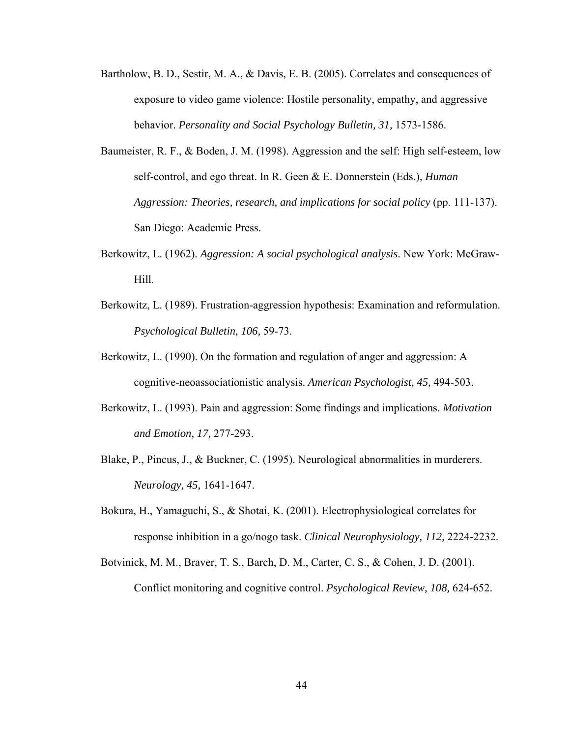- Bartholow, B. D., Sestir, M. A., & Davis, E. B. (2005). Correlates and consequences of exposure to video game violence: Hostile personality, empathy, and aggressive behavior. *Personality and Social Psychology Bulletin, 31,* 1573-1586.
- Baumeister, R. F., & Boden, J. M. (1998). Aggression and the self: High self-esteem, low self-control, and ego threat. In R. Geen & E. Donnerstein (Eds.), *Human Aggression: Theories, research, and implications for social policy* (pp. 111-137). San Diego: Academic Press.
- Berkowitz, L. (1962). *Aggression: A social psychological analysis*. New York: McGraw-Hill.
- Berkowitz, L. (1989). Frustration-aggression hypothesis: Examination and reformulation. *Psychological Bulletin, 106,* 59-73.
- Berkowitz, L. (1990). On the formation and regulation of anger and aggression: A cognitive-neoassociationistic analysis. *American Psychologist, 45,* 494-503.
- Berkowitz, L. (1993). Pain and aggression: Some findings and implications. *Motivation and Emotion, 17,* 277-293.
- Blake, P., Pincus, J., & Buckner, C. (1995). Neurological abnormalities in murderers. *Neurology, 45,* 1641-1647.
- Bokura, H., Yamaguchi, S., & Shotai, K. (2001). Electrophysiological correlates for response inhibition in a go/nogo task. *Clinical Neurophysiology, 112,* 2224-2232.
- Botvinick, M. M., Braver, T. S., Barch, D. M., Carter, C. S., & Cohen, J. D. (2001). Conflict monitoring and cognitive control. *Psychological Review, 108,* 624-652.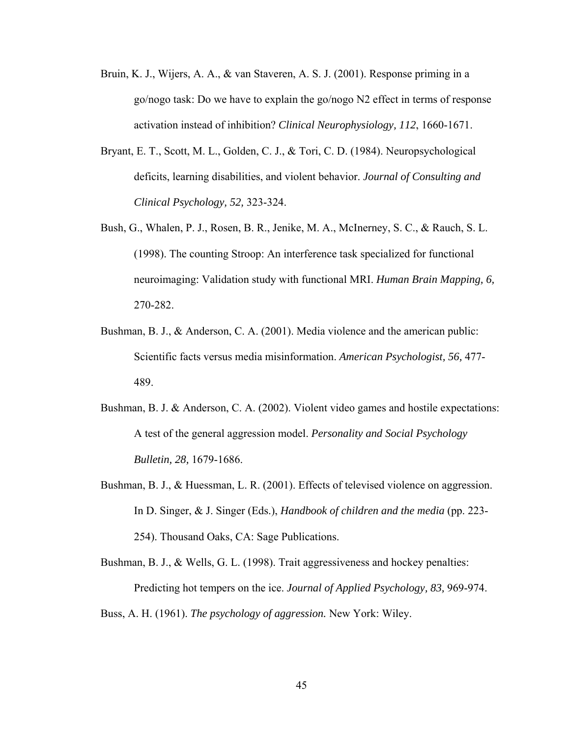- Bruin, K. J., Wijers, A. A., & van Staveren, A. S. J. (2001). Response priming in a go/nogo task: Do we have to explain the go/nogo N2 effect in terms of response activation instead of inhibition? *Clinical Neurophysiology, 112*, 1660-1671.
- Bryant, E. T., Scott, M. L., Golden, C. J., & Tori, C. D. (1984). Neuropsychological deficits, learning disabilities, and violent behavior. *Journal of Consulting and Clinical Psychology, 52,* 323-324.
- Bush, G., Whalen, P. J., Rosen, B. R., Jenike, M. A., McInerney, S. C., & Rauch, S. L. (1998). The counting Stroop: An interference task specialized for functional neuroimaging: Validation study with functional MRI. *Human Brain Mapping, 6,*  270-282.
- Bushman, B. J., & Anderson, C. A. (2001). Media violence and the american public: Scientific facts versus media misinformation. *American Psychologist, 56,* 477- 489.
- Bushman, B. J. & Anderson, C. A. (2002). Violent video games and hostile expectations: A test of the general aggression model. *Personality and Social Psychology Bulletin, 28,* 1679-1686.
- Bushman, B. J., & Huessman, L. R. (2001). Effects of televised violence on aggression. In D. Singer, & J. Singer (Eds.), *Handbook of children and the media* (pp. 223- 254). Thousand Oaks, CA: Sage Publications.

Bushman, B. J., & Wells, G. L. (1998). Trait aggressiveness and hockey penalties: Predicting hot tempers on the ice. *Journal of Applied Psychology, 83,* 969-974.

Buss, A. H. (1961). *The psychology of aggression.* New York: Wiley.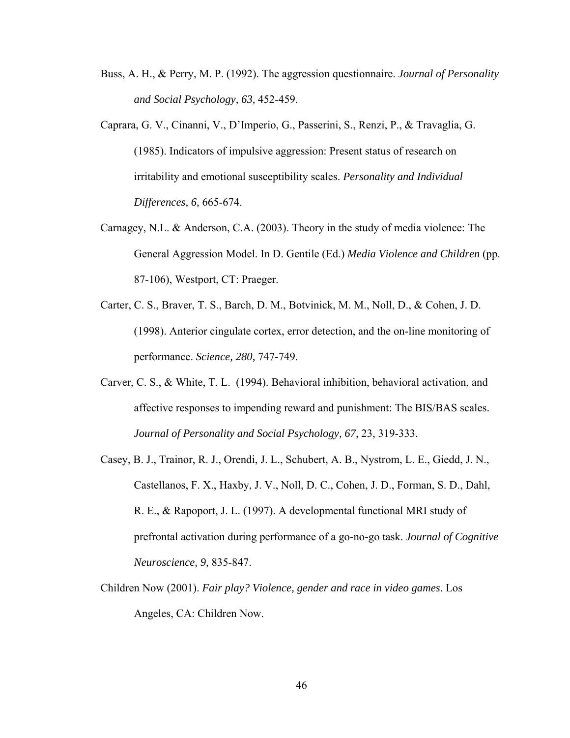- Buss, A. H., & Perry, M. P. (1992). The aggression questionnaire. *Journal of Personality and Social Psychology, 63,* 452-459.
- Caprara, G. V., Cinanni, V., D'Imperio, G., Passerini, S., Renzi, P., & Travaglia, G. (1985). Indicators of impulsive aggression: Present status of research on irritability and emotional susceptibility scales. *Personality and Individual Differences, 6,* 665-674.
- Carnagey, N.L. & Anderson, C.A. (2003). Theory in the study of media violence: The General Aggression Model. In D. Gentile (Ed.) *Media Violence and Children* (pp. 87-106), Westport, CT: Praeger.
- Carter, C. S., Braver, T. S., Barch, D. M., Botvinick, M. M., Noll, D., & Cohen, J. D. (1998). Anterior cingulate cortex, error detection, and the on-line monitoring of performance. *Science, 280,* 747-749.
- Carver, C. S., & White, T. L. (1994). Behavioral inhibition, behavioral activation, and affective responses to impending reward and punishment: The BIS/BAS scales. *Journal of Personality and Social Psychology, 67,* 23, 319-333.
- Casey, B. J., Trainor, R. J., Orendi, J. L., Schubert, A. B., Nystrom, L. E., Giedd, J. N., Castellanos, F. X., Haxby, J. V., Noll, D. C., Cohen, J. D., Forman, S. D., Dahl, R. E., & Rapoport, J. L. (1997). A developmental functional MRI study of prefrontal activation during performance of a go-no-go task. *Journal of Cognitive Neuroscience, 9,* 835-847.
- Children Now (2001). *Fair play? Violence, gender and race in video games*. Los Angeles, CA: Children Now.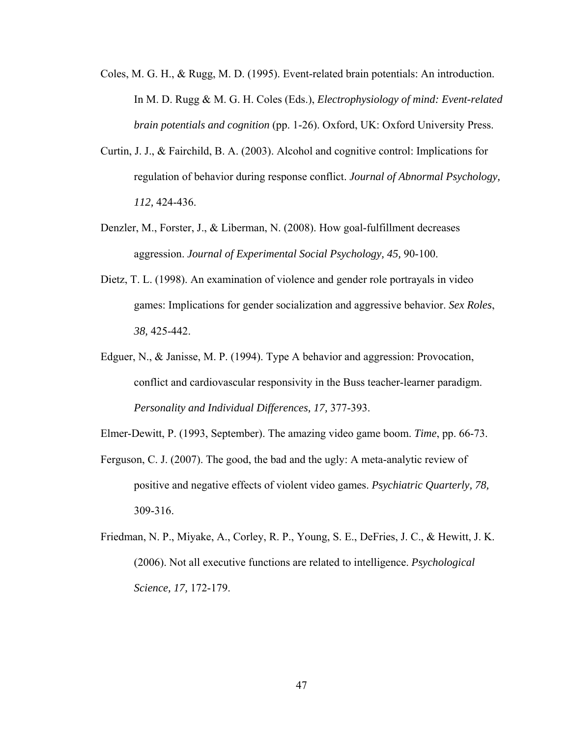- Coles, M. G. H., & Rugg, M. D. (1995). Event-related brain potentials: An introduction. In M. D. Rugg & M. G. H. Coles (Eds.), *Electrophysiology of mind: Event-related brain potentials and cognition* (pp. 1-26). Oxford, UK: Oxford University Press.
- Curtin, J. J., & Fairchild, B. A. (2003). Alcohol and cognitive control: Implications for regulation of behavior during response conflict. *Journal of Abnormal Psychology, 112,* 424-436.
- Denzler, M., Forster, J., & Liberman, N. (2008). How goal-fulfillment decreases aggression. *Journal of Experimental Social Psychology, 45,* 90-100.
- Dietz, T. L. (1998). An examination of violence and gender role portrayals in video games: Implications for gender socialization and aggressive behavior. *Sex Roles*, *38,* 425-442.
- Edguer, N., & Janisse, M. P. (1994). Type A behavior and aggression: Provocation, conflict and cardiovascular responsivity in the Buss teacher-learner paradigm. *Personality and Individual Differences, 17,* 377-393.

Elmer-Dewitt, P. (1993, September). The amazing video game boom. *Time*, pp. 66-73.

- Ferguson, C. J. (2007). The good, the bad and the ugly: A meta-analytic review of positive and negative effects of violent video games. *Psychiatric Quarterly, 78,*  309-316.
- Friedman, N. P., Miyake, A., Corley, R. P., Young, S. E., DeFries, J. C., & Hewitt, J. K. (2006). Not all executive functions are related to intelligence. *Psychological Science, 17,* 172-179.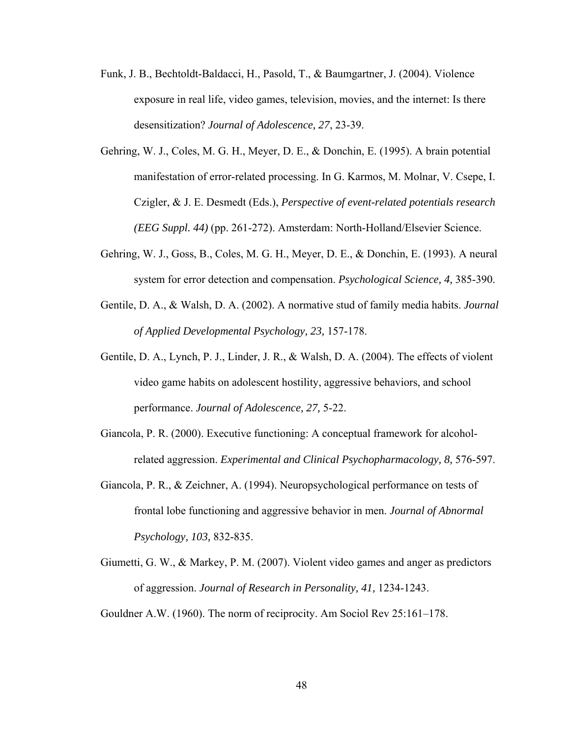- Funk, J. B., Bechtoldt-Baldacci, H., Pasold, T., & Baumgartner, J. (2004). Violence exposure in real life, video games, television, movies, and the internet: Is there desensitization? *Journal of Adolescence, 27*, 23-39.
- Gehring, W. J., Coles, M. G. H., Meyer, D. E., & Donchin, E. (1995). A brain potential manifestation of error-related processing. In G. Karmos, M. Molnar, V. Csepe, I. Czigler, & J. E. Desmedt (Eds.), *Perspective of event-related potentials research (EEG Suppl. 44)* (pp. 261-272). Amsterdam: North-Holland/Elsevier Science.
- Gehring, W. J., Goss, B., Coles, M. G. H., Meyer, D. E., & Donchin, E. (1993). A neural system for error detection and compensation. *Psychological Science, 4,* 385-390.
- Gentile, D. A., & Walsh, D. A. (2002). A normative stud of family media habits. *Journal of Applied Developmental Psychology, 23,* 157-178.
- Gentile, D. A., Lynch, P. J., Linder, J. R., & Walsh, D. A. (2004). The effects of violent video game habits on adolescent hostility, aggressive behaviors, and school performance. *Journal of Adolescence, 27,* 5-22.
- Giancola, P. R. (2000). Executive functioning: A conceptual framework for alcoholrelated aggression. *Experimental and Clinical Psychopharmacology, 8,* 576-597.
- Giancola, P. R., & Zeichner, A. (1994). Neuropsychological performance on tests of frontal lobe functioning and aggressive behavior in men. *Journal of Abnormal Psychology, 103,* 832-835.
- Giumetti, G. W., & Markey, P. M. (2007). Violent video games and anger as predictors of aggression. *Journal of Research in Personality, 41,* 1234-1243.

Gouldner A.W. (1960). The norm of reciprocity. Am Sociol Rev 25:161–178.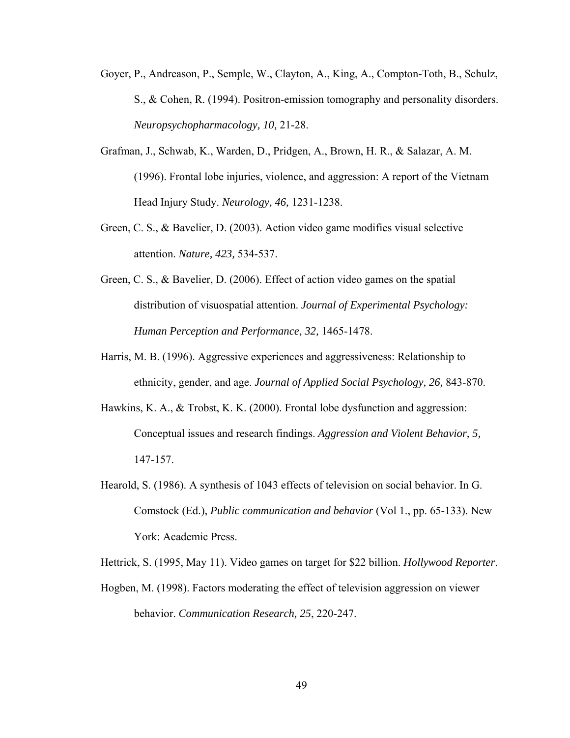- Goyer, P., Andreason, P., Semple, W., Clayton, A., King, A., Compton-Toth, B., Schulz, S., & Cohen, R. (1994). Positron-emission tomography and personality disorders. *Neuropsychopharmacology, 10,* 21-28.
- Grafman, J., Schwab, K., Warden, D., Pridgen, A., Brown, H. R., & Salazar, A. M. (1996). Frontal lobe injuries, violence, and aggression: A report of the Vietnam Head Injury Study. *Neurology, 46,* 1231-1238.
- Green, C. S., & Bavelier, D. (2003). Action video game modifies visual selective attention. *Nature, 423,* 534-537.
- Green, C. S., & Bavelier, D. (2006). Effect of action video games on the spatial distribution of visuospatial attention. *Journal of Experimental Psychology: Human Perception and Performance, 32,* 1465-1478.
- Harris, M. B. (1996). Aggressive experiences and aggressiveness: Relationship to ethnicity, gender, and age. *Journal of Applied Social Psychology, 26,* 843-870.
- Hawkins, K. A., & Trobst, K. K. (2000). Frontal lobe dysfunction and aggression: Conceptual issues and research findings. *Aggression and Violent Behavior, 5,*  147-157.
- Hearold, S. (1986). A synthesis of 1043 effects of television on social behavior. In G. Comstock (Ed.), *Public communication and behavior* (Vol 1., pp. 65-133). New York: Academic Press.

Hettrick, S. (1995, May 11). Video games on target for \$22 billion. *Hollywood Reporter*.

Hogben, M. (1998). Factors moderating the effect of television aggression on viewer behavior. *Communication Research, 25*, 220-247.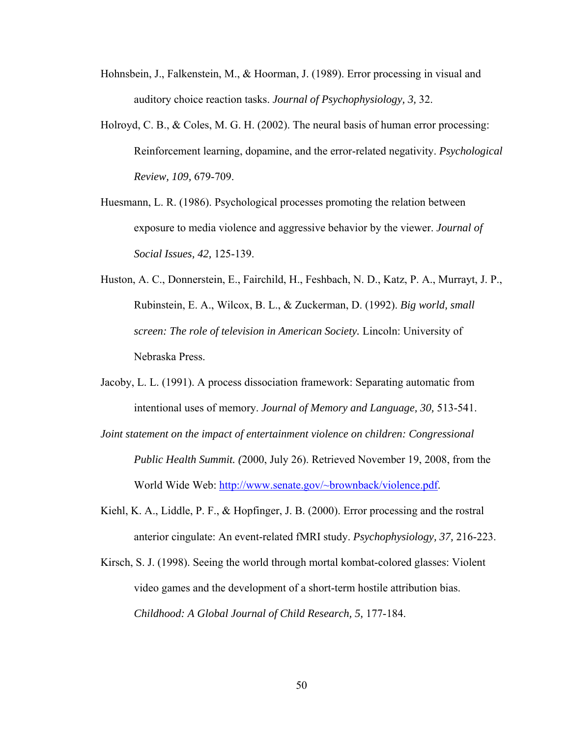- Hohnsbein, J., Falkenstein, M., & Hoorman, J. (1989). Error processing in visual and auditory choice reaction tasks. *Journal of Psychophysiology, 3,* 32.
- Holroyd, C. B., & Coles, M. G. H. (2002). The neural basis of human error processing: Reinforcement learning, dopamine, and the error-related negativity. *Psychological Review, 109,* 679-709.
- Huesmann, L. R. (1986). Psychological processes promoting the relation between exposure to media violence and aggressive behavior by the viewer. *Journal of Social Issues, 42,* 125-139.
- Huston, A. C., Donnerstein, E., Fairchild, H., Feshbach, N. D., Katz, P. A., Murrayt, J. P., Rubinstein, E. A., Wilcox, B. L., & Zuckerman, D. (1992). *Big world, small screen: The role of television in American Society.* Lincoln: University of Nebraska Press.
- Jacoby, L. L. (1991). A process dissociation framework: Separating automatic from intentional uses of memory. *Journal of Memory and Language, 30,* 513-541.
- *Joint statement on the impact of entertainment violence on children: Congressional Public Health Summit. (*2000, July 26). Retrieved November 19, 2008, from the World Wide Web: [http://www.senate.gov/~brownback/violence.pdf](http://www.senate.gov/%7Ebrownback/violence.pdf).
- Kiehl, K. A., Liddle, P. F., & Hopfinger, J. B. (2000). Error processing and the rostral anterior cingulate: An event-related fMRI study. *Psychophysiology, 37,* 216-223.
- Kirsch, S. J. (1998). Seeing the world through mortal kombat-colored glasses: Violent video games and the development of a short-term hostile attribution bias. *Childhood: A Global Journal of Child Research, 5,* 177-184.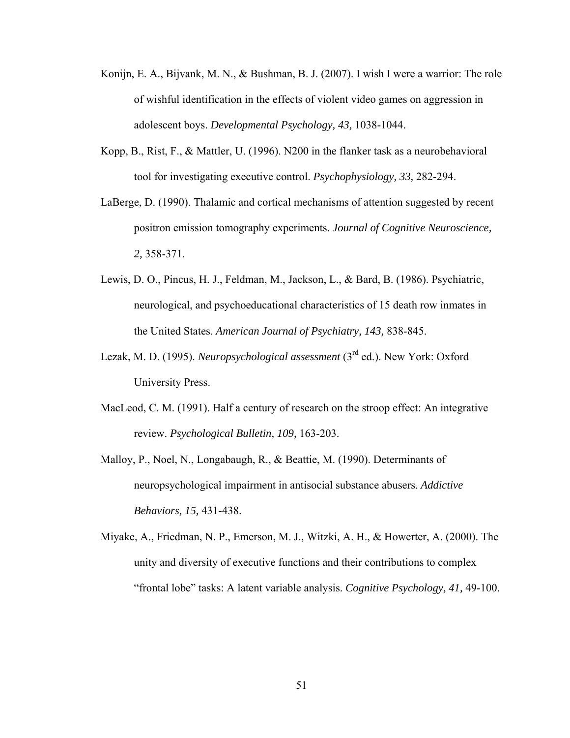- Konijn, E. A., Bijvank, M. N., & Bushman, B. J. (2007). I wish I were a warrior: The role of wishful identification in the effects of violent video games on aggression in adolescent boys. *Developmental Psychology, 43,* 1038-1044.
- Kopp, B., Rist, F., & Mattler, U. (1996). N200 in the flanker task as a neurobehavioral tool for investigating executive control. *Psychophysiology, 33,* 282-294.
- LaBerge, D. (1990). Thalamic and cortical mechanisms of attention suggested by recent positron emission tomography experiments. *Journal of Cognitive Neuroscience, 2,* 358-371.
- Lewis, D. O., Pincus, H. J., Feldman, M., Jackson, L., & Bard, B. (1986). Psychiatric, neurological, and psychoeducational characteristics of 15 death row inmates in the United States. *American Journal of Psychiatry, 143,* 838-845.
- Lezak, M. D. (1995). *Neuropsychological assessment* (3<sup>rd</sup> ed.). New York: Oxford University Press.
- MacLeod, C. M. (1991). Half a century of research on the stroop effect: An integrative review. *Psychological Bulletin, 109,* 163-203.
- Malloy, P., Noel, N., Longabaugh, R., & Beattie, M. (1990). Determinants of neuropsychological impairment in antisocial substance abusers. *Addictive Behaviors, 15,* 431-438.
- Miyake, A., Friedman, N. P., Emerson, M. J., Witzki, A. H., & Howerter, A. (2000). The unity and diversity of executive functions and their contributions to complex "frontal lobe" tasks: A latent variable analysis. *Cognitive Psychology, 41,* 49-100.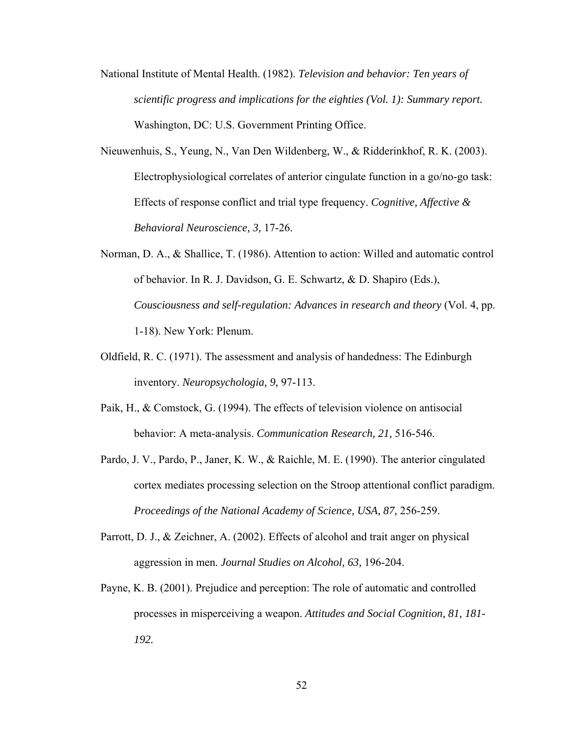- National Institute of Mental Health. (1982). *Television and behavior: Ten years of scientific progress and implications for the eighties (Vol. 1): Summary report.* Washington, DC: U.S. Government Printing Office.
- Nieuwenhuis, S., Yeung, N., Van Den Wildenberg, W., & Ridderinkhof, R. K. (2003). Electrophysiological correlates of anterior cingulate function in a go/no-go task: Effects of response conflict and trial type frequency. *Cognitive, Affective & Behavioral Neuroscience, 3,* 17-26.
- Norman, D. A., & Shallice, T. (1986). Attention to action: Willed and automatic control of behavior. In R. J. Davidson, G. E. Schwartz, & D. Shapiro (Eds.), *Cousciousness and self-regulation: Advances in research and theory* (Vol. 4, pp. 1-18). New York: Plenum.
- Oldfield, R. C. (1971). The assessment and analysis of handedness: The Edinburgh inventory. *Neuropsychologia, 9,* 97-113.
- Paik, H., & Comstock, G. (1994). The effects of television violence on antisocial behavior: A meta-analysis. *Communication Research, 21,* 516-546.
- Pardo, J. V., Pardo, P., Janer, K. W., & Raichle, M. E. (1990). The anterior cingulated cortex mediates processing selection on the Stroop attentional conflict paradigm. *Proceedings of the National Academy of Science, USA, 87,* 256-259.
- Parrott, D. J., & Zeichner, A. (2002). Effects of alcohol and trait anger on physical aggression in men. *Journal Studies on Alcohol, 63,* 196-204.
- Payne, K. B. (2001). Prejudice and perception: The role of automatic and controlled processes in misperceiving a weapon. *Attitudes and Social Cognition, 81, 181- 192.*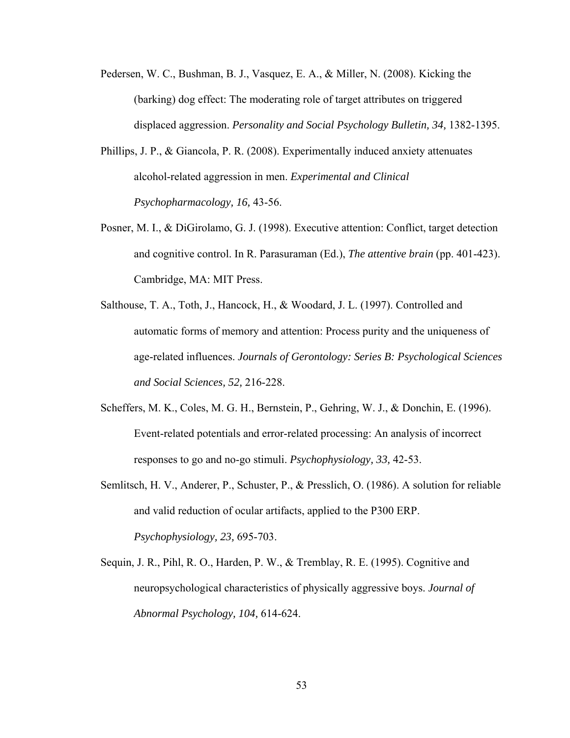- Pedersen, W. C., Bushman, B. J., Vasquez, E. A., & Miller, N. (2008). Kicking the (barking) dog effect: The moderating role of target attributes on triggered displaced aggression. *Personality and Social Psychology Bulletin, 34,* 1382-1395.
- Phillips, J. P., & Giancola, P. R. (2008). Experimentally induced anxiety attenuates alcohol-related aggression in men. *Experimental and Clinical Psychopharmacology, 16,* 43-56.
- Posner, M. I., & DiGirolamo, G. J. (1998). Executive attention: Conflict, target detection and cognitive control. In R. Parasuraman (Ed.), *The attentive brain* (pp. 401-423). Cambridge, MA: MIT Press.
- Salthouse, T. A., Toth, J., Hancock, H., & Woodard, J. L. (1997). Controlled and automatic forms of memory and attention: Process purity and the uniqueness of age-related influences. *Journals of Gerontology: Series B: Psychological Sciences and Social Sciences, 52,* 216-228.
- Scheffers, M. K., Coles, M. G. H., Bernstein, P., Gehring, W. J., & Donchin, E. (1996). Event-related potentials and error-related processing: An analysis of incorrect responses to go and no-go stimuli. *Psychophysiology, 33,* 42-53.
- Semlitsch, H. V., Anderer, P., Schuster, P., & Presslich, O. (1986). A solution for reliable and valid reduction of ocular artifacts, applied to the P300 ERP. *Psychophysiology, 23,* 695-703.
- Sequin, J. R., Pihl, R. O., Harden, P. W., & Tremblay, R. E. (1995). Cognitive and neuropsychological characteristics of physically aggressive boys. *Journal of Abnormal Psychology, 104,* 614-624.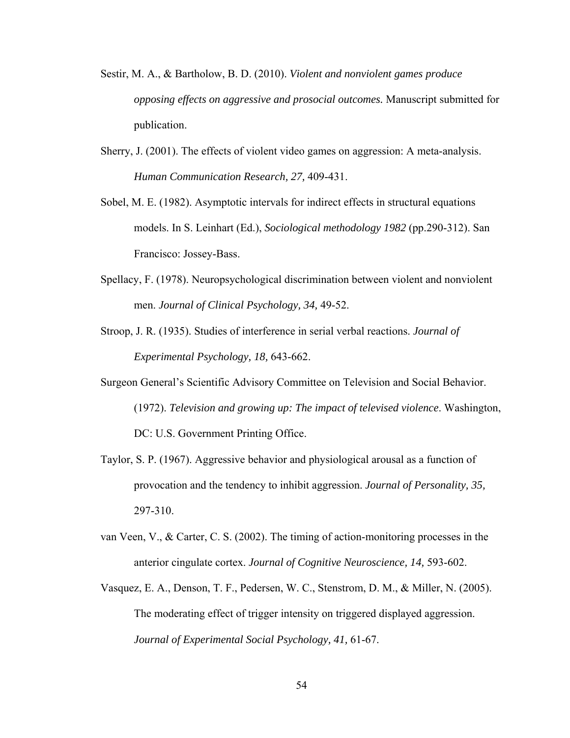- Sestir, M. A., & Bartholow, B. D. (2010). *Violent and nonviolent games produce opposing effects on aggressive and prosocial outcomes.* Manuscript submitted for publication.
- Sherry, J. (2001). The effects of violent video games on aggression: A meta-analysis. *Human Communication Research, 27,* 409-431.
- Sobel, M. E. (1982). Asymptotic intervals for indirect effects in structural equations models. In S. Leinhart (Ed.), *Sociological methodology 1982* (pp.290-312). San Francisco: Jossey-Bass.
- Spellacy, F. (1978). Neuropsychological discrimination between violent and nonviolent men. *Journal of Clinical Psychology, 34,* 49-52.
- Stroop, J. R. (1935). Studies of interference in serial verbal reactions. *Journal of Experimental Psychology, 18,* 643-662.
- Surgeon General's Scientific Advisory Committee on Television and Social Behavior. (1972). *Television and growing up: The impact of televised violence*. Washington, DC: U.S. Government Printing Office.
- Taylor, S. P. (1967). Aggressive behavior and physiological arousal as a function of provocation and the tendency to inhibit aggression. *Journal of Personality, 35,*  297-310.
- van Veen, V., & Carter, C. S. (2002). The timing of action-monitoring processes in the anterior cingulate cortex. *Journal of Cognitive Neuroscience, 14,* 593-602.
- Vasquez, E. A., Denson, T. F., Pedersen, W. C., Stenstrom, D. M., & Miller, N. (2005). The moderating effect of trigger intensity on triggered displayed aggression. *Journal of Experimental Social Psychology, 41,* 61-67.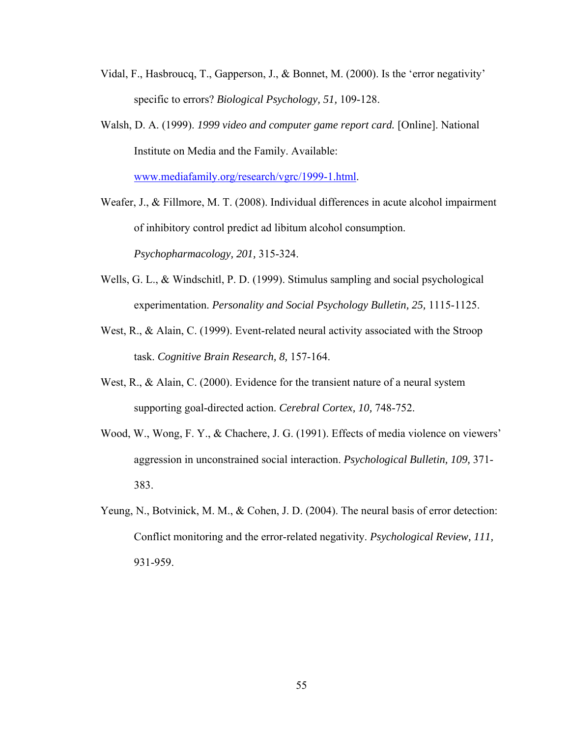- Vidal, F., Hasbroucq, T., Gapperson, J., & Bonnet, M. (2000). Is the 'error negativity' specific to errors? *Biological Psychology, 51,* 109-128.
- Walsh, D. A. (1999). *1999 video and computer game report card.* [Online]. National Institute on Media and the Family. Available:

[www.mediafamily.org/research/vgrc/1999-1.html.](http://www.mediafamily.org/research/vgrc/1999-1.html)

- Weafer, J., & Fillmore, M. T. (2008). Individual differences in acute alcohol impairment of inhibitory control predict ad libitum alcohol consumption. *Psychopharmacology, 201,* 315-324.
- Wells, G. L., & Windschitl, P. D. (1999). Stimulus sampling and social psychological experimentation. *Personality and Social Psychology Bulletin, 25,* 1115-1125.
- West, R., & Alain, C. (1999). Event-related neural activity associated with the Stroop task. *Cognitive Brain Research, 8,* 157-164.
- West, R., & Alain, C. (2000). Evidence for the transient nature of a neural system supporting goal-directed action. *Cerebral Cortex, 10,* 748-752.
- Wood, W., Wong, F. Y., & Chachere, J. G. (1991). Effects of media violence on viewers' aggression in unconstrained social interaction. *Psychological Bulletin, 109,* 371- 383.
- Yeung, N., Botvinick, M. M., & Cohen, J. D. (2004). The neural basis of error detection: Conflict monitoring and the error-related negativity. *Psychological Review, 111,*  931-959.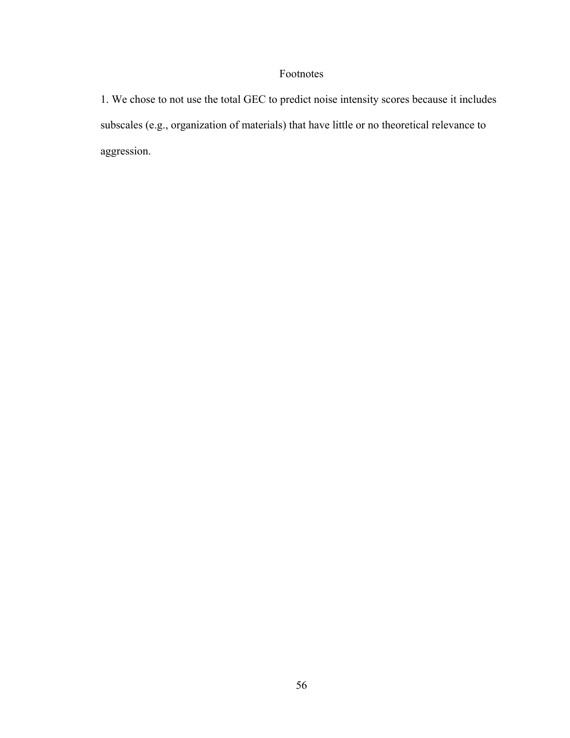# Footnotes

1. We chose to not use the total GEC to predict noise intensity scores because it includes subscales (e.g., organization of materials) that have little or no theoretical relevance to aggression.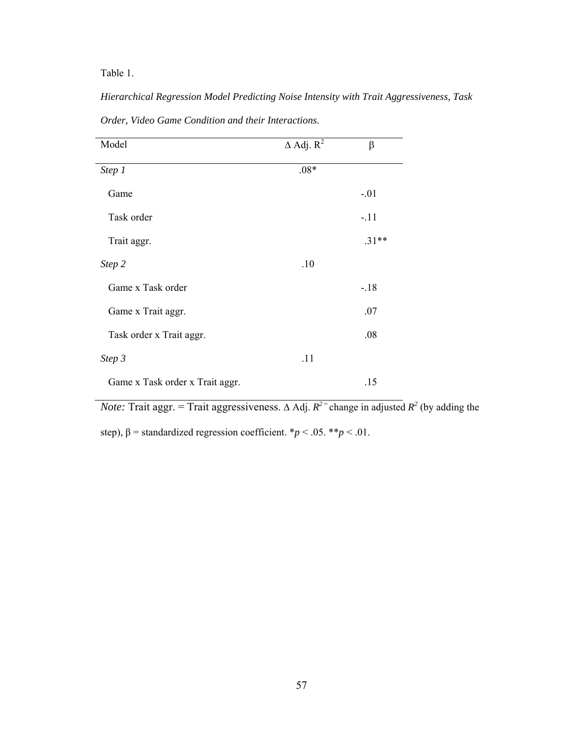Table 1.

*Hierarchical Regression Model Predicting Noise Intensity with Trait Aggressiveness, Task Order, Video Game Condition and their Interactions*.

| Model                           | $\Delta$ Adj. $R^2$ | $\beta$ |
|---------------------------------|---------------------|---------|
| Step 1                          | $.08*$              |         |
| Game                            |                     | $-.01$  |
| Task order                      |                     | $-.11$  |
| Trait aggr.                     |                     | $.31**$ |
| Step 2                          | .10                 |         |
| Game x Task order               |                     | $-18$   |
| Game x Trait aggr.              |                     | .07     |
| Task order x Trait aggr.        |                     | .08     |
| Step 3                          | .11                 |         |
| Game x Task order x Trait aggr. |                     | .15     |

*Note:* Trait aggr. = Trait aggressiveness.  $\triangle$  Adj.  $R^2$ <sup>=</sup> change in adjusted  $R^2$  (by adding the

step),  $\beta$  = standardized regression coefficient. \**p* < .05. \*\**p* < .01.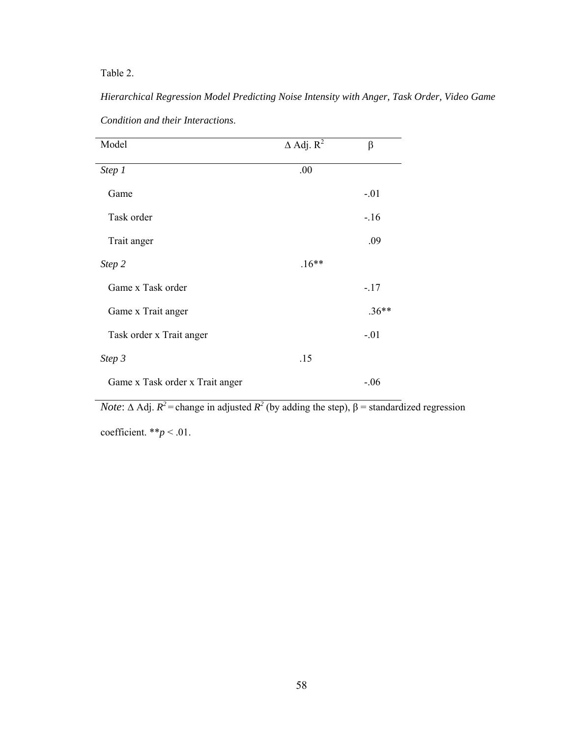Table 2.

| Condition and their Interactions. |                        |         |
|-----------------------------------|------------------------|---------|
| Model                             | $\triangle$ Adj. $R^2$ | $\beta$ |
| Step 1                            | .00                    |         |
| Game                              |                        | $-.01$  |
| Task order                        |                        | $-16$   |
| Trait anger                       |                        | .09     |
| Step 2                            | $.16**$                |         |
| Game x Task order                 |                        | $-.17$  |
| Game x Trait anger                |                        | $.36**$ |
| Task order x Trait anger          |                        | $-.01$  |
| Step 3                            | .15                    |         |
| Game x Task order x Trait anger   |                        | $-.06$  |

*Hierarchical Regression Model Predicting Noise Intensity with Anger, Task Order, Video Game* 

*Note*:  $\triangle$  Adj.  $R^2$  = change in adjusted  $R^2$  (by adding the step),  $\beta$  = standardized regression

coefficient. \*\**p* < .01.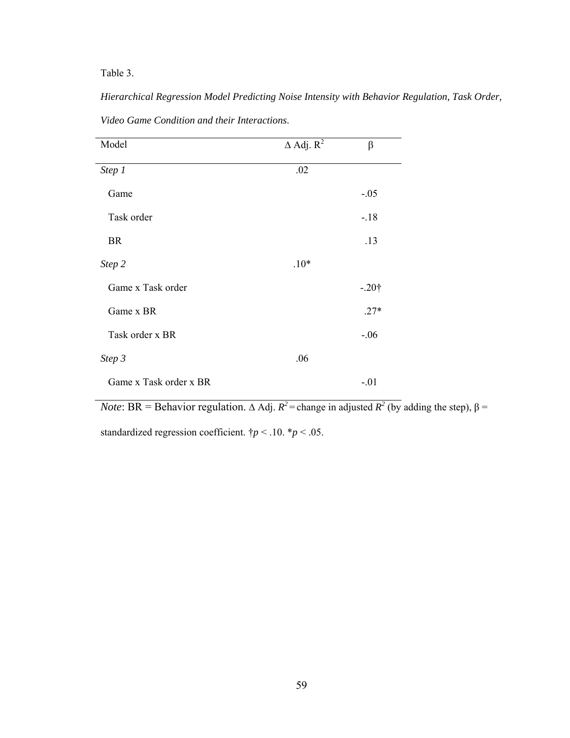Table 3.

| Model                  | $\Delta$ Adj. $R^2$ | $\beta$ |
|------------------------|---------------------|---------|
| Step 1                 | .02                 |         |
| Game                   |                     | $-.05$  |
| Task order             |                     | $-18$   |
| <b>BR</b>              |                     | .13     |
| Step 2                 | $.10*$              |         |
| Game x Task order      |                     | $-.20†$ |
| Game x BR              |                     | $.27*$  |
| Task order x BR        |                     | $-.06$  |
| Step 3                 | .06                 |         |
| Game x Task order x BR |                     | $-.01$  |

*Hierarchical Regression Model Predicting Noise Intensity with Behavior Regulation, Task Order, Video Game Condition and their Interactions*.

*Note*: BR = Behavior regulation.  $\triangle$  Adj.  $R^2$  = change in adjusted  $R^2$  (by adding the step),  $\beta$  =

standardized regression coefficient.  $\dagger p < .10$ .  $\dagger p < .05$ .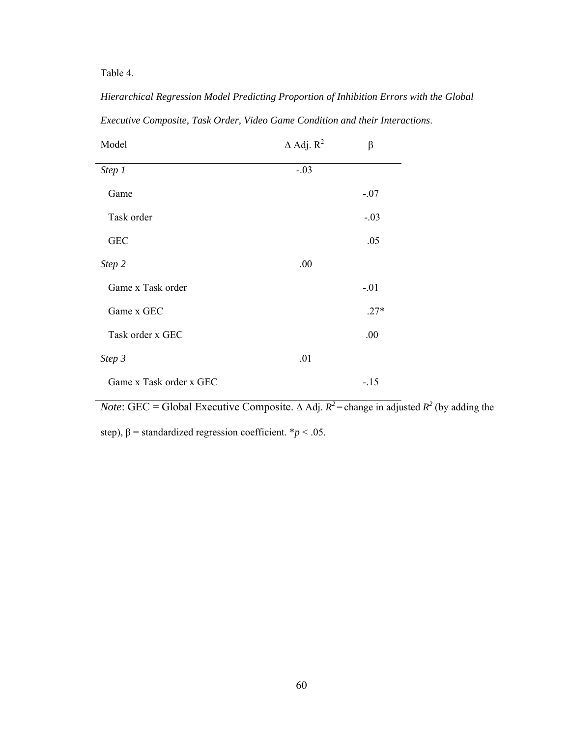Table 4.

| Model                   | $\Delta$ Adj. $R^2$ | β      |
|-------------------------|---------------------|--------|
| Step 1                  | $-.03$              |        |
| Game                    |                     | $-.07$ |
| Task order              |                     | $-.03$ |
| <b>GEC</b>              |                     | .05    |
| Step 2                  | .00                 |        |
| Game x Task order       |                     | $-.01$ |
| Game x GEC              |                     | $.27*$ |
| Task order x GEC        |                     | .00    |
| Step 3                  | .01                 |        |
| Game x Task order x GEC |                     | $-15$  |

*Hierarchical Regression Model Predicting Proportion of Inhibition Errors with the Global Executive Composite, Task Order, Video Game Condition and their Interactions*.

*Note*: GEC = Global Executive Composite.  $\triangle$  Adj.  $R^2$  = change in adjusted  $R^2$  (by adding the

step),  $\beta$  = standardized regression coefficient. \**p* < .05.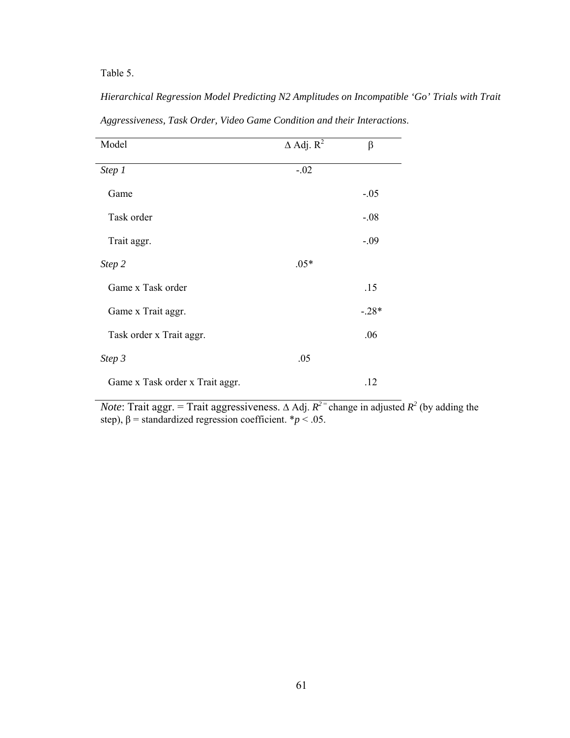Table 5.

| Model                           | $\Delta$ Adj. $R^2$ | $\beta$ |
|---------------------------------|---------------------|---------|
| Step 1                          | $-.02$              |         |
| Game                            |                     | $-.05$  |
| Task order                      |                     | $-.08$  |
| Trait aggr.                     |                     | $-.09$  |
| Step 2                          | $.05*$              |         |
| Game x Task order               |                     | .15     |
| Game x Trait aggr.              |                     | $-.28*$ |
| Task order x Trait aggr.        |                     | .06     |
| Step 3                          | .05                 |         |
| Game x Task order x Trait aggr. |                     | .12     |

*Aggressiveness, Task Order, Video Game Condition and their Interactions*.

*Hierarchical Regression Model Predicting N2 Amplitudes on Incompatible 'Go' Trials with Trait* 

*Note*: Trait aggr. = Trait aggressiveness.  $\Delta$  Adj.  $R^2$ <sup>=</sup> change in adjusted  $R^2$  (by adding the step),  $\beta$  = standardized regression coefficient.  $* p < .05$ .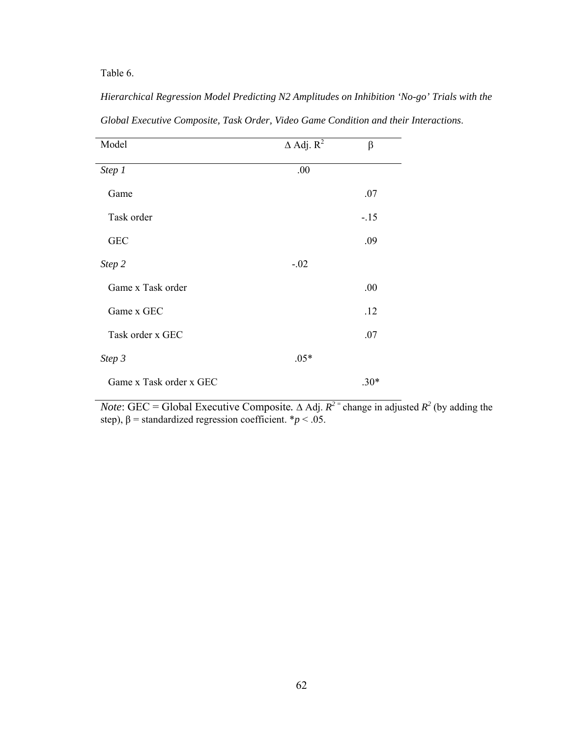Table 6.

| Model                   | $\Delta$ Adj. $R^2$ | $\beta$ |
|-------------------------|---------------------|---------|
| Step 1                  | .00                 |         |
| Game                    |                     | .07     |
| Task order              |                     | $-15$   |
| <b>GEC</b>              |                     | .09     |
| Step 2                  | $-.02$              |         |
| Game x Task order       |                     | .00     |
| Game x GEC              |                     | .12     |
| Task order x GEC        |                     | .07     |
| Step 3                  | $.05*$              |         |
| Game x Task order x GEC |                     | $.30*$  |

*Hierarchical Regression Model Predicting N2 Amplitudes on Inhibition 'No-go' Trials with the Global Executive Composite, Task Order, Video Game Condition and their Interactions*.

*Note*: GEC = Global Executive Composite.  $\triangle$  Adj.  $R^2$  = change in adjusted  $R^2$  (by adding the step),  $\beta$  = standardized regression coefficient. \* $p$  < .05.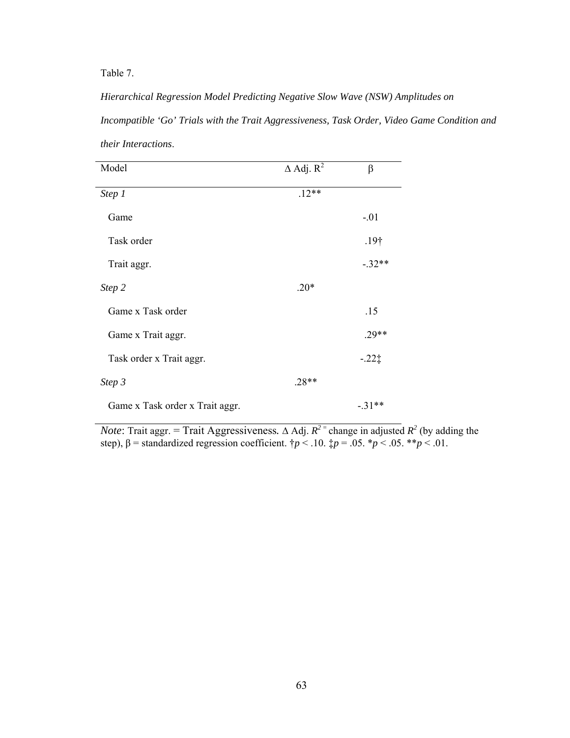Table 7.

*Hierarchical Regression Model Predicting Negative Slow Wave (NSW) Amplitudes on Incompatible 'Go' Trials with the Trait Aggressiveness, Task Order, Video Game Condition and their Interactions*.

| Model                           | $\triangle$ Adj. $R^2$ | $\beta$          |
|---------------------------------|------------------------|------------------|
| Step 1                          | $.12**$                |                  |
| Game                            |                        | $-.01$           |
| Task order                      |                        | .19 <sup>†</sup> |
| Trait aggr.                     |                        | $-.32**$         |
| Step 2                          | $.20*$                 |                  |
| Game x Task order               |                        | .15              |
| Game x Trait aggr.              |                        | $.29**$          |
| Task order x Trait aggr.        |                        | $-.22\ddagger$   |
| Step 3                          | $.28**$                |                  |
| Game x Task order x Trait aggr. |                        | $-.31**$         |

*Note*: Trait aggr. = Trait Aggressiveness.  $\triangle$  Adj.  $R^2$ <sup>=</sup> change in adjusted  $R^2$  (by adding the step),  $\beta$  = standardized regression coefficient.  $\gamma p < 0.10$ .  $\gamma p = 0.05$ .  $\gamma p < 0.05$ .  $\gamma p < 0.01$ .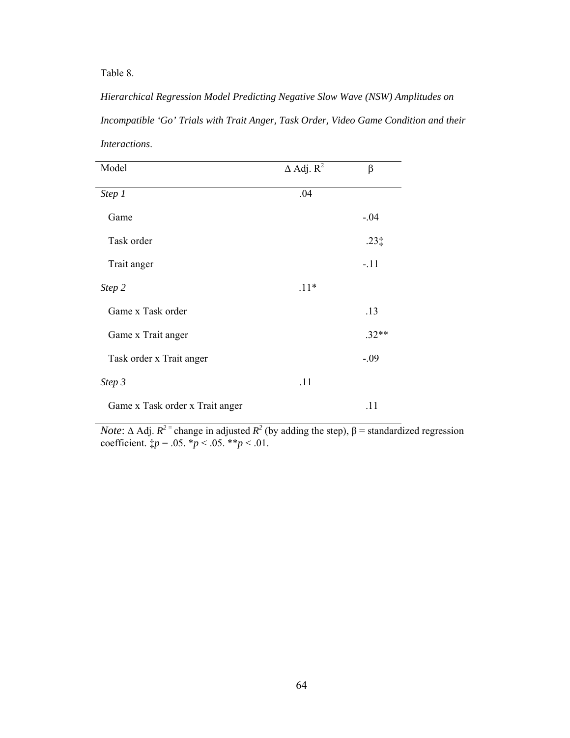Table 8.

*Hierarchical Regression Model Predicting Negative Slow Wave (NSW) Amplitudes on Incompatible 'Go' Trials with Trait Anger, Task Order, Video Game Condition and their Interactions*.

| Model                           | $\triangle$ Adj. $R^2$ | β             |
|---------------------------------|------------------------|---------------|
| Step 1                          | .04                    |               |
| Game                            |                        | $-.04$        |
| Task order                      |                        | $.23\ddagger$ |
| Trait anger                     |                        | $-.11$        |
| Step 2                          | $.11*$                 |               |
| Game x Task order               |                        | .13           |
| Game x Trait anger              |                        | $.32**$       |
| Task order x Trait anger        |                        | $-.09$        |
| Step 3                          | .11                    |               |
| Game x Task order x Trait anger |                        | .11           |

*Note*:  $\triangle$  Adj.  $R^2$ <sup>=</sup> change in adjusted  $R^2$  (by adding the step),  $\beta$  = standardized regression coefficient.  $\sharp p = .05. *p < .05. *p < .01$ .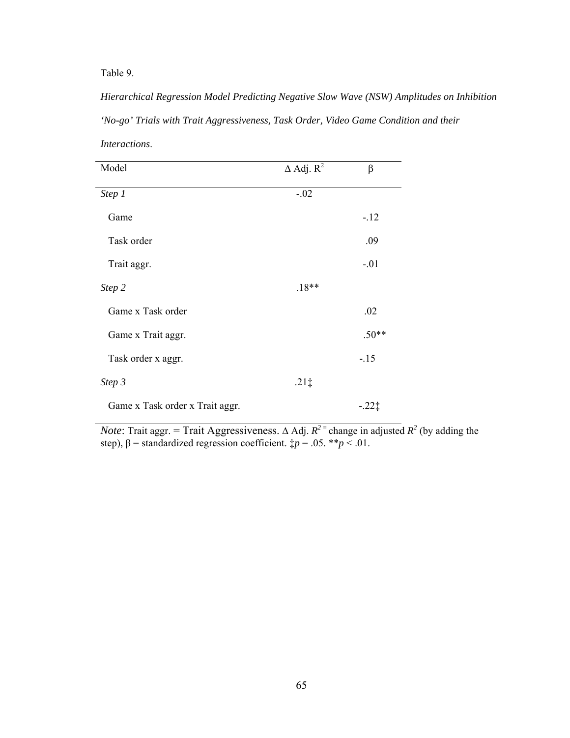Table 9.

*Hierarchical Regression Model Predicting Negative Slow Wave (NSW) Amplitudes on Inhibition 'No-go' Trials with Trait Aggressiveness, Task Order, Video Game Condition and their Interactions*.

| Model                           | $\triangle$ Adj. $R^2$ | $\beta$ |
|---------------------------------|------------------------|---------|
| Step 1                          | $-.02$                 |         |
| Game                            |                        | $-12$   |
| Task order                      |                        | .09     |
| Trait aggr.                     |                        | $-.01$  |
| Step 2                          | $.18**$                |         |
| Game x Task order               |                        | .02     |
| Game x Trait aggr.              |                        | $.50**$ |
| Task order x aggr.              |                        | $-.15$  |
| Step 3                          | $.21\ddagger$          |         |
| Game x Task order x Trait aggr. |                        | $-221$  |

*Note*: Trait aggr. = Trait Aggressiveness.  $\Delta$  Adj.  $R^2$ <sup>=</sup> change in adjusted  $R^2$  (by adding the step),  $\beta$  = standardized regression coefficient.  $\sharp p = .05$ . \*\* $p < .01$ .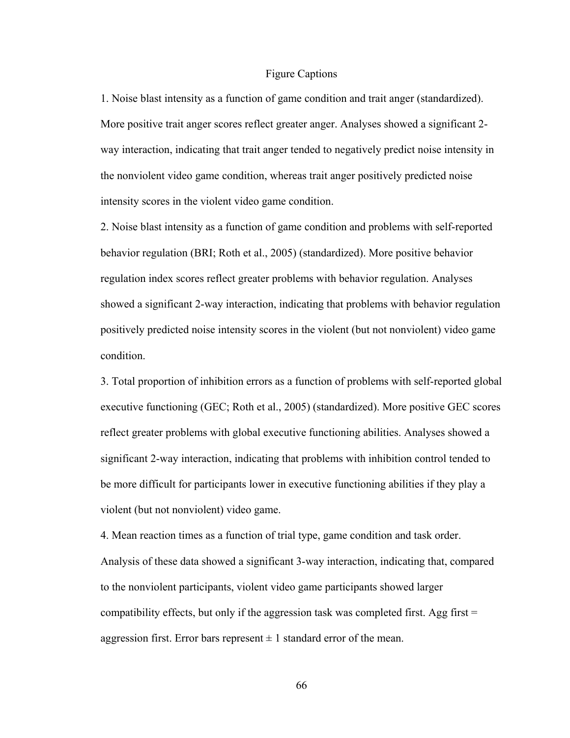## Figure Captions

1. Noise blast intensity as a function of game condition and trait anger (standardized). More positive trait anger scores reflect greater anger. Analyses showed a significant 2 way interaction, indicating that trait anger tended to negatively predict noise intensity in the nonviolent video game condition, whereas trait anger positively predicted noise intensity scores in the violent video game condition.

2. Noise blast intensity as a function of game condition and problems with self-reported behavior regulation (BRI; Roth et al., 2005) (standardized). More positive behavior regulation index scores reflect greater problems with behavior regulation. Analyses showed a significant 2-way interaction, indicating that problems with behavior regulation positively predicted noise intensity scores in the violent (but not nonviolent) video game condition.

3. Total proportion of inhibition errors as a function of problems with self-reported global executive functioning (GEC; Roth et al., 2005) (standardized). More positive GEC scores reflect greater problems with global executive functioning abilities. Analyses showed a significant 2-way interaction, indicating that problems with inhibition control tended to be more difficult for participants lower in executive functioning abilities if they play a violent (but not nonviolent) video game.

4. Mean reaction times as a function of trial type, game condition and task order. Analysis of these data showed a significant 3-way interaction, indicating that, compared to the nonviolent participants, violent video game participants showed larger compatibility effects, but only if the aggression task was completed first. Agg first  $=$ aggression first. Error bars represent  $\pm 1$  standard error of the mean.

66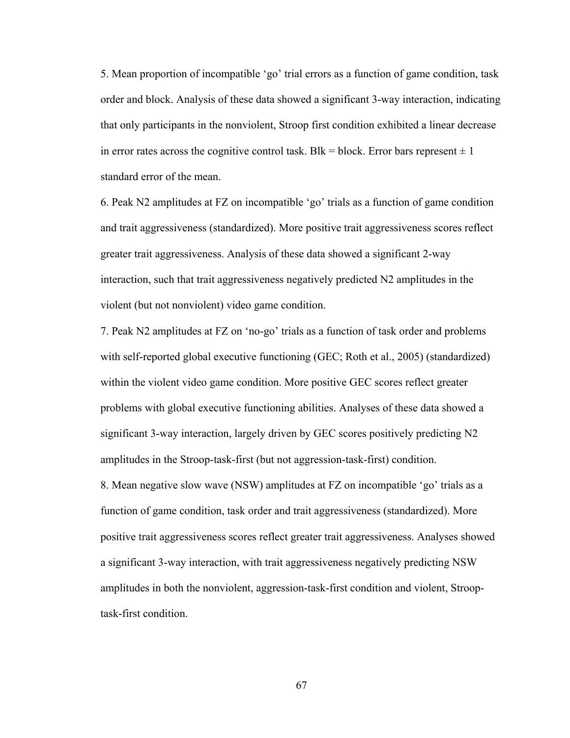5. Mean proportion of incompatible 'go' trial errors as a function of game condition, task order and block. Analysis of these data showed a significant 3-way interaction, indicating that only participants in the nonviolent, Stroop first condition exhibited a linear decrease in error rates across the cognitive control task. Blk = block. Error bars represent  $\pm 1$ standard error of the mean.

6. Peak N2 amplitudes at FZ on incompatible 'go' trials as a function of game condition and trait aggressiveness (standardized). More positive trait aggressiveness scores reflect greater trait aggressiveness. Analysis of these data showed a significant 2-way interaction, such that trait aggressiveness negatively predicted N2 amplitudes in the violent (but not nonviolent) video game condition.

7. Peak N2 amplitudes at FZ on 'no-go' trials as a function of task order and problems with self-reported global executive functioning (GEC; Roth et al., 2005) (standardized) within the violent video game condition. More positive GEC scores reflect greater problems with global executive functioning abilities. Analyses of these data showed a significant 3-way interaction, largely driven by GEC scores positively predicting N2 amplitudes in the Stroop-task-first (but not aggression-task-first) condition. 8. Mean negative slow wave (NSW) amplitudes at FZ on incompatible 'go' trials as a function of game condition, task order and trait aggressiveness (standardized). More positive trait aggressiveness scores reflect greater trait aggressiveness. Analyses showed a significant 3-way interaction, with trait aggressiveness negatively predicting NSW amplitudes in both the nonviolent, aggression-task-first condition and violent, Strooptask-first condition.

67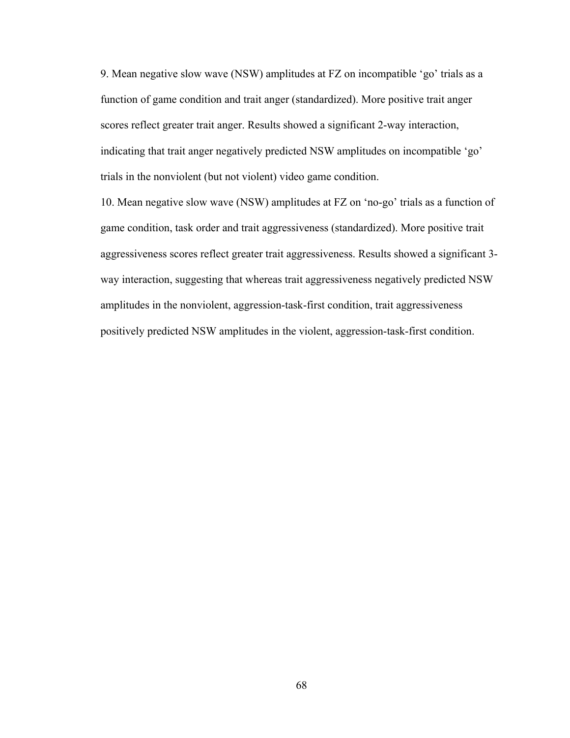9. Mean negative slow wave (NSW) amplitudes at FZ on incompatible 'go' trials as a function of game condition and trait anger (standardized). More positive trait anger scores reflect greater trait anger. Results showed a significant 2-way interaction, indicating that trait anger negatively predicted NSW amplitudes on incompatible 'go' trials in the nonviolent (but not violent) video game condition.

10. Mean negative slow wave (NSW) amplitudes at FZ on 'no-go' trials as a function of game condition, task order and trait aggressiveness (standardized). More positive trait aggressiveness scores reflect greater trait aggressiveness. Results showed a significant 3 way interaction, suggesting that whereas trait aggressiveness negatively predicted NSW amplitudes in the nonviolent, aggression-task-first condition, trait aggressiveness positively predicted NSW amplitudes in the violent, aggression-task-first condition.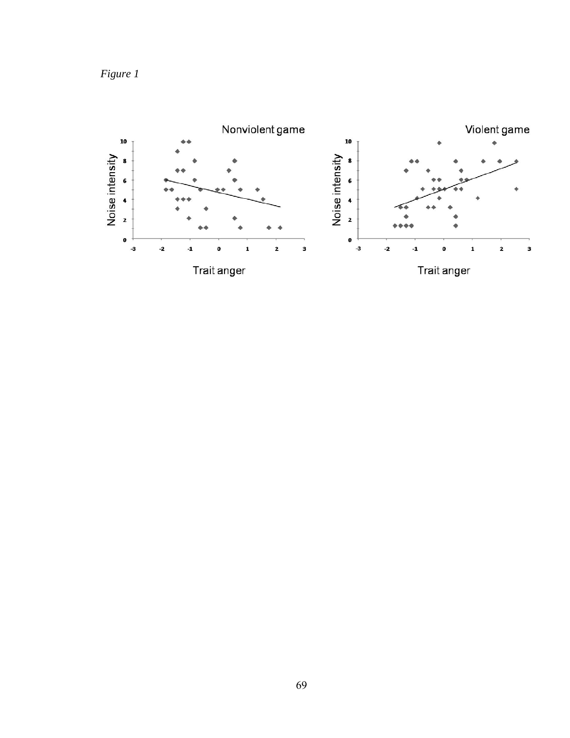

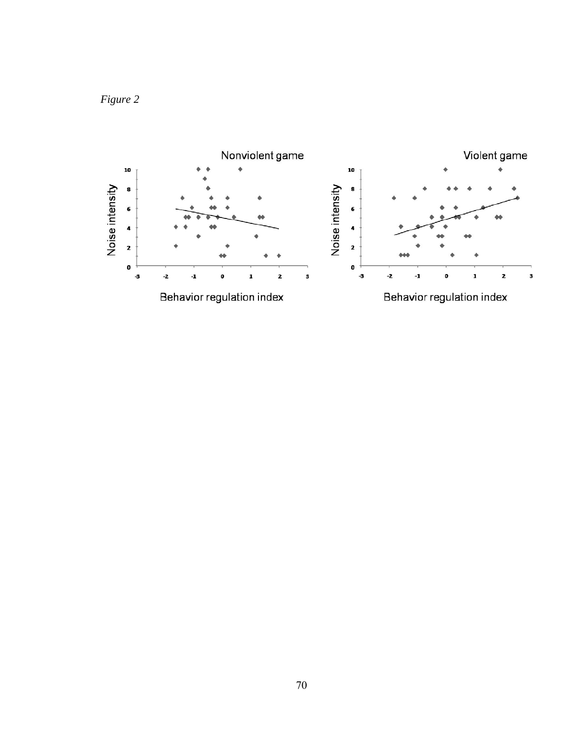

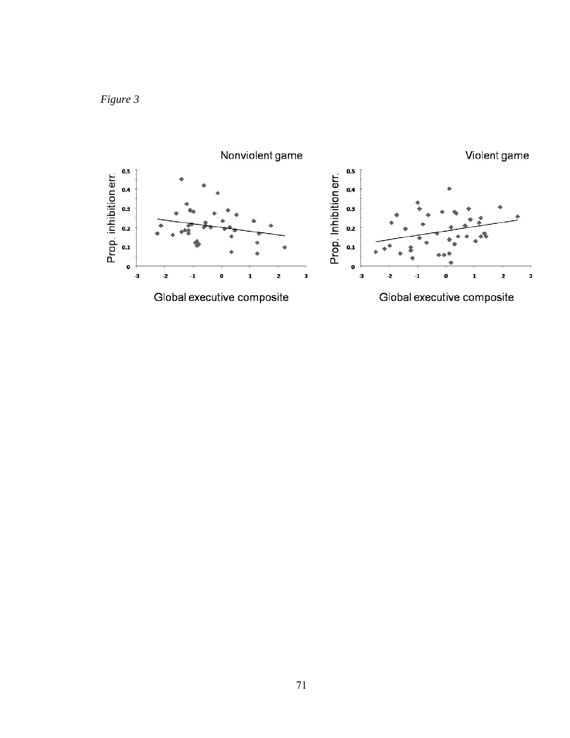

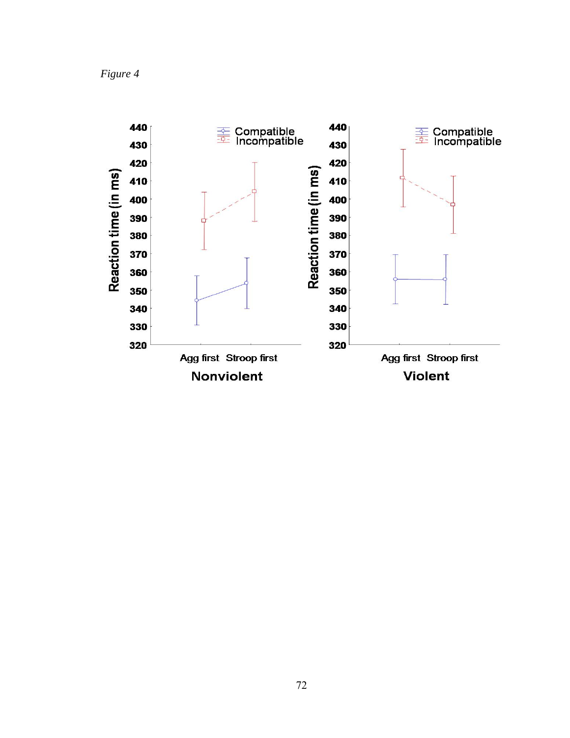*Figure 4* 

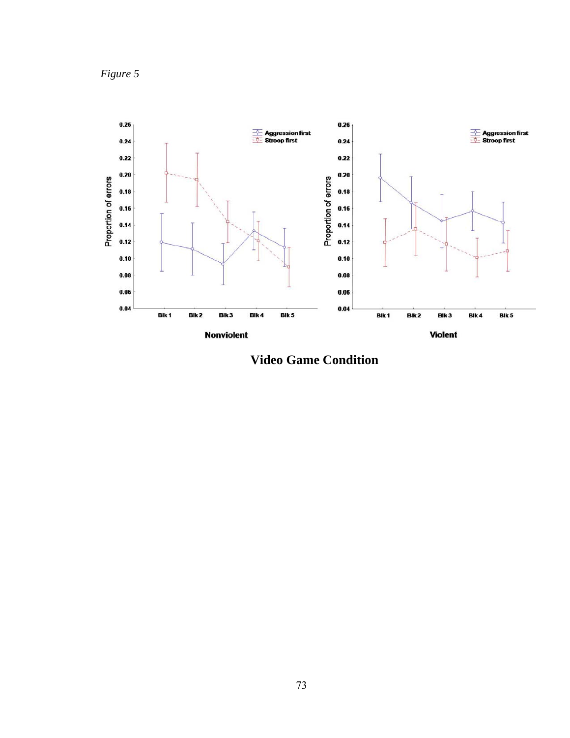*Figure 5*



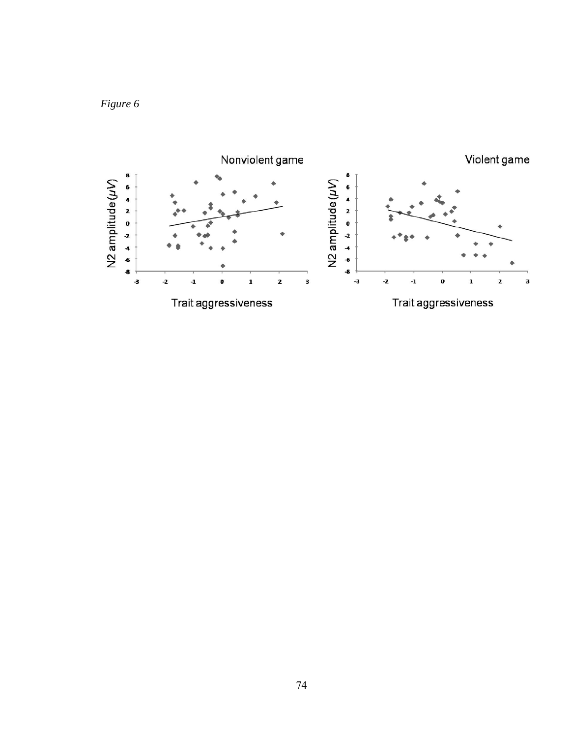

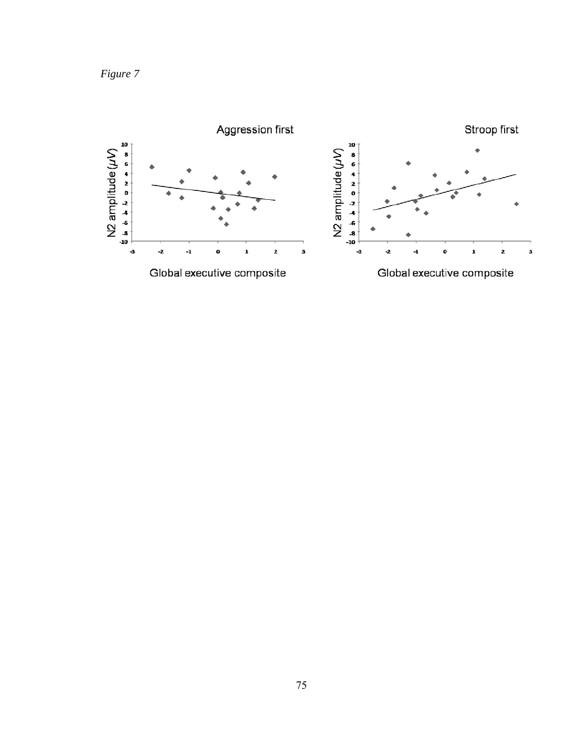*Figure 7* 

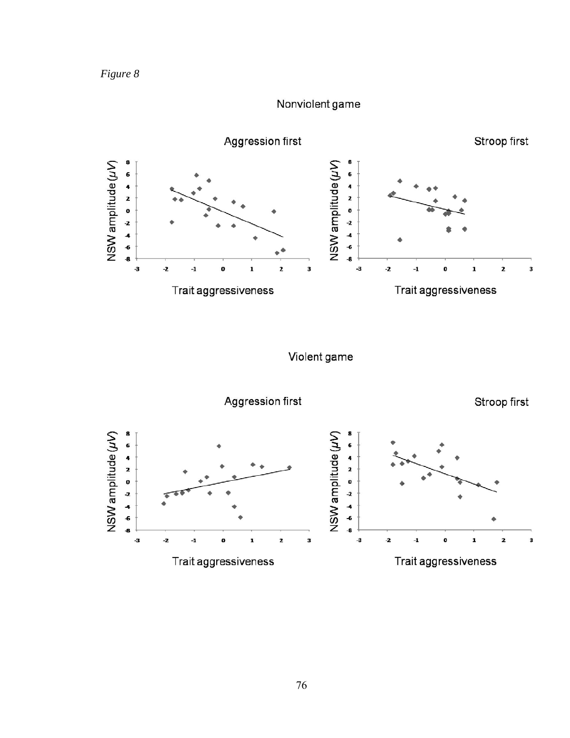

## Nonviolent game



Violent game

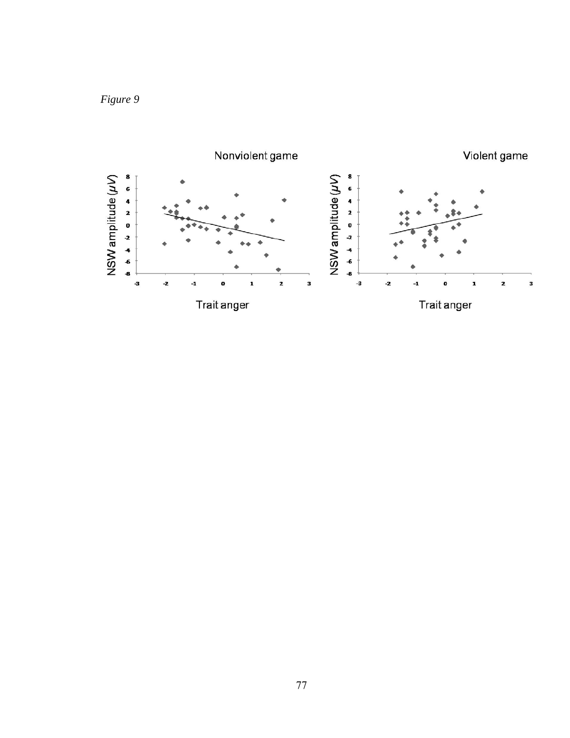## *Figure 9*